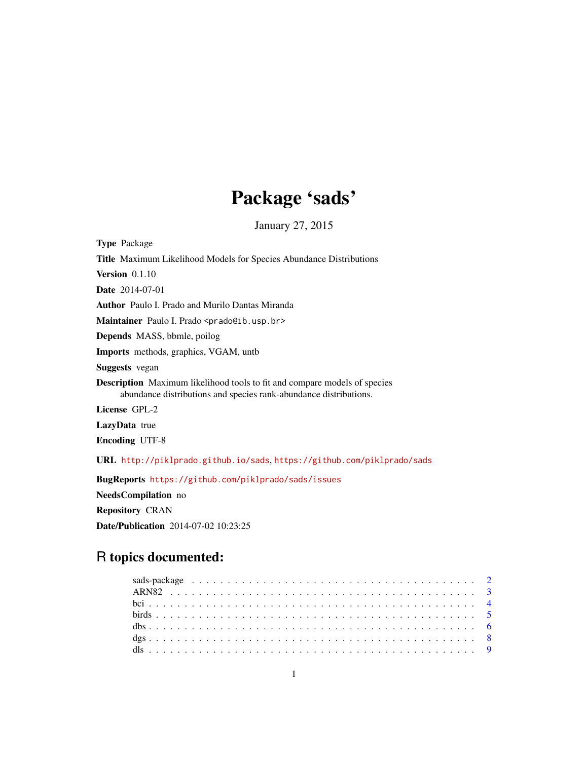# Package 'sads'

January 27, 2015

<span id="page-0-0"></span>Type Package Title Maximum Likelihood Models for Species Abundance Distributions Version 0.1.10 Date 2014-07-01 Author Paulo I. Prado and Murilo Dantas Miranda Maintainer Paulo I. Prado <prado@ib.usp.br> Depends MASS, bbmle, poilog Imports methods, graphics, VGAM, untb Suggests vegan Description Maximum likelihood tools to fit and compare models of species abundance distributions and species rank-abundance distributions. License GPL-2 LazyData true Encoding UTF-8 URL <http://piklprado.github.io/sads>, <https://github.com/piklprado/sads> BugReports <https://github.com/piklprado/sads/issues> NeedsCompilation no

Repository CRAN Date/Publication 2014-07-02 10:23:25

# R topics documented: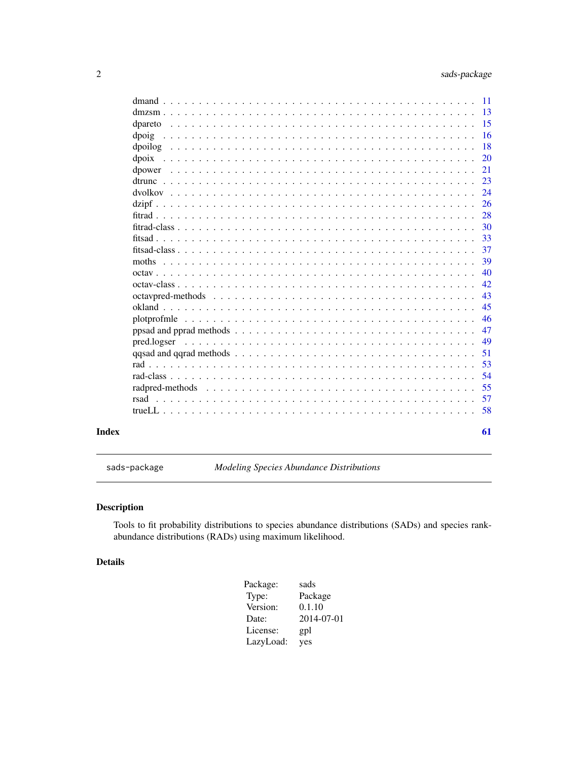<span id="page-1-0"></span>

|       | -11          |
|-------|--------------|
|       | -13          |
|       | -15          |
|       | -16<br>dpoig |
|       | -18          |
|       | -20          |
|       | 21           |
|       | 23           |
|       | 24           |
|       | 26           |
|       | 28           |
|       | 30           |
|       | 33           |
|       | 37           |
|       | 39<br>moths  |
|       | 40           |
|       | 42           |
|       | 43           |
|       | 45           |
|       | 46           |
|       | 47           |
|       | 49           |
|       | 51           |
|       | 53           |
|       | 54           |
|       | 55           |
|       | 57           |
|       | 58           |
| Index | 61           |

sads-package *Modeling Species Abundance Distributions*

# Description

Tools to fit probability distributions to species abundance distributions (SADs) and species rankabundance distributions (RADs) using maximum likelihood.

# Details

| Package:  | sads       |
|-----------|------------|
| Type:     | Package    |
| Version:  | 0.1.10     |
| Date:     | 2014-07-01 |
| License:  | gpl        |
| LazyLoad: | yes        |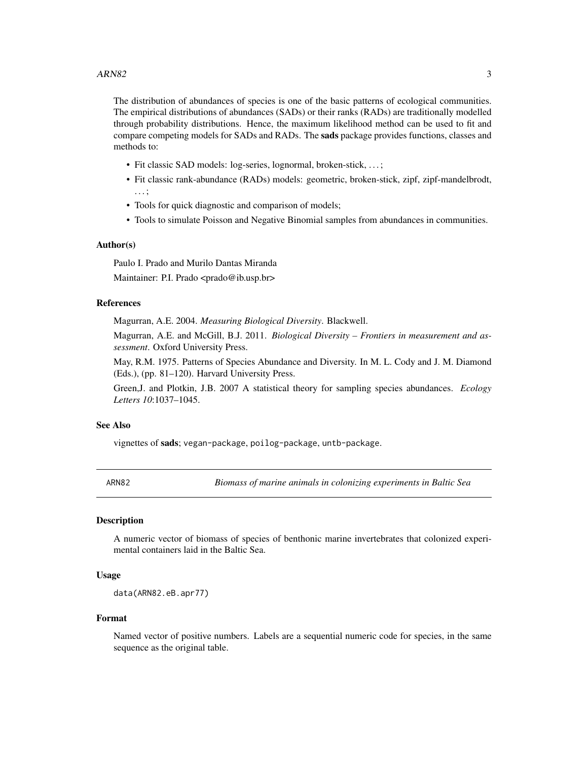<span id="page-2-0"></span>The distribution of abundances of species is one of the basic patterns of ecological communities. The empirical distributions of abundances (SADs) or their ranks (RADs) are traditionally modelled through probability distributions. Hence, the maximum likelihood method can be used to fit and compare competing models for SADs and RADs. The **sads** package provides functions, classes and methods to:

- Fit classic SAD models: log-series, lognormal, broken-stick, . . . ;
- Fit classic rank-abundance (RADs) models: geometric, broken-stick, zipf, zipf-mandelbrodt, . . . ;
- Tools for quick diagnostic and comparison of models;
- Tools to simulate Poisson and Negative Binomial samples from abundances in communities.

#### Author(s)

Paulo I. Prado and Murilo Dantas Miranda Maintainer: P.I. Prado <prado@ib.usp.br>

#### References

Magurran, A.E. 2004. *Measuring Biological Diversity*. Blackwell.

Magurran, A.E. and McGill, B.J. 2011. *Biological Diversity – Frontiers in measurement and assessment*. Oxford University Press.

May, R.M. 1975. Patterns of Species Abundance and Diversity. In M. L. Cody and J. M. Diamond (Eds.), (pp. 81–120). Harvard University Press.

Green,J. and Plotkin, J.B. 2007 A statistical theory for sampling species abundances. *Ecology Letters 10*:1037–1045.

# See Also

vignettes of sads; vegan-package, poilog-package, untb-package.

ARN82 *Biomass of marine animals in colonizing experiments in Baltic Sea*

# Description

A numeric vector of biomass of species of benthonic marine invertebrates that colonized experimental containers laid in the Baltic Sea.

# Usage

data(ARN82.eB.apr77)

#### Format

Named vector of positive numbers. Labels are a sequential numeric code for species, in the same sequence as the original table.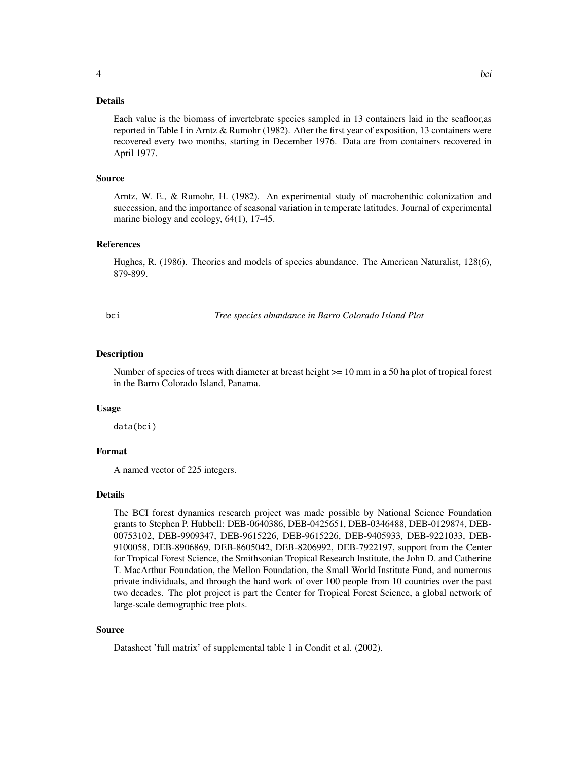#### <span id="page-3-0"></span>Details

Each value is the biomass of invertebrate species sampled in 13 containers laid in the seafloor,as reported in Table I in Arntz & Rumohr (1982). After the first year of exposition, 13 containers were recovered every two months, starting in December 1976. Data are from containers recovered in April 1977.

#### Source

Arntz, W. E., & Rumohr, H. (1982). An experimental study of macrobenthic colonization and succession, and the importance of seasonal variation in temperate latitudes. Journal of experimental marine biology and ecology, 64(1), 17-45.

# References

Hughes, R. (1986). Theories and models of species abundance. The American Naturalist, 128(6), 879-899.

bci *Tree species abundance in Barro Colorado Island Plot*

#### **Description**

Number of species of trees with diameter at breast height >= 10 mm in a 50 ha plot of tropical forest in the Barro Colorado Island, Panama.

#### Usage

data(bci)

# Format

A named vector of 225 integers.

#### Details

The BCI forest dynamics research project was made possible by National Science Foundation grants to Stephen P. Hubbell: DEB-0640386, DEB-0425651, DEB-0346488, DEB-0129874, DEB-00753102, DEB-9909347, DEB-9615226, DEB-9615226, DEB-9405933, DEB-9221033, DEB-9100058, DEB-8906869, DEB-8605042, DEB-8206992, DEB-7922197, support from the Center for Tropical Forest Science, the Smithsonian Tropical Research Institute, the John D. and Catherine T. MacArthur Foundation, the Mellon Foundation, the Small World Institute Fund, and numerous private individuals, and through the hard work of over 100 people from 10 countries over the past two decades. The plot project is part the Center for Tropical Forest Science, a global network of large-scale demographic tree plots.

#### Source

Datasheet 'full matrix' of supplemental table 1 in Condit et al. (2002).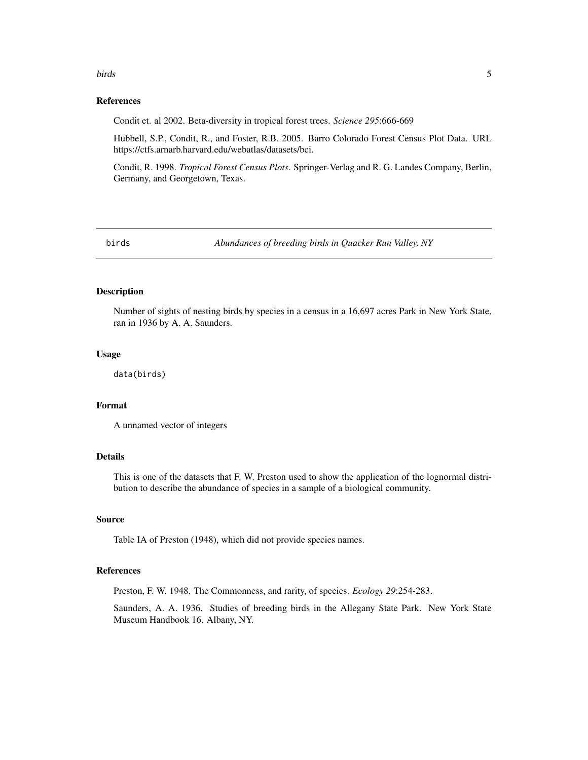#### <span id="page-4-0"></span>birds 5

#### References

Condit et. al 2002. Beta-diversity in tropical forest trees. *Science 295*:666-669

Hubbell, S.P., Condit, R., and Foster, R.B. 2005. Barro Colorado Forest Census Plot Data. URL https://ctfs.arnarb.harvard.edu/webatlas/datasets/bci.

Condit, R. 1998. *Tropical Forest Census Plots*. Springer-Verlag and R. G. Landes Company, Berlin, Germany, and Georgetown, Texas.

birds *Abundances of breeding birds in Quacker Run Valley, NY*

# **Description**

Number of sights of nesting birds by species in a census in a 16,697 acres Park in New York State, ran in 1936 by A. A. Saunders.

#### Usage

data(birds)

# Format

A unnamed vector of integers

# Details

This is one of the datasets that F. W. Preston used to show the application of the lognormal distribution to describe the abundance of species in a sample of a biological community.

#### Source

Table IA of Preston (1948), which did not provide species names.

# References

Preston, F. W. 1948. The Commonness, and rarity, of species. *Ecology 29*:254-283.

Saunders, A. A. 1936. Studies of breeding birds in the Allegany State Park. New York State Museum Handbook 16. Albany, NY.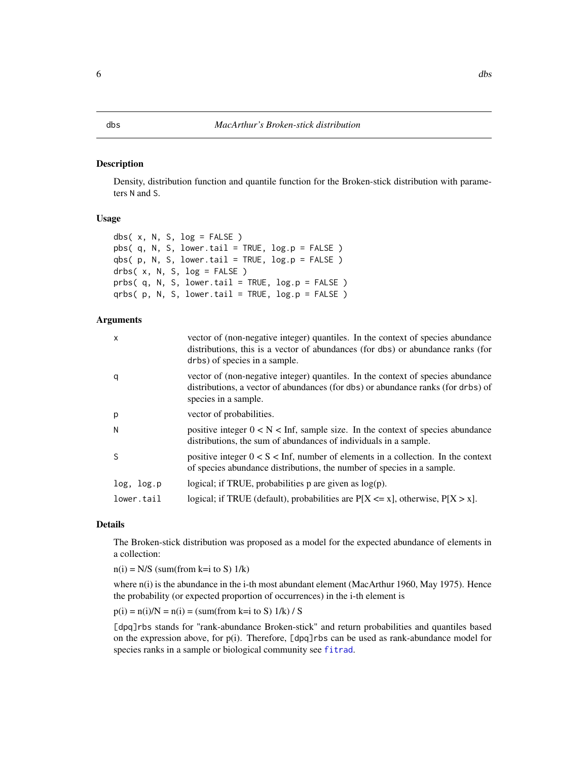#### <span id="page-5-1"></span><span id="page-5-0"></span>Description

Density, distribution function and quantile function for the Broken-stick distribution with parameters N and S.

#### Usage

```
dbs( x, N, S, log = FALSE )
pbs( q, N, S, lower.tail = TRUE, log.p = FALSE )
qbs(p, N, S, lower.tail = TRUE, log.p = FALSE)
drbs(x, N, S, log = FALSE)
prbs(q, N, S, lower.tail = TRUE, log.p = FALSE)
qrbs(p, N, S, lower.tail = TRUE, log.p = FALSE)
```
#### Arguments

| $\mathsf{x}$ | vector of (non-negative integer) quantiles. In the context of species abundance<br>distributions, this is a vector of abundances (for dbs) or abundance ranks (for<br>drbs) of species in a sample. |
|--------------|-----------------------------------------------------------------------------------------------------------------------------------------------------------------------------------------------------|
| q            | vector of (non-negative integer) quantiles. In the context of species abundance<br>distributions, a vector of abundances (for dbs) or abundance ranks (for drbs) of<br>species in a sample.         |
| p            | vector of probabilities.                                                                                                                                                                            |
| N            | positive integer $0 < N <$ Inf, sample size. In the context of species abundance<br>distributions, the sum of abundances of individuals in a sample.                                                |
| <sub>S</sub> | positive integer $0 < S < \text{Inf}$ , number of elements in a collection. In the context<br>of species abundance distributions, the number of species in a sample.                                |
| log, log.p   | logical; if TRUE, probabilities $p$ are given as $log(p)$ .                                                                                                                                         |
| lower.tail   | logical; if TRUE (default), probabilities are $P[X \le x]$ , otherwise, $P[X > x]$ .                                                                                                                |

#### Details

The Broken-stick distribution was proposed as a model for the expected abundance of elements in a collection:

 $n(i) = N/S$  (sum(from k=i to S)  $1/k$ )

where n(i) is the abundance in the i-th most abundant element (MacArthur 1960, May 1975). Hence the probability (or expected proportion of occurrences) in the i-th element is

 $p(i) = n(i)/N = n(i) = (sum(from k=i to S) 1/k) / S$ 

[dpq]rbs stands for "rank-abundance Broken-stick" and return probabilities and quantiles based on the expression above, for p(i). Therefore, [dpq]rbs can be used as rank-abundance model for species ranks in a sample or biological community see [fitrad](#page-27-1).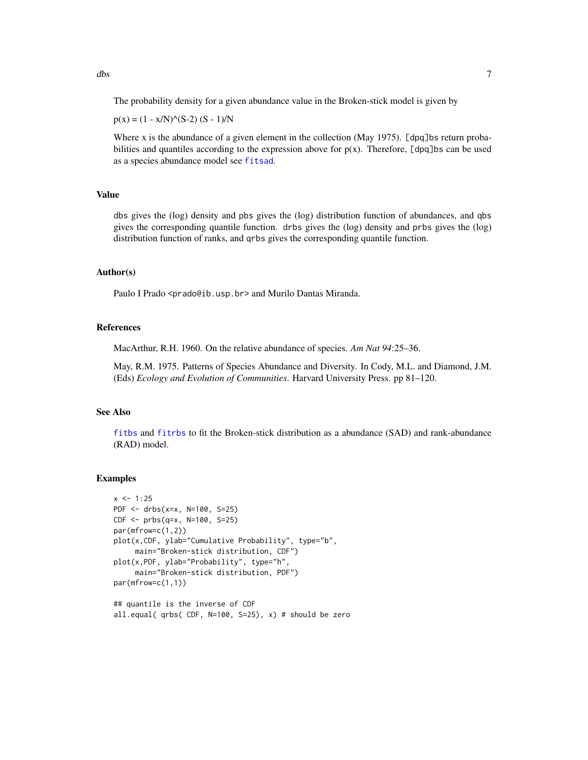<span id="page-6-0"></span>The probability density for a given abundance value in the Broken-stick model is given by

 $p(x) = (1 - x/N)^{N}(S-2) (S - 1)/N$ 

Where x is the abundance of a given element in the collection (May 1975). [dpq]bs return probabilities and quantiles according to the expression above for  $p(x)$ . Therefore, [dpq]bs can be used as a species abundance model see [fitsad](#page-32-1).

#### Value

dbs gives the (log) density and pbs gives the (log) distribution function of abundances, and qbs gives the corresponding quantile function. drbs gives the (log) density and prbs gives the (log) distribution function of ranks, and qrbs gives the corresponding quantile function.

#### Author(s)

Paulo I Prado <prado@ib.usp.br> and Murilo Dantas Miranda.

# References

MacArthur, R.H. 1960. On the relative abundance of species. *Am Nat 94*:25–36.

May, R.M. 1975. Patterns of Species Abundance and Diversity. In Cody, M.L. and Diamond, J.M. (Eds) *Ecology and Evolution of Communities*. Harvard University Press. pp 81–120.

# See Also

[fitbs](#page-32-2) and [fitrbs](#page-27-2) to fit the Broken-stick distribution as a abundance (SAD) and rank-abundance (RAD) model.

#### Examples

```
x \le -1:25PDF <- drbs(x=x, N=100, S=25)
CDF <- prbs(q=x, N=100, S=25)
par(mfrow=c(1,2))
plot(x,CDF, ylab="Cumulative Probability", type="b",
     main="Broken-stick distribution, CDF")
plot(x,PDF, ylab="Probability", type="h",
     main="Broken-stick distribution, PDF")
par(mfrow=c(1,1))
## quantile is the inverse of CDF
all.equal( qrbs( CDF, N=100, S=25), x) # should be zero
```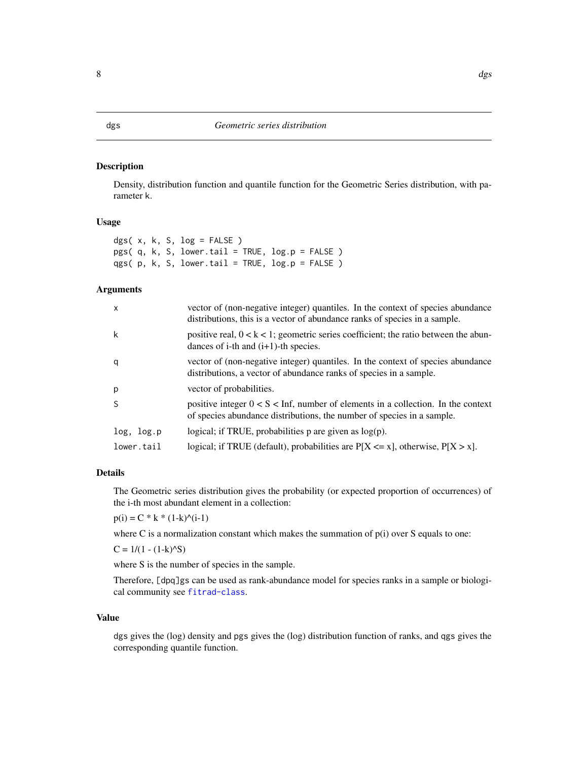# <span id="page-7-1"></span><span id="page-7-0"></span>Description

Density, distribution function and quantile function for the Geometric Series distribution, with parameter k.

# Usage

|  |  | dgs( $x, k, S, log = FALSE$ )                    |  |
|--|--|--------------------------------------------------|--|
|  |  | $pgs( q, k, S, lowertail = TRUE, log.p = FALSE)$ |  |
|  |  | $qgs( p, k, S, lowertail = TRUE, log.p = FALSE)$ |  |

### Arguments

| $\mathsf{x}$ | vector of (non-negative integer) quantiles. In the context of species abundance<br>distributions, this is a vector of abundance ranks of species in a sample. |
|--------------|---------------------------------------------------------------------------------------------------------------------------------------------------------------|
| k            | positive real, $0 < k < 1$ ; geometric series coefficient; the ratio between the abun-<br>dances of i-th and $(i+1)$ -th species.                             |
| q            | vector of (non-negative integer) quantiles. In the context of species abundance<br>distributions, a vector of abundance ranks of species in a sample.         |
| p            | vector of probabilities.                                                                                                                                      |
| <sup>S</sup> | positive integer $0 < S <$ Inf, number of elements in a collection. In the context<br>of species abundance distributions, the number of species in a sample.  |
| log, log.p   | logical; if TRUE, probabilities $p$ are given as $log(p)$ .                                                                                                   |
| lower.tail   | logical; if TRUE (default), probabilities are $P[X \le x]$ , otherwise, $P[X > x]$ .                                                                          |

# Details

The Geometric series distribution gives the probability (or expected proportion of occurrences) of the i-th most abundant element in a collection:

 $p(i) = C * k * (1-k)^{\wedge}(i-1)$ 

where C is a normalization constant which makes the summation of  $p(i)$  over S equals to one:

 $C = 1/(1 - (1-k)^{k}S)$ 

where S is the number of species in the sample.

Therefore, [dpq]gs can be used as rank-abundance model for species ranks in a sample or biological community see [fitrad-class](#page-29-1).

# Value

dgs gives the (log) density and pgs gives the (log) distribution function of ranks, and qgs gives the corresponding quantile function.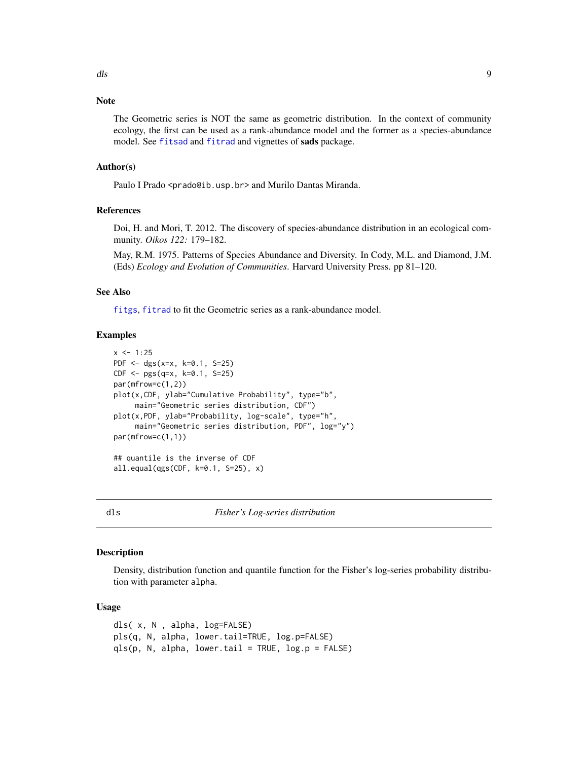# <span id="page-8-0"></span>Note

The Geometric series is NOT the same as geometric distribution. In the context of community ecology, the first can be used as a rank-abundance model and the former as a species-abundance model. See [fitsad](#page-32-1) and [fitrad](#page-27-1) and vignettes of sads package.

# Author(s)

Paulo I Prado <prado@ib.usp.br> and Murilo Dantas Miranda.

# References

Doi, H. and Mori, T. 2012. The discovery of species-abundance distribution in an ecological community. *Oikos 122:* 179–182.

May, R.M. 1975. Patterns of Species Abundance and Diversity. In Cody, M.L. and Diamond, J.M. (Eds) *Ecology and Evolution of Communities*. Harvard University Press. pp 81–120.

# See Also

[fitgs](#page-27-2), [fitrad](#page-27-1) to fit the Geometric series as a rank-abundance model.

# Examples

```
x \le -1:25PDF <- dgs(x=x, k=0.1, S=25)
CDF <- pgs(q=x, k=0.1, S=25)
par(mfrow=c(1,2))
plot(x,CDF, ylab="Cumulative Probability", type="b",
     main="Geometric series distribution, CDF")
plot(x,PDF, ylab="Probability, log-scale", type="h",
     main="Geometric series distribution, PDF", log="y")
par(mfrow=c(1,1))
## quantile is the inverse of CDF
all.equal(qgs(CDF, k=0.1, S=25), x)
```
<span id="page-8-1"></span>dls *Fisher's Log-series distribution*

### Description

Density, distribution function and quantile function for the Fisher's log-series probability distribution with parameter alpha.

#### Usage

```
dls( x, N , alpha, log=FALSE)
pls(q, N, alpha, lower.tail=TRUE, log.p=FALSE)
qls(p, N, alpha, lower.tail = TRUE, log.p = FALSE)
```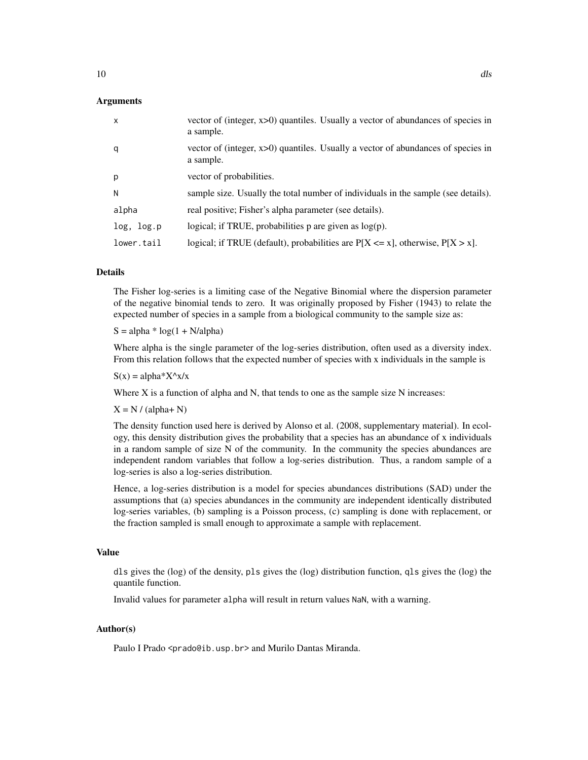# Arguments

| $\mathsf{x}$ | vector of (integer, x>0) quantiles. Usually a vector of abundances of species in<br>a sample. |
|--------------|-----------------------------------------------------------------------------------------------|
| q            | vector of (integer, x>0) quantiles. Usually a vector of abundances of species in<br>a sample. |
| p            | vector of probabilities.                                                                      |
| N            | sample size. Usually the total number of individuals in the sample (see details).             |
| alpha        | real positive; Fisher's alpha parameter (see details).                                        |
| log, log.p   | logical; if TRUE, probabilities $p$ are given as $log(p)$ .                                   |
| lower.tail   | logical; if TRUE (default), probabilities are $P[X \le x]$ , otherwise, $P[X > x]$ .          |

# Details

The Fisher log-series is a limiting case of the Negative Binomial where the dispersion parameter of the negative binomial tends to zero. It was originally proposed by Fisher (1943) to relate the expected number of species in a sample from a biological community to the sample size as:

 $S = alpha * log(1 + N/alpha)$ 

Where alpha is the single parameter of the log-series distribution, often used as a diversity index. From this relation follows that the expected number of species with x individuals in the sample is

 $S(x) = alpha*X^x/x$ 

Where X is a function of alpha and N, that tends to one as the sample size N increases:

 $X = N / (alpha + N)$ 

The density function used here is derived by Alonso et al. (2008, supplementary material). In ecology, this density distribution gives the probability that a species has an abundance of x individuals in a random sample of size N of the community. In the community the species abundances are independent random variables that follow a log-series distribution. Thus, a random sample of a log-series is also a log-series distribution.

Hence, a log-series distribution is a model for species abundances distributions (SAD) under the assumptions that (a) species abundances in the community are independent identically distributed log-series variables, (b) sampling is a Poisson process, (c) sampling is done with replacement, or the fraction sampled is small enough to approximate a sample with replacement.

### Value

dls gives the (log) of the density, pls gives the (log) distribution function, qls gives the (log) the quantile function.

Invalid values for parameter alpha will result in return values NaN, with a warning.

# Author(s)

Paulo I Prado <prado@ib.usp.br> and Murilo Dantas Miranda.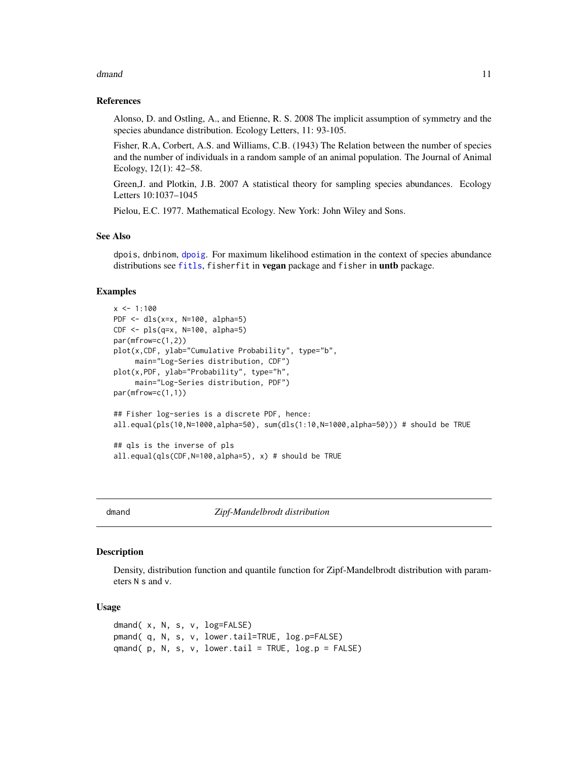#### <span id="page-10-0"></span>dmand 11 and 12 and 12 and 12 and 12 and 12 and 12 and 12 and 12 and 12 and 12 and 12 and 12 and 12 and 12 and 12 and 12 and 12 and 12 and 12 and 12 and 12 and 12 and 12 and 12 and 12 and 12 and 12 and 12 and 12 and 12 and

# References

Alonso, D. and Ostling, A., and Etienne, R. S. 2008 The implicit assumption of symmetry and the species abundance distribution. Ecology Letters, 11: 93-105.

Fisher, R.A, Corbert, A.S. and Williams, C.B. (1943) The Relation between the number of species and the number of individuals in a random sample of an animal population. The Journal of Animal Ecology, 12(1): 42–58.

Green,J. and Plotkin, J.B. 2007 A statistical theory for sampling species abundances. Ecology Letters 10:1037–1045

Pielou, E.C. 1977. Mathematical Ecology. New York: John Wiley and Sons.

# See Also

dpois, dnbinom, [dpoig](#page-15-1). For maximum likelihood estimation in the context of species abundance distributions see [fitls](#page-32-2), fisherfit in vegan package and fisher in untb package.

#### Examples

```
x < -1:100PDF <- dls(x=x, N=100, alpha=5)
CDF < - plus(q=x, N=100, alpha=5)par(mfrow=c(1,2))
plot(x,CDF, ylab="Cumulative Probability", type="b",
     main="Log-Series distribution, CDF")
plot(x,PDF, ylab="Probability", type="h",
     main="Log-Series distribution, PDF")
par(mfrow=c(1,1))
## Fisher log-series is a discrete PDF, hence:
all.equal(pls(10,N=1000,alpha=50), sum(dls(1:10,N=1000,alpha=50))) # should be TRUE
## qls is the inverse of pls
all.equal(qls(CDF,N=100,alpha=5), x) # should be TRUE
```
<span id="page-10-1"></span>dmand *Zipf-Mandelbrodt distribution*

#### **Description**

Density, distribution function and quantile function for Zipf-Mandelbrodt distribution with parameters N s and v.

#### Usage

```
dmand( x, N, s, v, log=FALSE)
pmand( q, N, s, v, lower.tail=TRUE, log.p=FALSE)
qmand( p, N, s, v, lower.tail = TRUE, log.p = FALSE)
```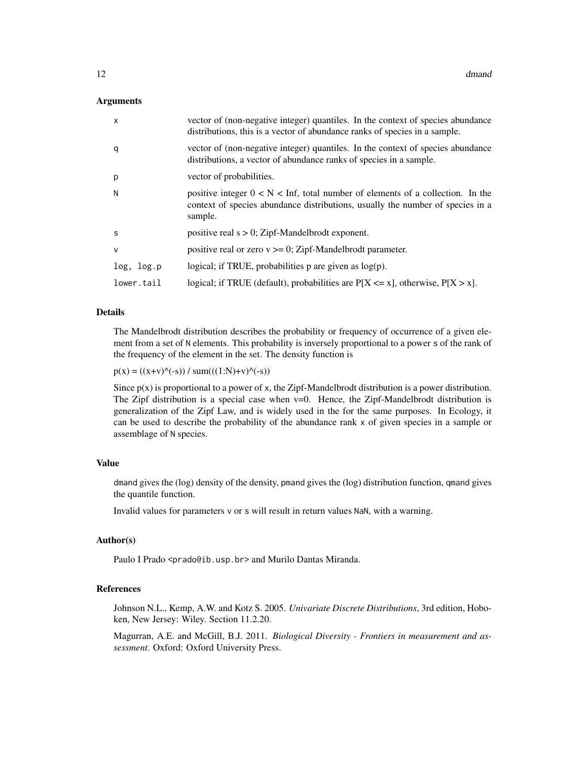#### Arguments

| $\mathsf{x}$ | vector of (non-negative integer) quantiles. In the context of species abundance<br>distributions, this is a vector of abundance ranks of species in a sample.                 |
|--------------|-------------------------------------------------------------------------------------------------------------------------------------------------------------------------------|
| q            | vector of (non-negative integer) quantiles. In the context of species abundance<br>distributions, a vector of abundance ranks of species in a sample.                         |
| p            | vector of probabilities.                                                                                                                                                      |
| N            | positive integer $0 < N <$ Inf, total number of elements of a collection. In the<br>context of species abundance distributions, usually the number of species in a<br>sample. |
| S            | positive real $s > 0$ ; Zipf-Mandelbrodt exponent.                                                                                                                            |
| $\vee$       | positive real or zero $v \ge 0$ ; Zipf-Mandelbrodt parameter.                                                                                                                 |
| log, log.p   | logical; if TRUE, probabilities $p$ are given as $log(p)$ .                                                                                                                   |
| lower.tail   | logical; if TRUE (default), probabilities are $P[X \le x]$ , otherwise, $P[X > x]$ .                                                                                          |

# Details

The Mandelbrodt distribution describes the probability or frequency of occurrence of a given element from a set of N elements. This probability is inversely proportional to a power s of the rank of the frequency of the element in the set. The density function is

 $p(x) = ((x+v)^{(-s)}) / sum(((1:N)+v)^{(-s)})$ 

Since  $p(x)$  is proportional to a power of x, the Zipf-Mandelbrodt distribution is a power distribution. The Zipf distribution is a special case when  $v=0$ . Hence, the Zipf-Mandelbrodt distribution is generalization of the Zipf Law, and is widely used in the for the same purposes. In Ecology, it can be used to describe the probability of the abundance rank x of given species in a sample or assemblage of N species.

#### Value

dmand gives the (log) density of the density, pmand gives the (log) distribution function, qmand gives the quantile function.

Invalid values for parameters v or s will result in return values NaN, with a warning.

#### Author(s)

Paulo I Prado <prado@ib.usp.br> and Murilo Dantas Miranda.

# References

Johnson N.L., Kemp, A.W. and Kotz S. 2005. *Univariate Discrete Distributions*, 3rd edition, Hoboken, New Jersey: Wiley. Section 11.2.20.

Magurran, A.E. and McGill, B.J. 2011. *Biological Diversity - Frontiers in measurement and assessment*. Oxford: Oxford University Press.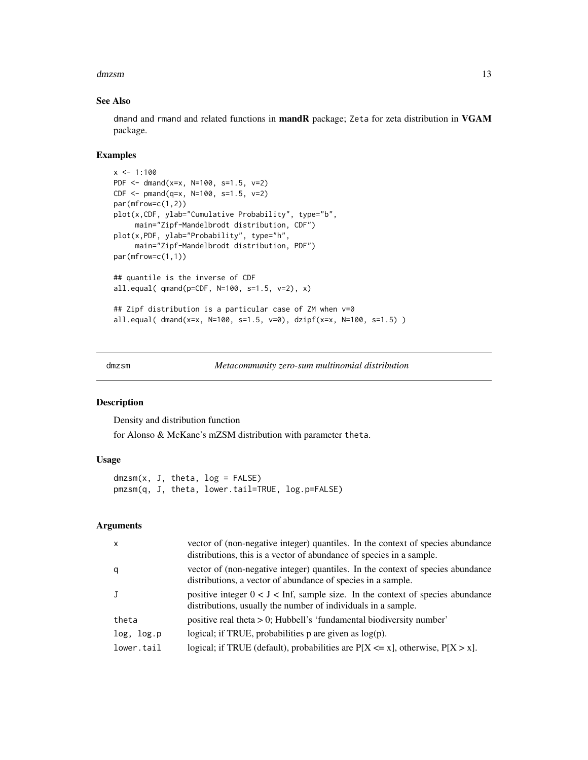#### <span id="page-12-0"></span>dmzsm and the contract of the contract of the contract of the contract of the contract of the contract of the contract of the contract of the contract of the contract of the contract of the contract of the contract of the

#### See Also

dmand and rmand and related functions in mandR package; Zeta for zeta distribution in VGAM package.

#### Examples

```
x \le -1:100PDF <- dmand(x=x, N=100, s=1.5, v=2)
CDF <- pmand(q=x, N=100, s=1.5, v=2)
par(mfrow=c(1,2))
plot(x,CDF, ylab="Cumulative Probability", type="b",
     main="Zipf-Mandelbrodt distribution, CDF")
plot(x,PDF, ylab="Probability", type="h",
     main="Zipf-Mandelbrodt distribution, PDF")
par(mfrow=c(1,1))
## quantile is the inverse of CDF
all.equal( qmand(p=CDF, N=100, s=1.5, v=2), x)
## Zipf distribution is a particular case of ZM when v=0
all.equal( dmand(x=x, N=100, s=1.5, v=0), dzipf(x=x, N=100, s=1.5) )
```
<span id="page-12-1"></span>dmzsm *Metacommunity zero-sum multinomial distribution*

#### Description

Density and distribution function for Alonso & McKane's mZSM distribution with parameter theta.

# Usage

 $dmzsm(x, J, theta, log = FALSE)$ pmzsm(q, J, theta, lower.tail=TRUE, log.p=FALSE)

#### Arguments

| $\mathsf{x}$ | vector of (non-negative integer) quantiles. In the context of species abundance<br>distributions, this is a vector of abundance of species in a sample. |
|--------------|---------------------------------------------------------------------------------------------------------------------------------------------------------|
| q            | vector of (non-negative integer) quantiles. In the context of species abundance<br>distributions, a vector of abundance of species in a sample.         |
| J            | positive integer $0 < J <$ Inf, sample size. In the context of species abundance<br>distributions, usually the number of individuals in a sample.       |
| theta        | positive real theta $> 0$ ; Hubbell's 'fundamental biodiversity number'                                                                                 |
| log, log.p   | logical; if TRUE, probabilities $p$ are given as $log(p)$ .                                                                                             |
| lower.tail   | logical; if TRUE (default), probabilities are $P[X \le x]$ , otherwise, $P[X > x]$ .                                                                    |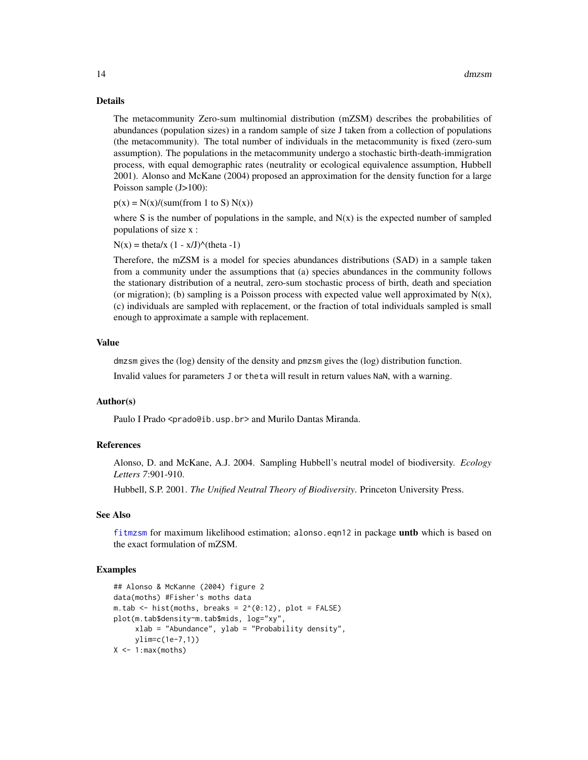#### Details

The metacommunity Zero-sum multinomial distribution (mZSM) describes the probabilities of abundances (population sizes) in a random sample of size J taken from a collection of populations (the metacommunity). The total number of individuals in the metacommunity is fixed (zero-sum assumption). The populations in the metacommunity undergo a stochastic birth-death-immigration process, with equal demographic rates (neutrality or ecological equivalence assumption, Hubbell 2001). Alonso and McKane (2004) proposed an approximation for the density function for a large Poisson sample (J>100):

 $p(x) = N(x)/(sum(from 1 to S) N(x))$ 

where S is the number of populations in the sample, and  $N(x)$  is the expected number of sampled populations of size x :

 $N(x) = \text{theta}/x (1 - x/J)^{\wedge}(\text{theta } -1)$ 

Therefore, the mZSM is a model for species abundances distributions (SAD) in a sample taken from a community under the assumptions that (a) species abundances in the community follows the stationary distribution of a neutral, zero-sum stochastic process of birth, death and speciation (or migration); (b) sampling is a Poisson process with expected value well approximated by  $N(x)$ , (c) individuals are sampled with replacement, or the fraction of total individuals sampled is small enough to approximate a sample with replacement.

# Value

dmzsm gives the (log) density of the density and pmzsm gives the (log) distribution function.

Invalid values for parameters J or theta will result in return values NaN, with a warning.

# Author(s)

Paulo I Prado <prado@ib.usp.br> and Murilo Dantas Miranda.

#### References

Alonso, D. and McKane, A.J. 2004. Sampling Hubbell's neutral model of biodiversity. *Ecology Letters 7*:901-910.

Hubbell, S.P. 2001. *The Unified Neutral Theory of Biodiversity*. Princeton University Press.

#### See Also

[fitmzsm](#page-32-2) for maximum likelihood estimation; alonso.eqn12 in package untb which is based on the exact formulation of mZSM.

#### Examples

```
## Alonso & McKanne (2004) figure 2
data(moths) #Fisher's moths data
m.tab \le hist(moths, breaks = 2^(0:12), plot = FALSE)
plot(m.tab$density~m.tab$mids, log="xy",
     xlab = "Abundance", ylab = "Probability density",
     ylim=c(1e-7,1))
X \leftarrow 1: max(moths)
```
<span id="page-13-0"></span>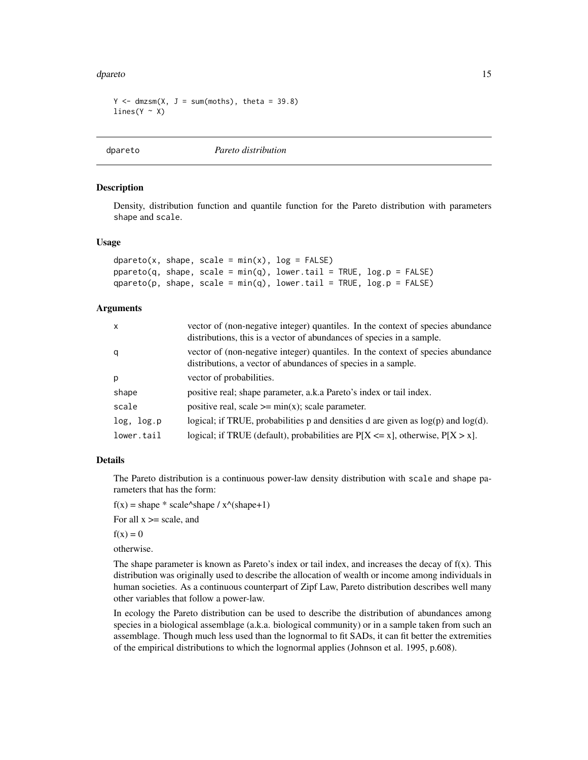#### <span id="page-14-0"></span>dpareto and 15

```
Y \le - dmzsm(X, J = sum(moths), theta = 39.8)lines(Y \sim X)
```
<span id="page-14-1"></span>dpareto *Pareto distribution*

# Description

Density, distribution function and quantile function for the Pareto distribution with parameters shape and scale.

#### Usage

```
dpareto(x, shape, scale = min(x), log = FALSE)
pparento(q, shape, scale = min(q), lower.tail = TRUE, log.p = FALSE)qparento(p, shape, scale = min(q), lower.tail = TRUE, log.p = FALSE)
```
#### Arguments

| $\mathsf{x}$ | vector of (non-negative integer) quantiles. In the context of species abundance<br>distributions, this is a vector of abundances of species in a sample. |
|--------------|----------------------------------------------------------------------------------------------------------------------------------------------------------|
| q            | vector of (non-negative integer) quantiles. In the context of species abundance<br>distributions, a vector of abundances of species in a sample.         |
| p            | vector of probabilities.                                                                                                                                 |
| shape        | positive real; shape parameter, a.k.a Pareto's index or tail index.                                                                                      |
| scale        | positive real, scale $\geq$ = min(x); scale parameter.                                                                                                   |
| log, log.p   | logical; if TRUE, probabilities p and densities d are given as $log(p)$ and $log(d)$ .                                                                   |
| lower.tail   | logical; if TRUE (default), probabilities are $P[X \le x]$ , otherwise, $P[X > x]$ .                                                                     |

#### Details

The Pareto distribution is a continuous power-law density distribution with scale and shape parameters that has the form:

 $f(x) = shape * scale^s shape / x^s(shape+1)$ 

For all  $x \ge$  scale, and

 $f(x) = 0$ 

otherwise.

The shape parameter is known as Pareto's index or tail index, and increases the decay of  $f(x)$ . This distribution was originally used to describe the allocation of wealth or income among individuals in human societies. As a continuous counterpart of Zipf Law, Pareto distribution describes well many other variables that follow a power-law.

In ecology the Pareto distribution can be used to describe the distribution of abundances among species in a biological assemblage (a.k.a. biological community) or in a sample taken from such an assemblage. Though much less used than the lognormal to fit SADs, it can fit better the extremities of the empirical distributions to which the lognormal applies (Johnson et al. 1995, p.608).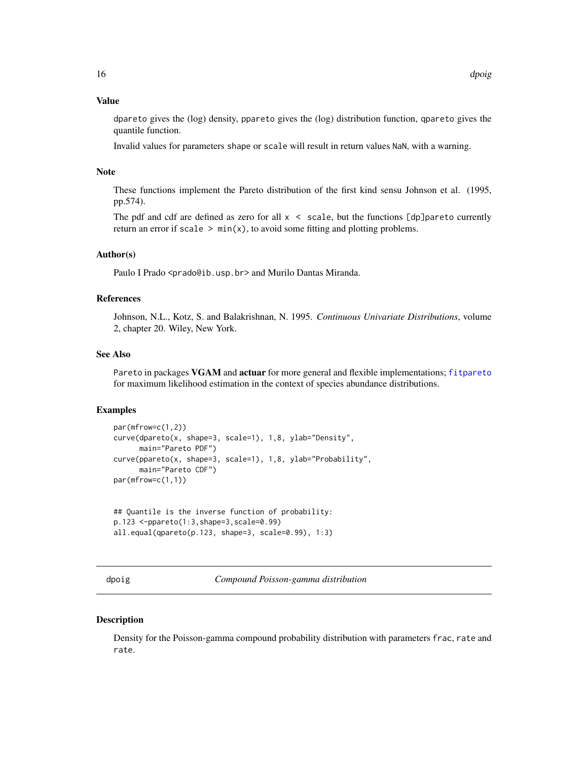# <span id="page-15-0"></span>Value

dpareto gives the (log) density, ppareto gives the (log) distribution function, qpareto gives the quantile function.

Invalid values for parameters shape or scale will result in return values NaN, with a warning.

#### Note

These functions implement the Pareto distribution of the first kind sensu Johnson et al. (1995, pp.574).

The pdf and cdf are defined as zero for all  $x <$  scale, but the functions [dp]pareto currently return an error if scale  $> min(x)$ , to avoid some fitting and plotting problems.

# Author(s)

Paulo I Prado <prado@ib.usp.br> and Murilo Dantas Miranda.

#### **References**

Johnson, N.L., Kotz, S. and Balakrishnan, N. 1995. *Continuous Univariate Distributions*, volume 2, chapter 20. Wiley, New York.

#### See Also

Pareto in packages VGAM and actuar for more general and flexible implementations; [fitpareto](#page-32-2) for maximum likelihood estimation in the context of species abundance distributions.

#### Examples

```
par(mfrow=c(1,2))
curve(dpareto(x, shape=3, scale=1), 1,8, ylab="Density",
     main="Pareto PDF")
curve(ppareto(x, shape=3, scale=1), 1,8, ylab="Probability",
     main="Pareto CDF")
par(mfrow=c(1,1))
```

```
## Quantile is the inverse function of probability:
p.123 <-ppareto(1:3,shape=3,scale=0.99)
all.equal(qpareto(p.123, shape=3, scale=0.99), 1:3)
```
<span id="page-15-1"></span>dpoig *Compound Poisson-gamma distribution*

#### **Description**

Density for the Poisson-gamma compound probability distribution with parameters frac, rate and rate.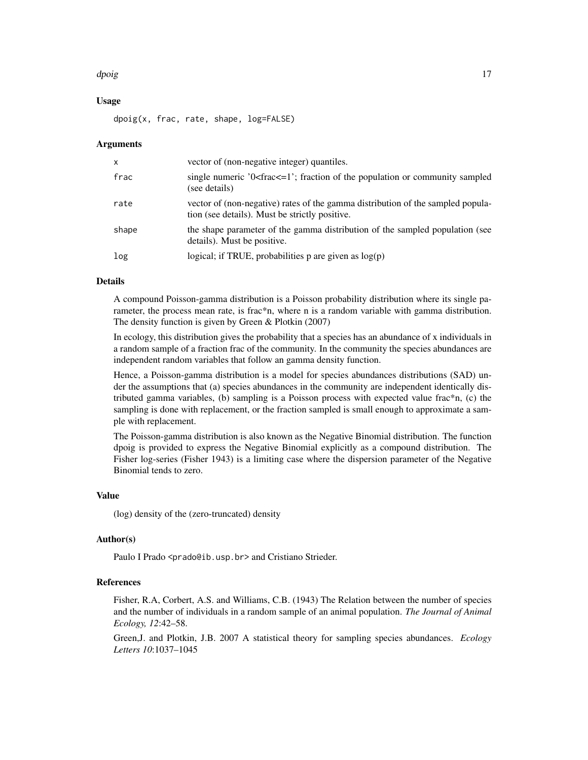#### d*poig* the contract of the contract of the contract of the contract of the contract of the contract of the contract of the contract of the contract of the contract of the contract of the contract of the contract of the co

# Usage

dpoig(x, frac, rate, shape, log=FALSE)

#### Arguments

| $\mathsf{x}$ | vector of (non-negative integer) quantiles.                                                                                       |
|--------------|-----------------------------------------------------------------------------------------------------------------------------------|
| frac         | single numeric '0 <frac<math>\leq=1'; fraction of the population or community sampled<br/>(see details)</frac<math>               |
| rate         | vector of (non-negative) rates of the gamma distribution of the sampled popula-<br>tion (see details). Must be strictly positive. |
| shape        | the shape parameter of the gamma distribution of the sampled population (see<br>details). Must be positive.                       |
| log          | logical; if TRUE, probabilities p are given as $log(p)$                                                                           |

#### Details

A compound Poisson-gamma distribution is a Poisson probability distribution where its single parameter, the process mean rate, is frac\*n, where n is a random variable with gamma distribution. The density function is given by Green & Plotkin (2007)

In ecology, this distribution gives the probability that a species has an abundance of x individuals in a random sample of a fraction frac of the community. In the community the species abundances are independent random variables that follow an gamma density function.

Hence, a Poisson-gamma distribution is a model for species abundances distributions (SAD) under the assumptions that (a) species abundances in the community are independent identically distributed gamma variables, (b) sampling is a Poisson process with expected value frac\*n, (c) the sampling is done with replacement, or the fraction sampled is small enough to approximate a sample with replacement.

The Poisson-gamma distribution is also known as the Negative Binomial distribution. The function dpoig is provided to express the Negative Binomial explicitly as a compound distribution. The Fisher log-series (Fisher 1943) is a limiting case where the dispersion parameter of the Negative Binomial tends to zero.

# Value

(log) density of the (zero-truncated) density

#### Author(s)

Paulo I Prado <prado@ib.usp.br> and Cristiano Strieder.

#### References

Fisher, R.A, Corbert, A.S. and Williams, C.B. (1943) The Relation between the number of species and the number of individuals in a random sample of an animal population. *The Journal of Animal Ecology, 12*:42–58.

Green,J. and Plotkin, J.B. 2007 A statistical theory for sampling species abundances. *Ecology Letters 10*:1037–1045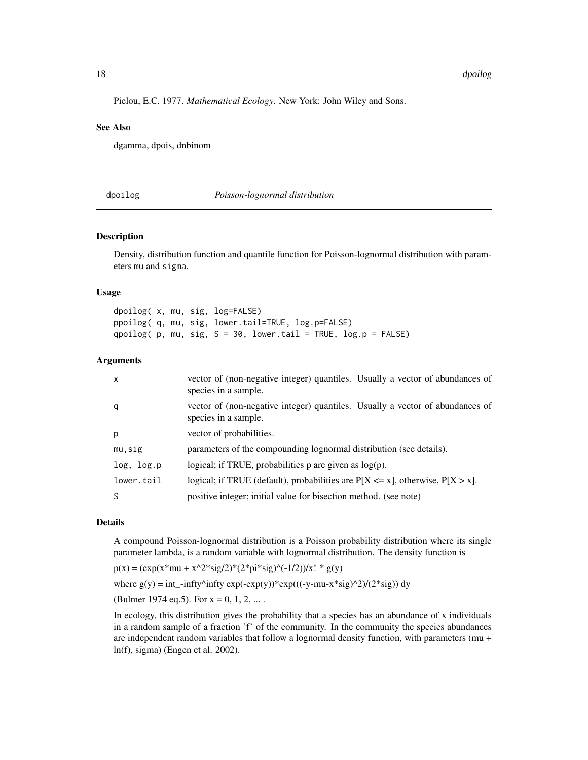Pielou, E.C. 1977. *Mathematical Ecology*. New York: John Wiley and Sons.

# See Also

dgamma, dpois, dnbinom

<span id="page-17-1"></span>dpoilog *Poisson-lognormal distribution*

# **Description**

Density, distribution function and quantile function for Poisson-lognormal distribution with parameters mu and sigma.

#### Usage

dpoilog( x, mu, sig, log=FALSE) ppoilog( q, mu, sig, lower.tail=TRUE, log.p=FALSE) qpoilog(  $p$ , mu, sig,  $S = 30$ , lower.tail = TRUE,  $log.p = FALSE$ )

#### **Arguments**

| $\mathsf{x}$ | vector of (non-negative integer) quantiles. Usually a vector of abundances of<br>species in a sample. |
|--------------|-------------------------------------------------------------------------------------------------------|
| q            | vector of (non-negative integer) quantiles. Usually a vector of abundances of<br>species in a sample. |
| p            | vector of probabilities.                                                                              |
| mu,sig       | parameters of the compounding lognormal distribution (see details).                                   |
| log, log.p   | logical; if TRUE, probabilities $p$ are given as $log(p)$ .                                           |
| lower.tail   | logical; if TRUE (default), probabilities are $P[X \le x]$ , otherwise, $P[X > x]$ .                  |
|              | positive integer; initial value for bisection method. (see note)                                      |

#### Details

A compound Poisson-lognormal distribution is a Poisson probability distribution where its single parameter lambda, is a random variable with lognormal distribution. The density function is

 $p(x) = (exp(x * mu + x^2 * sig/2) * (2 * pi * sig)^(-1/2)) / x! * g(y)$ 

where  $g(y) = int$ -infty^infty exp(-exp(y))\*exp(((-y-mu-x\*sig)^2)/(2\*sig)) dy

(Bulmer 1974 eq. 5). For  $x = 0, 1, 2, ...$ .

In ecology, this distribution gives the probability that a species has an abundance of x individuals in a random sample of a fraction 'f' of the community. In the community the species abundances are independent random variables that follow a lognormal density function, with parameters (mu + ln(f), sigma) (Engen et al. 2002).

<span id="page-17-0"></span>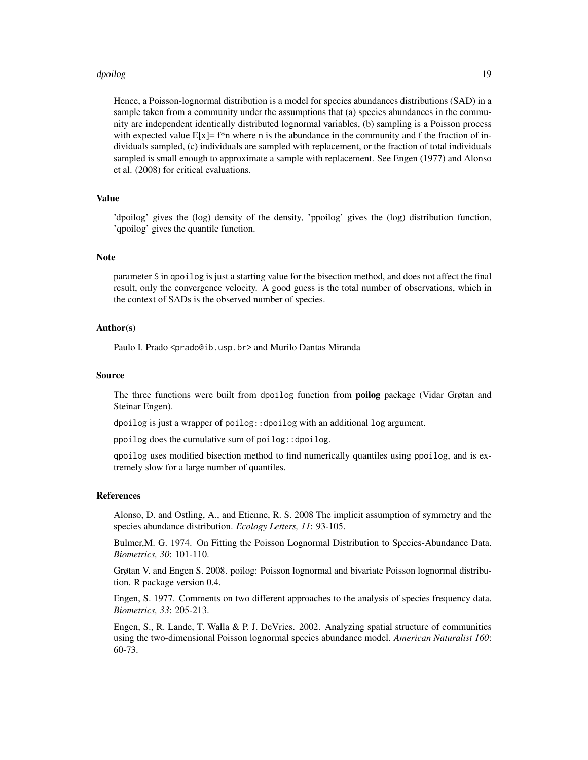#### dpoilog the contract of the contract of the contract of the contract of the contract of the contract of the contract of the contract of the contract of the contract of the contract of the contract of the contract of the co

Hence, a Poisson-lognormal distribution is a model for species abundances distributions (SAD) in a sample taken from a community under the assumptions that (a) species abundances in the community are independent identically distributed lognormal variables, (b) sampling is a Poisson process with expected value  $E[x] = f^*n$  where n is the abundance in the community and f the fraction of individuals sampled, (c) individuals are sampled with replacement, or the fraction of total individuals sampled is small enough to approximate a sample with replacement. See Engen (1977) and Alonso et al. (2008) for critical evaluations.

#### Value

'dpoilog' gives the (log) density of the density, 'ppoilog' gives the (log) distribution function, 'qpoilog' gives the quantile function.

#### Note

parameter S in qpoilog is just a starting value for the bisection method, and does not affect the final result, only the convergence velocity. A good guess is the total number of observations, which in the context of SADs is the observed number of species.

#### Author(s)

Paulo I. Prado <prado@ib.usp.br> and Murilo Dantas Miranda

#### Source

The three functions were built from dpoilog function from **poilog** package (Vidar Grøtan and Steinar Engen).

dpoilog is just a wrapper of poilog::dpoilog with an additional log argument.

ppoilog does the cumulative sum of poilog::dpoilog.

qpoilog uses modified bisection method to find numerically quantiles using ppoilog, and is extremely slow for a large number of quantiles.

#### References

Alonso, D. and Ostling, A., and Etienne, R. S. 2008 The implicit assumption of symmetry and the species abundance distribution. *Ecology Letters, 11*: 93-105.

Bulmer,M. G. 1974. On Fitting the Poisson Lognormal Distribution to Species-Abundance Data. *Biometrics, 30*: 101-110.

Grøtan V. and Engen S. 2008. poilog: Poisson lognormal and bivariate Poisson lognormal distribution. R package version 0.4.

Engen, S. 1977. Comments on two different approaches to the analysis of species frequency data. *Biometrics, 33*: 205-213.

Engen, S., R. Lande, T. Walla & P. J. DeVries. 2002. Analyzing spatial structure of communities using the two-dimensional Poisson lognormal species abundance model. *American Naturalist 160*: 60-73.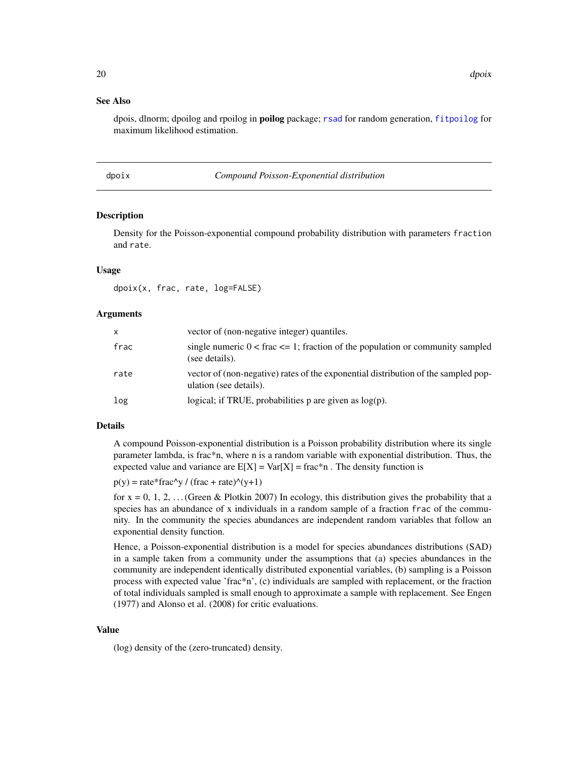# <span id="page-19-0"></span>See Also

dpois, dlnorm; dpoilog and rpoilog in poilog package; [rsad](#page-56-1) for random generation, [fitpoilog](#page-32-2) for maximum likelihood estimation.

<span id="page-19-1"></span>dpoix *Compound Poisson-Exponential distribution*

# Description

Density for the Poisson-exponential compound probability distribution with parameters fraction and rate.

#### Usage

dpoix(x, frac, rate, log=FALSE)

#### Arguments

| X    | vector of (non-negative integer) quantiles.                                                                  |
|------|--------------------------------------------------------------------------------------------------------------|
| frac | single numeric $0 <$ frac $\leq$ 1; fraction of the population or community sampled<br>(see details).        |
| rate | vector of (non-negative) rates of the exponential distribution of the sampled pop-<br>ulation (see details). |
| log  | logical; if TRUE, probabilities $p$ are given as $log(p)$ .                                                  |

# Details

A compound Poisson-exponential distribution is a Poisson probability distribution where its single parameter lambda, is frac\*n, where n is a random variable with exponential distribution. Thus, the expected value and variance are  $E[X] = Var[X] = frac*n$ . The density function is

 $p(y) = rate*frac\wedge y / (frac + rate)\wedge (y+1)$ 

for  $x = 0, 1, 2, \ldots$  (Green & Plotkin 2007) In ecology, this distribution gives the probability that a species has an abundance of x individuals in a random sample of a fraction frac of the community. In the community the species abundances are independent random variables that follow an exponential density function.

Hence, a Poisson-exponential distribution is a model for species abundances distributions (SAD) in a sample taken from a community under the assumptions that (a) species abundances in the community are independent identically distributed exponential variables, (b) sampling is a Poisson process with expected value 'frac\*n', (c) individuals are sampled with replacement, or the fraction of total individuals sampled is small enough to approximate a sample with replacement. See Engen (1977) and Alonso et al. (2008) for critic evaluations.

# Value

(log) density of the (zero-truncated) density.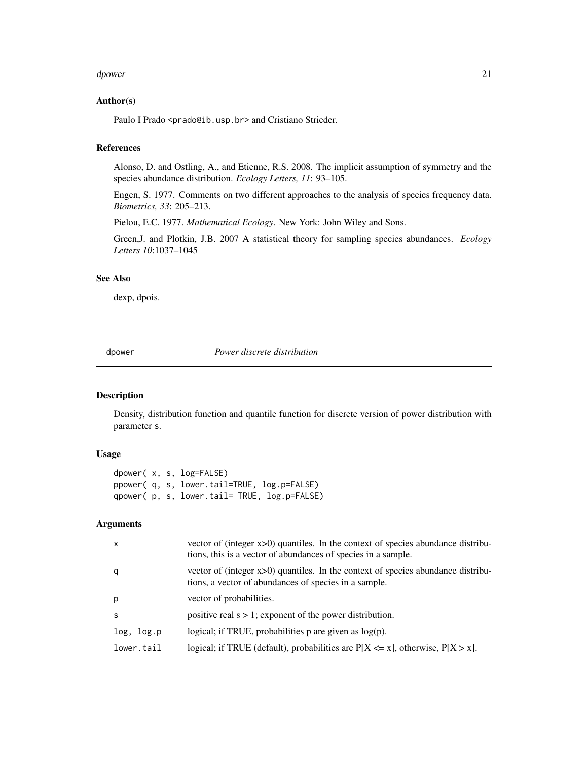#### <span id="page-20-0"></span>dpower 21 and 22 and 22 and 22 and 22 and 22 and 22 and 22 and 22 and 22 and 22 and 22 and 22 and 22 and 22 and 22 and 22 and 22 and 22 and 22 and 22 and 22 and 22 and 22 and 22 and 22 and 22 and 22 and 22 and 22 and 22 an

#### Author(s)

Paulo I Prado <prado@ib.usp.br> and Cristiano Strieder.

# References

Alonso, D. and Ostling, A., and Etienne, R.S. 2008. The implicit assumption of symmetry and the species abundance distribution. *Ecology Letters, 11*: 93–105.

Engen, S. 1977. Comments on two different approaches to the analysis of species frequency data. *Biometrics, 33*: 205–213.

Pielou, E.C. 1977. *Mathematical Ecology*. New York: John Wiley and Sons.

Green,J. and Plotkin, J.B. 2007 A statistical theory for sampling species abundances. *Ecology Letters 10*:1037–1045

#### See Also

dexp, dpois.

<span id="page-20-1"></span>dpower *Power discrete distribution*

# Description

Density, distribution function and quantile function for discrete version of power distribution with parameter s.

# Usage

```
dpower( x, s, log=FALSE)
ppower( q, s, lower.tail=TRUE, log.p=FALSE)
qpower( p, s, lower.tail= TRUE, log.p=FALSE)
```
# Arguments

| $\mathsf{x}$ | vector of (integer $x>0$ ) quantiles. In the context of species abundance distribu-<br>tions, this is a vector of abundances of species in a sample. |
|--------------|------------------------------------------------------------------------------------------------------------------------------------------------------|
| q            | vector of (integer $x>0$ ) quantiles. In the context of species abundance distribu-<br>tions, a vector of abundances of species in a sample.         |
| p            | vector of probabilities.                                                                                                                             |
| <sub>S</sub> | positive real $s > 1$ ; exponent of the power distribution.                                                                                          |
| log, log.p   | logical; if TRUE, probabilities $p$ are given as $log(p)$ .                                                                                          |
| lower.tail   | logical; if TRUE (default), probabilities are $P[X \le x]$ , otherwise, $P[X > x]$ .                                                                 |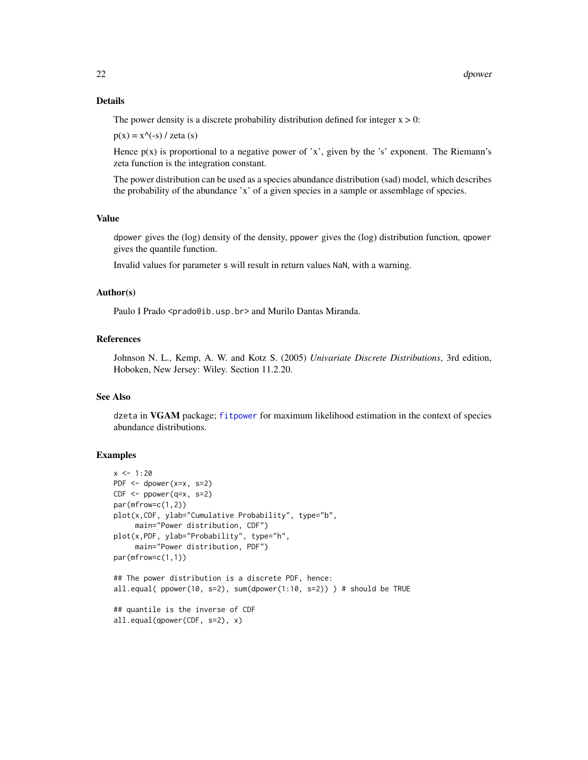#### Details

The power density is a discrete probability distribution defined for integer  $x > 0$ :

 $p(x) = x^{\wedge}(-s) / zeta(s)$ 

Hence  $p(x)$  is proportional to a negative power of 'x', given by the 's' exponent. The Riemann's zeta function is the integration constant.

The power distribution can be used as a species abundance distribution (sad) model, which describes the probability of the abundance 'x' of a given species in a sample or assemblage of species.

# Value

dpower gives the (log) density of the density, ppower gives the (log) distribution function, qpower gives the quantile function.

Invalid values for parameter s will result in return values NaN, with a warning.

#### Author(s)

Paulo I Prado <prado@ib.usp.br> and Murilo Dantas Miranda.

# References

Johnson N. L., Kemp, A. W. and Kotz S. (2005) *Univariate Discrete Distributions*, 3rd edition, Hoboken, New Jersey: Wiley. Section 11.2.20.

#### See Also

dzeta in VGAM package; [fitpower](#page-32-2) for maximum likelihood estimation in the context of species abundance distributions.

# Examples

```
x < -1:20PDF \leq- dpower(x=x, s=2)
CDF \leftarrow power(q=x, s=2)par(mfrow=c(1,2))
plot(x,CDF, ylab="Cumulative Probability", type="b",
     main="Power distribution, CDF")
plot(x,PDF, ylab="Probability", type="h",
     main="Power distribution, PDF")
par(mfrow=c(1,1))
## The power distribution is a discrete PDF, hence:
all.equal( ppower(10, s=2), sum(dpower(1:10, s=2)) ) # should be TRUE
## quantile is the inverse of CDF
all.equal(qpower(CDF, s=2), x)
```
<span id="page-21-0"></span>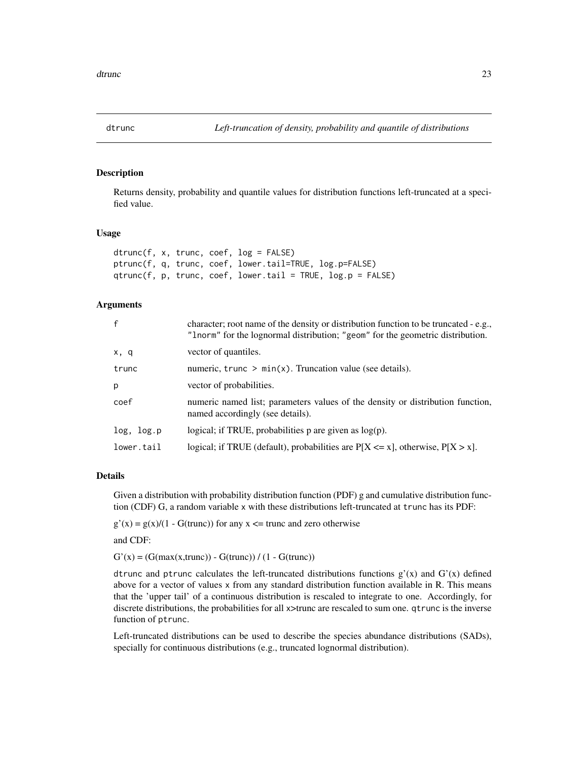<span id="page-22-0"></span>

# Description

Returns density, probability and quantile values for distribution functions left-truncated at a specified value.

#### Usage

```
dtrunc(f, x, trunc, coef, log = FALSE)
ptrunc(f, q, trunc, coef, lower.tail=TRUE, log.p=FALSE)
qtrunc(f, p, trunc, coef, lower.tail = TRUE, log.p = FALSE)
```
# **Arguments**

| $\mathsf{f}$ | character; root name of the density or distribution function to be truncated - e.g.,<br>"Inorm" for the lognormal distribution; "geom" for the geometric distribution. |
|--------------|------------------------------------------------------------------------------------------------------------------------------------------------------------------------|
| x, q         | vector of quantiles.                                                                                                                                                   |
| trunc        | numeric, trunc $> min(x)$ . Truncation value (see details).                                                                                                            |
| p            | vector of probabilities.                                                                                                                                               |
| coef         | numeric named list; parameters values of the density or distribution function,<br>named accordingly (see details).                                                     |
| log, log.p   | logical; if TRUE, probabilities $p$ are given as $log(p)$ .                                                                                                            |
| lower.tail   | logical; if TRUE (default), probabilities are $P[X \le x]$ , otherwise, $P[X > x]$ .                                                                                   |

#### Details

Given a distribution with probability distribution function (PDF) g and cumulative distribution function (CDF) G, a random variable x with these distributions left-truncated at trunc has its PDF:

 $g'(x) = g(x)/(1 - G(true))$  for any  $x \le$  trunc and zero otherwise

and CDF:

 $G'(x) = (G(max(x, trunc)) - G(true)) / (1 - G(true))$ 

dtrunc and ptrunc calculates the left-truncated distributions functions  $g'(x)$  and  $G'(x)$  defined above for a vector of values x from any standard distribution function available in R. This means that the 'upper tail' of a continuous distribution is rescaled to integrate to one. Accordingly, for discrete distributions, the probabilities for all x>trunc are rescaled to sum one. qtrunc is the inverse function of ptrunc.

Left-truncated distributions can be used to describe the species abundance distributions (SADs), specially for continuous distributions (e.g., truncated lognormal distribution).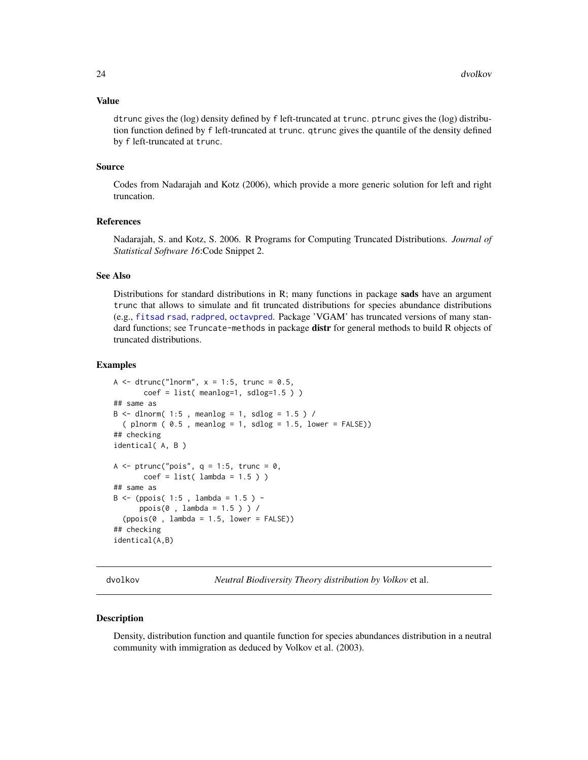#### <span id="page-23-0"></span>Value

dtrunc gives the (log) density defined by f left-truncated at trunc. ptrunc gives the (log) distribution function defined by f left-truncated at trunc. qtrunc gives the quantile of the density defined by f left-truncated at trunc.

#### Source

Codes from Nadarajah and Kotz (2006), which provide a more generic solution for left and right truncation.

# References

Nadarajah, S. and Kotz, S. 2006. R Programs for Computing Truncated Distributions. *Journal of Statistical Software 16*:Code Snippet 2.

# See Also

Distributions for standard distributions in R; many functions in package sads have an argument trunc that allows to simulate and fit truncated distributions for species abundance distributions (e.g., [fitsad](#page-32-1) [rsad](#page-56-1), [radpred](#page-54-1), [octavpred](#page-42-1). Package 'VGAM' has truncated versions of many standard functions; see Truncate-methods in package distr for general methods to build R objects of truncated distributions.

#### Examples

```
A \le - dtrunc("lnorm", x = 1:5, trunc = 0.5,
      coef = list(meanlog=1, sdlog=1.5))
## same as
B \le - dlnorm( 1:5, meanlog = 1, sdlog = 1.5) /
 (plnorm ( 0.5, meanlog = 1, sdlog = 1.5, lower = FALSE))## checking
identical( A, B )
A \le ptrunc("pois", q = 1:5, trunc = 0,
      coef = list( lambda = 1.5 ) )## same as
B \le - (ppois( 1:5, lambda = 1.5) -
     ppois(0 , lambda = 1.5 ) ) /
  (ppois(0, lambda = 1.5, lower = FALSE))## checking
identical(A,B)
```
<span id="page-23-1"></span>

dvolkov *Neutral Biodiversity Theory distribution by Volkov* et al.

# Description

Density, distribution function and quantile function for species abundances distribution in a neutral community with immigration as deduced by Volkov et al. (2003).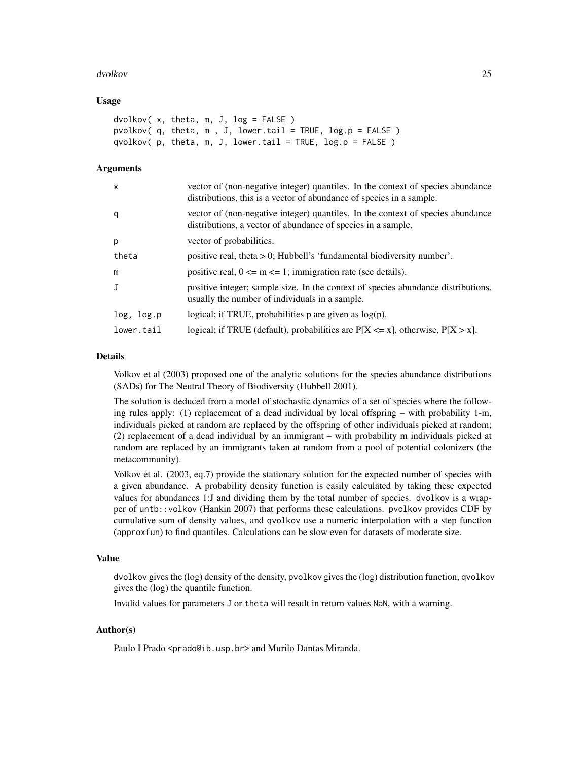#### dvolkov 25

#### Usage

```
dvolkov( x, theta, m, J, log = FALSE )
pvolkov( q, theta, m , J, lower.tail = TRUE, log.p = FALSE )
qvolkov( p, theta, m, J, lower.tail = TRUE, log.p = FALSE )
```
# Arguments

| $\mathsf{x}$ | vector of (non-negative integer) quantiles. In the context of species abundance<br>distributions, this is a vector of abundance of species in a sample. |
|--------------|---------------------------------------------------------------------------------------------------------------------------------------------------------|
| q            | vector of (non-negative integer) quantiles. In the context of species abundance<br>distributions, a vector of abundance of species in a sample.         |
| p            | vector of probabilities.                                                                                                                                |
| theta        | positive real, theta $> 0$ ; Hubbell's 'fundamental biodiversity number'.                                                                               |
| m            | positive real, $0 \le m \le 1$ ; immigration rate (see details).                                                                                        |
| J            | positive integer; sample size. In the context of species abundance distributions,<br>usually the number of individuals in a sample.                     |
| log, log.p   | logical; if TRUE, probabilities $p$ are given as $log(p)$ .                                                                                             |
| lower.tail   | logical; if TRUE (default), probabilities are $P[X \le x]$ , otherwise, $P[X > x]$ .                                                                    |

#### Details

Volkov et al (2003) proposed one of the analytic solutions for the species abundance distributions (SADs) for The Neutral Theory of Biodiversity (Hubbell 2001).

The solution is deduced from a model of stochastic dynamics of a set of species where the following rules apply: (1) replacement of a dead individual by local offspring – with probability 1-m, individuals picked at random are replaced by the offspring of other individuals picked at random; (2) replacement of a dead individual by an immigrant – with probability m individuals picked at random are replaced by an immigrants taken at random from a pool of potential colonizers (the metacommunity).

Volkov et al. (2003, eq.7) provide the stationary solution for the expected number of species with a given abundance. A probability density function is easily calculated by taking these expected values for abundances 1:J and dividing them by the total number of species. dvolkov is a wrapper of untb::volkov (Hankin 2007) that performs these calculations. pvolkov provides CDF by cumulative sum of density values, and qvolkov use a numeric interpolation with a step function (approxfun) to find quantiles. Calculations can be slow even for datasets of moderate size.

#### Value

dvolkov gives the (log) density of the density, pvolkov gives the (log) distribution function, qvolkov gives the (log) the quantile function.

Invalid values for parameters J or theta will result in return values NaN, with a warning.

#### Author(s)

Paulo I Prado <prado@ib.usp.br> and Murilo Dantas Miranda.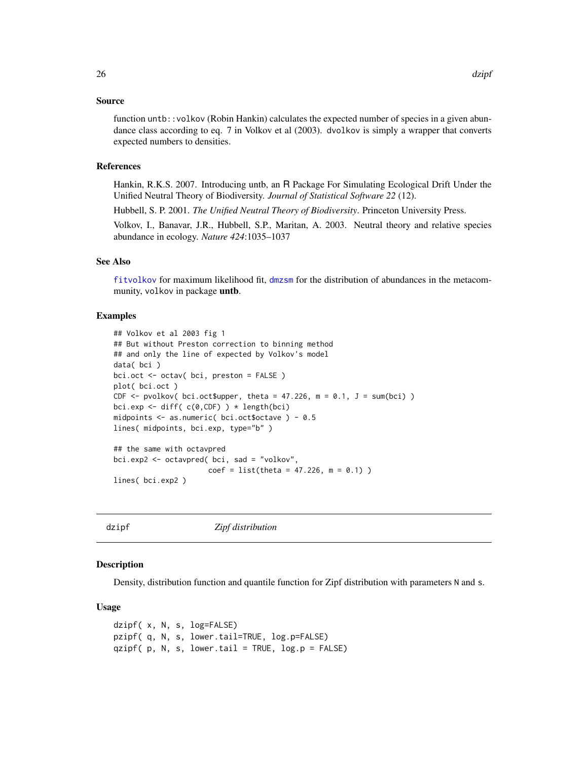#### <span id="page-25-0"></span>Source

function untb::volkov (Robin Hankin) calculates the expected number of species in a given abundance class according to eq. 7 in Volkov et al (2003). dvolkov is simply a wrapper that converts expected numbers to densities.

#### References

Hankin, R.K.S. 2007. Introducing untb, an R Package For Simulating Ecological Drift Under the Unified Neutral Theory of Biodiversity. *Journal of Statistical Software 22* (12).

Hubbell, S. P. 2001. *The Unified Neutral Theory of Biodiversity*. Princeton University Press.

Volkov, I., Banavar, J.R., Hubbell, S.P., Maritan, A. 2003. Neutral theory and relative species abundance in ecology. *Nature 424*:1035–1037

#### See Also

[fitvolkov](#page-32-2) for maximum likelihood fit, [dmzsm](#page-12-1) for the distribution of abundances in the metacommunity, volkov in package untb.

#### Examples

```
## Volkov et al 2003 fig 1
## But without Preston correction to binning method
## and only the line of expected by Volkov's model
data( bci )
bci.oct <- octav( bci, preston = FALSE )
plot( bci.oct )
CDF \le pvolkov( bci.oct$upper, theta = 47.226, m = 0.1, J = sum(bci))
bci.exp <- diff(c(0,CDF)) * length(bci)
midpoints <- as.numeric( bci.oct$octave ) - 0.5
lines( midpoints, bci.exp, type="b" )
## the same with octavpred
bci.exp2 <- octavpred( bci, sad = "volkov",
                      coef = list(theta = 47.226, m = 0.1))
lines( bci.exp2 )
```
<span id="page-25-1"></span>dzipf *Zipf distribution*

### Description

Density, distribution function and quantile function for Zipf distribution with parameters N and s.

#### Usage

```
dzipf( x, N, s, log=FALSE)
pzipf( q, N, s, lower.tail=TRUE, log.p=FALSE)
qzipf(p, N, s, lower.tail = TRUE, log.p = FALSE)
```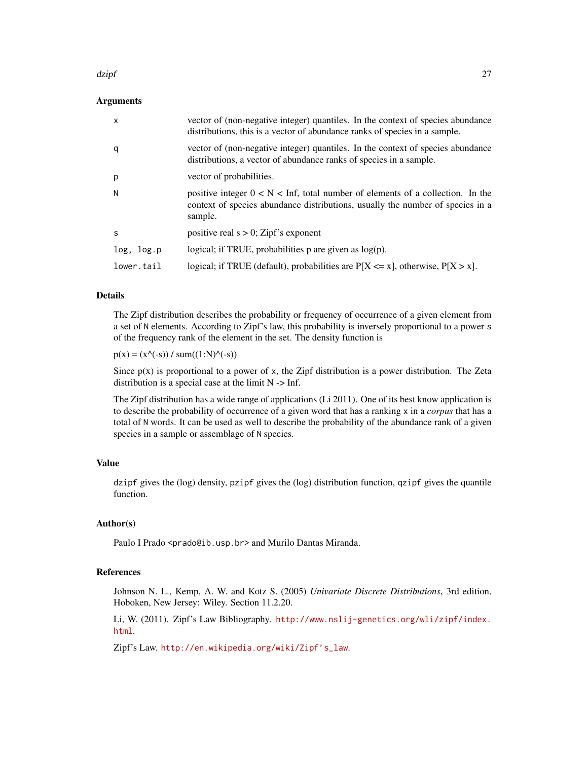#### dzipf 27 *a.*

# Arguments

| $\mathsf{x}$ | vector of (non-negative integer) quantiles. In the context of species abundance<br>distributions, this is a vector of abundance ranks of species in a sample.                 |
|--------------|-------------------------------------------------------------------------------------------------------------------------------------------------------------------------------|
| q            | vector of (non-negative integer) quantiles. In the context of species abundance<br>distributions, a vector of abundance ranks of species in a sample.                         |
| p            | vector of probabilities.                                                                                                                                                      |
| N            | positive integer $0 < N <$ Inf, total number of elements of a collection. In the<br>context of species abundance distributions, usually the number of species in a<br>sample. |
| S            | positive real $s > 0$ ; Zipf's exponent                                                                                                                                       |
| log, log.p   | logical; if TRUE, probabilities $p$ are given as $log(p)$ .                                                                                                                   |
| lower.tail   | logical; if TRUE (default), probabilities are $P[X \le x]$ , otherwise, $P[X > x]$ .                                                                                          |

# Details

The Zipf distribution describes the probability or frequency of occurrence of a given element from a set of N elements. According to Zipf's law, this probability is inversely proportional to a power s of the frequency rank of the element in the set. The density function is

 $p(x) = (x^{\wedge}(-s)) / \operatorname{sum}((1:N)^{\wedge}(-s))$ 

Since  $p(x)$  is proportional to a power of x, the Zipf distribution is a power distribution. The Zeta distribution is a special case at the limit  $N \rightarrow$  Inf.

The Zipf distribution has a wide range of applications (Li 2011). One of its best know application is to describe the probability of occurrence of a given word that has a ranking x in a *corpus* that has a total of N words. It can be used as well to describe the probability of the abundance rank of a given species in a sample or assemblage of N species.

# Value

dzipf gives the (log) density, pzipf gives the (log) distribution function, qzipf gives the quantile function.

#### Author(s)

Paulo I Prado <prado@ib.usp.br> and Murilo Dantas Miranda.

#### References

Johnson N. L., Kemp, A. W. and Kotz S. (2005) *Univariate Discrete Distributions*, 3rd edition, Hoboken, New Jersey: Wiley. Section 11.2.20.

Li, W. (2011). Zipf's Law Bibliography. [http://www.nslij-genetics.org/wli/zipf/index.](http://www.nslij-genetics.org/wli/zipf/index.html) [html](http://www.nslij-genetics.org/wli/zipf/index.html).

Zipf's Law. [http://en.wikipedia.org/wiki/Zipf's\\_law](http://en.wikipedia.org/wiki/Zipf).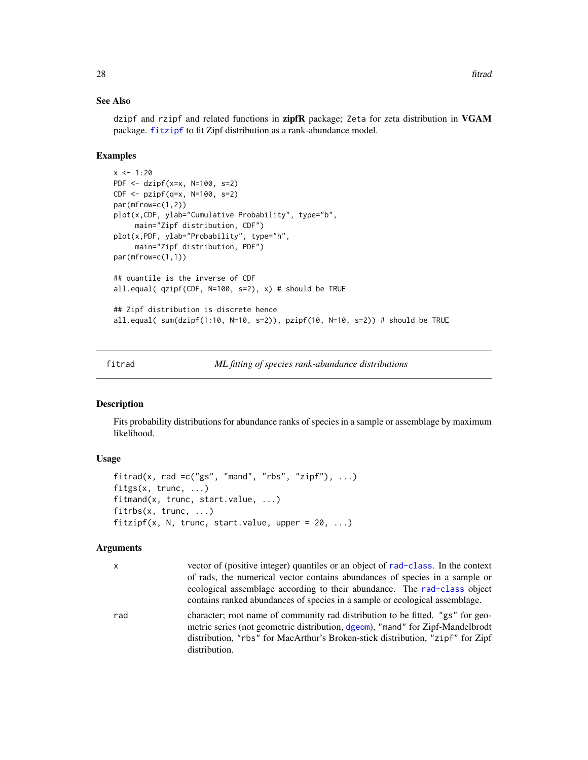# See Also

dzipf and rzipf and related functions in **zipfR** package; Zeta for zeta distribution in VGAM package. [fitzipf](#page-27-2) to fit Zipf distribution as a rank-abundance model.

#### Examples

```
x < -1:20PDF <- dzipf(x=x, N=100, s=2)
CDF <- pzipf(q=x, N=100, s=2)
par(mfrow=c(1,2))
plot(x,CDF, ylab="Cumulative Probability", type="b",
     main="Zipf distribution, CDF")
plot(x,PDF, ylab="Probability", type="h",
     main="Zipf distribution, PDF")
par(mfrow=c(1,1))
## quantile is the inverse of CDF
all.equal( qzipf(CDF, N=100, s=2), x) # should be TRUE
## Zipf distribution is discrete hence
all.equal( sum(dzipf(1:10, N=10, s=2)), pzipf(10, N=10, s=2)) # should be TRUE
```
<span id="page-27-1"></span>

fitrad *ML fitting of species rank-abundance distributions*

#### <span id="page-27-2"></span>Description

Fits probability distributions for abundance ranks of species in a sample or assemblage by maximum likelihood.

# Usage

```
fitrad(x, rad =c("gs", "mand", "rbs", "zipf"), ...)fitgs(x, trunc, ...)
fitmand(x, trunc, start.value, ...)
fitrbs(x, trunc, ...)
fitzipf(x, N, trunc, start.value, upper = 20, ...)
```
#### Arguments

x vector of (positive integer) quantiles or an object of [rad-class](#page-53-1). In the context of rads, the numerical vector contains abundances of species in a sample or ecological assemblage according to their abundance. The [rad-class](#page-53-1) object contains ranked abundances of species in a sample or ecological assemblage. rad character; root name of community rad distribution to be fitted. "gs" for geometric series (not geometric distribution, [dgeom](#page-0-0)), "mand" for Zipf-Mandelbrodt distribution, "rbs" for MacArthur's Broken-stick distribution, "zipf" for Zipf distribution.

<span id="page-27-0"></span>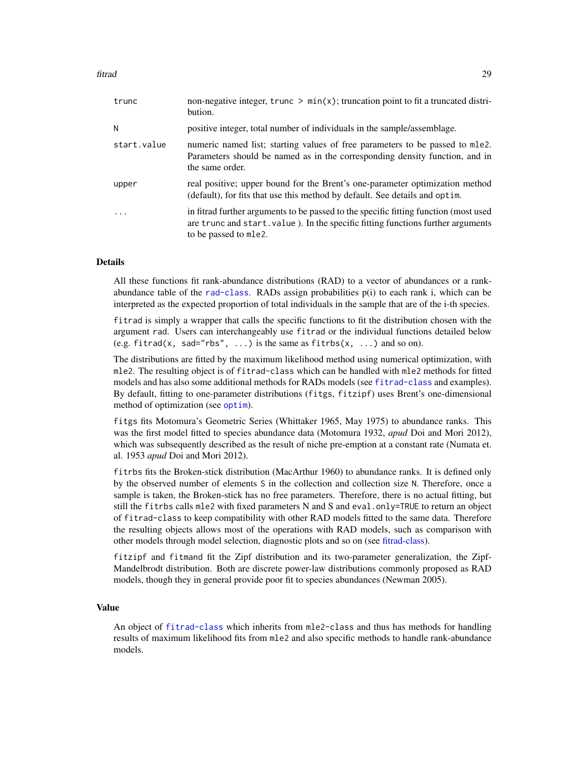<span id="page-28-0"></span>

| trunc       | non-negative integer, trunc $\geq \min(x)$ ; truncation point to fit a truncated distri-<br>bution.                                                                                               |
|-------------|---------------------------------------------------------------------------------------------------------------------------------------------------------------------------------------------------|
| N           | positive integer, total number of individuals in the sample/assemblage.                                                                                                                           |
| start.value | numeric named list; starting values of free parameters to be passed to mle2.<br>Parameters should be named as in the corresponding density function, and in<br>the same order.                    |
| upper       | real positive; upper bound for the Brent's one-parameter optimization method<br>(default), for fits that use this method by default. See details and optim.                                       |
| $\cdot$     | in fitrad further arguments to be passed to the specific fitting function (most used<br>are trunc and start. value). In the specific fitting functions further arguments<br>to be passed to mle2. |

# Details

All these functions fit rank-abundance distributions (RAD) to a vector of abundances or a rankabundance table of the [rad-class](#page-53-1). RADs assign probabilities  $p(i)$  to each rank i, which can be interpreted as the expected proportion of total individuals in the sample that are of the i-th species.

fitrad is simply a wrapper that calls the specific functions to fit the distribution chosen with the argument rad. Users can interchangeably use fitrad or the individual functions detailed below (e.g. fitrad(x, sad="rbs", ...) is the same as  $fiths(x, ...)$  and so on).

The distributions are fitted by the maximum likelihood method using numerical optimization, with mle2. The resulting object is of fitrad-class which can be handled with mle2 methods for fitted models and has also some additional methods for RADs models (see [fitrad-class](#page-29-1) and examples). By default, fitting to one-parameter distributions (fitgs, fitzipf) uses Brent's one-dimensional method of optimization (see [optim](#page-0-0)).

fitgs fits Motomura's Geometric Series (Whittaker 1965, May 1975) to abundance ranks. This was the first model fitted to species abundance data (Motomura 1932, *apud* Doi and Mori 2012), which was subsequently described as the result of niche pre-emption at a constant rate (Numata et. al. 1953 *apud* Doi and Mori 2012).

fitrbs fits the Broken-stick distribution (MacArthur 1960) to abundance ranks. It is defined only by the observed number of elements S in the collection and collection size N. Therefore, once a sample is taken, the Broken-stick has no free parameters. Therefore, there is no actual fitting, but still the fitrbs calls mle2 with fixed parameters N and S and eval.only=TRUE to return an object of fitrad-class to keep compatibility with other RAD models fitted to the same data. Therefore the resulting objects allows most of the operations with RAD models, such as comparison with other models through model selection, diagnostic plots and so on (see [fitrad-class\)](#page-29-1).

fitzipf and fitmand fit the Zipf distribution and its two-parameter generalization, the Zipf-Mandelbrodt distribution. Both are discrete power-law distributions commonly proposed as RAD models, though they in general provide poor fit to species abundances (Newman 2005).

#### Value

An object of [fitrad-class](#page-29-1) which inherits from mle2-class and thus has methods for handling results of maximum likelihood fits from mle2 and also specific methods to handle rank-abundance models.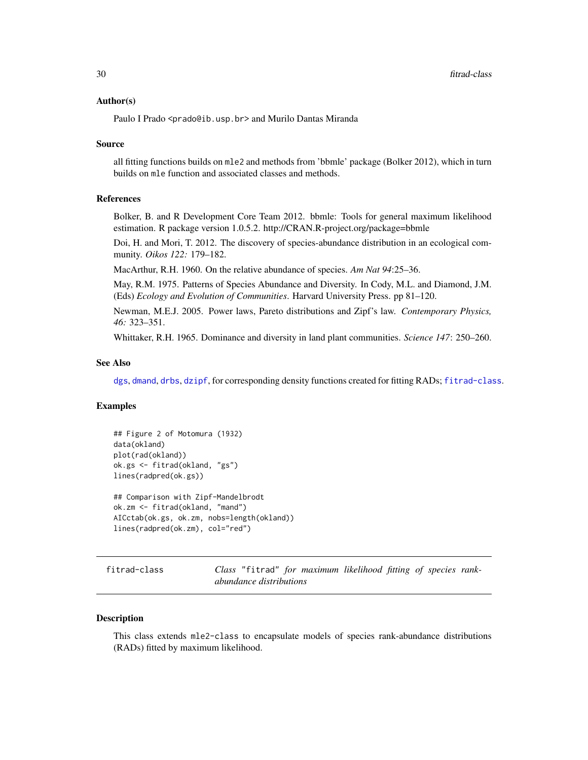#### <span id="page-29-0"></span>Author(s)

Paulo I Prado <prado@ib.usp.br> and Murilo Dantas Miranda

#### Source

all fitting functions builds on mle2 and methods from 'bbmle' package (Bolker 2012), which in turn builds on mle function and associated classes and methods.

# References

Bolker, B. and R Development Core Team 2012. bbmle: Tools for general maximum likelihood estimation. R package version 1.0.5.2. http://CRAN.R-project.org/package=bbmle

Doi, H. and Mori, T. 2012. The discovery of species-abundance distribution in an ecological community. *Oikos 122:* 179–182.

MacArthur, R.H. 1960. On the relative abundance of species. *Am Nat 94*:25–36.

May, R.M. 1975. Patterns of Species Abundance and Diversity. In Cody, M.L. and Diamond, J.M. (Eds) *Ecology and Evolution of Communities*. Harvard University Press. pp 81–120.

Newman, M.E.J. 2005. Power laws, Pareto distributions and Zipf's law. *Contemporary Physics, 46:* 323–351.

Whittaker, R.H. 1965. Dominance and diversity in land plant communities. *Science 147*: 250–260.

### See Also

[dgs](#page-7-1), [dmand](#page-10-1), [drbs](#page-5-1), [dzipf](#page-25-1), for corresponding density functions created for fitting RADs; [fitrad-class](#page-29-1).

# Examples

```
## Figure 2 of Motomura (1932)
data(okland)
plot(rad(okland))
ok.gs <- fitrad(okland, "gs")
lines(radpred(ok.gs))
## Comparison with Zipf-Mandelbrodt
ok.zm <- fitrad(okland, "mand")
```

```
AICctab(ok.gs, ok.zm, nobs=length(okland))
lines(radpred(ok.zm), col="red")
```
<span id="page-29-1"></span>fitrad-class *Class* "fitrad" *for maximum likelihood fitting of species rankabundance distributions*

#### Description

This class extends mle2-class to encapsulate models of species rank-abundance distributions (RADs) fitted by maximum likelihood.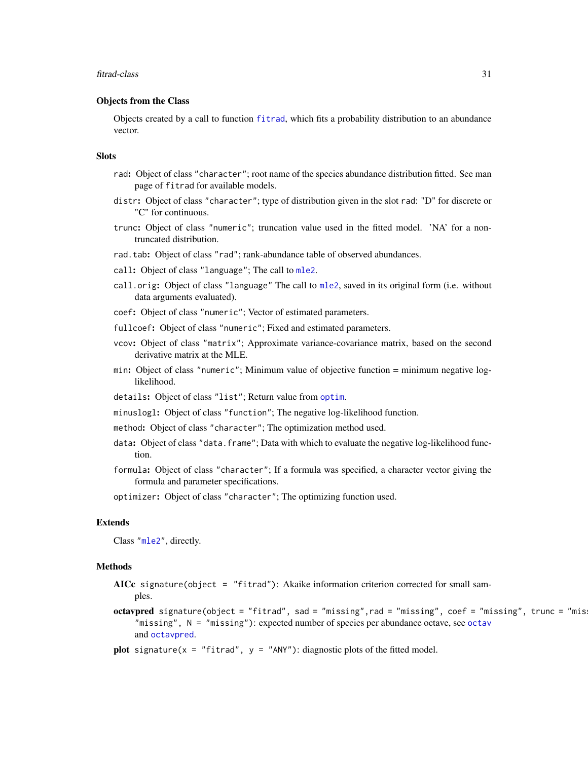#### <span id="page-30-0"></span>fitrad-class 31

# Objects from the Class

Objects created by a call to function [fitrad](#page-27-1), which fits a probability distribution to an abundance vector.

#### **Slots**

- rad: Object of class "character"; root name of the species abundance distribution fitted. See man page of fitrad for available models.
- distr: Object of class "character"; type of distribution given in the slot rad: "D" for discrete or "C" for continuous.
- trunc: Object of class "numeric"; truncation value used in the fitted model. 'NA' for a nontruncated distribution.
- rad.tab: Object of class "rad"; rank-abundance table of observed abundances.
- call: Object of class "language"; The call to [mle2](#page-0-0).
- call.orig: Object of class "language" The call to [mle2](#page-0-0), saved in its original form (i.e. without data arguments evaluated).
- coef: Object of class "numeric"; Vector of estimated parameters.
- fullcoef: Object of class "numeric"; Fixed and estimated parameters.
- vcov: Object of class "matrix"; Approximate variance-covariance matrix, based on the second derivative matrix at the MLE.
- min: Object of class "numeric"; Minimum value of objective function = minimum negative loglikelihood.
- details: Object of class "list"; Return value from [optim](#page-0-0).
- minuslogl: Object of class "function"; The negative log-likelihood function.
- method: Object of class "character"; The optimization method used.
- data: Object of class "data. frame"; Data with which to evaluate the negative log-likelihood function.
- formula: Object of class "character"; If a formula was specified, a character vector giving the formula and parameter specifications.

optimizer: Object of class "character"; The optimizing function used.

# Extends

Class ["mle2"](#page-0-0), directly.

#### Methods

- AICc signature(object = "fitrad"): Akaike information criterion corrected for small samples.
- octavpred signature(object = "fitrad", sad = "missing", rad = "missing", coef = "missing", trunc = "mis "missing", N = "missing"): expected number of species per abundance octave, see [octav](#page-39-1) and [octavpred](#page-42-1).
- plot signature( $x =$  "fitrad",  $y =$  "ANY"): diagnostic plots of the fitted model.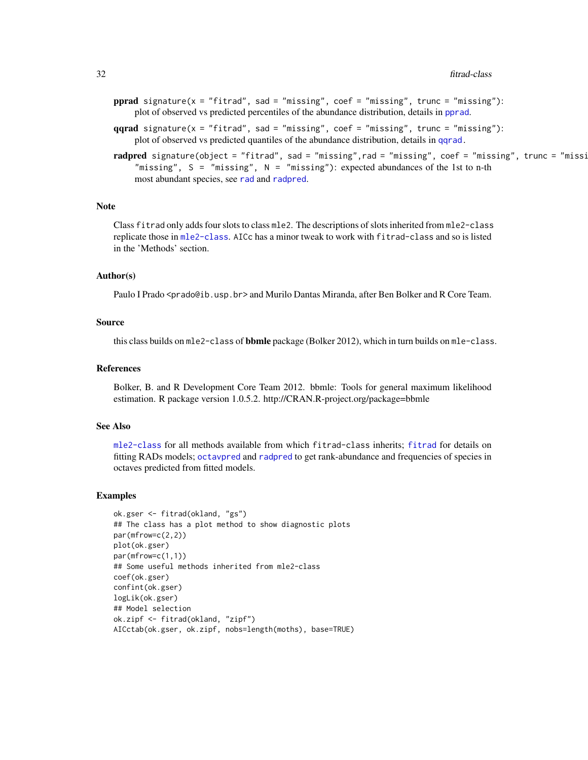- <span id="page-31-0"></span>pprad signature( $x =$  "fitrad", sad = "missing", coef = "missing", trunc = "missing"): plot of observed vs predicted percentiles of the abundance distribution, details in [pprad](#page-46-1).
- $qqrad$  signature(x = "fitrad", sad = "missing", coef = "missing", trunc = "missing"): plot of observed vs predicted quantiles of the abundance distribution, details in [qqrad.](#page-50-1)
- r<mark>adpred</mark> signature(object = "fitrad", sad = "missing",rad = "missing", coef = "missing", trunc = "missi "missing",  $S =$  "missing",  $N =$  "missing"): expected abundances of the 1st to n-th most abundant species, see [rad](#page-52-1) and [radpred](#page-54-1).

#### **Note**

Class fitrad only adds four slots to class mle2. The descriptions of slots inherited from mle2-class replicate those in [mle2-class](#page-0-0). AICc has a minor tweak to work with fitrad-class and so is listed in the 'Methods' section.

#### Author(s)

Paulo I Prado <prado@ib.usp.br> and Murilo Dantas Miranda, after Ben Bolker and R Core Team.

#### Source

this class builds on mle2-class of **bbmle** package (Bolker 2012), which in turn builds on mle-class.

#### References

Bolker, B. and R Development Core Team 2012. bbmle: Tools for general maximum likelihood estimation. R package version 1.0.5.2. http://CRAN.R-project.org/package=bbmle

# See Also

[mle2-class](#page-0-0) for all methods available from which fitrad-class inherits; [fitrad](#page-27-1) for details on fitting RADs models; [octavpred](#page-42-1) and [radpred](#page-54-1) to get rank-abundance and frequencies of species in octaves predicted from fitted models.

#### Examples

```
ok.gser <- fitrad(okland, "gs")
## The class has a plot method to show diagnostic plots
par(mfrow=c(2,2))
plot(ok.gser)
par(mfrow=c(1,1))
## Some useful methods inherited from mle2-class
coef(ok.gser)
confint(ok.gser)
logLik(ok.gser)
## Model selection
ok.zipf <- fitrad(okland, "zipf")
AICctab(ok.gser, ok.zipf, nobs=length(moths), base=TRUE)
```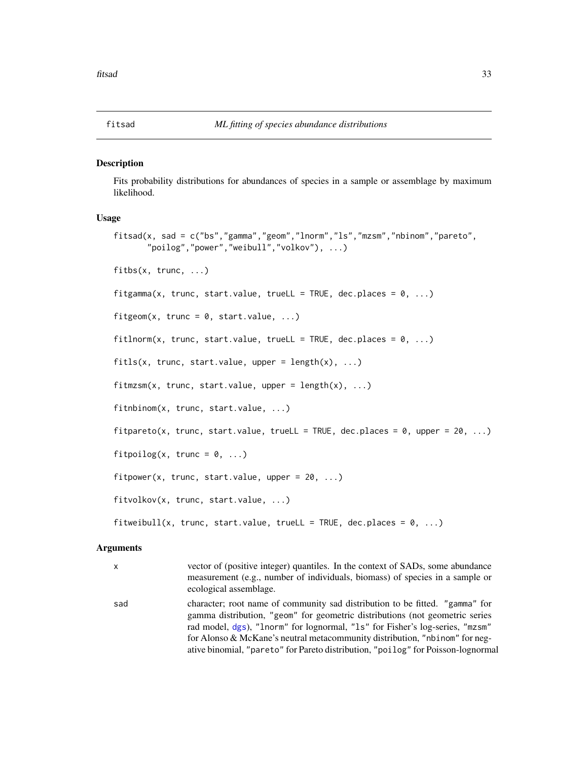#### <span id="page-32-2"></span><span id="page-32-1"></span><span id="page-32-0"></span>Description

Fits probability distributions for abundances of species in a sample or assemblage by maximum likelihood.

#### Usage

```
fitsad(x, sad = c("bs","gamma","geom","lnorm","ls","mzsm","nbinom","pareto",
       "poilog","power","weibull","volkov"), ...)
fitbs(x, trunc, ...)
fitgamma(x, trunc, start.value, trueLL = TRUE, dec.places = 0, ...)
fitgeom(x, trunc = 0, start.value, ...)
fitlnorm(x, trunc, start.value, trueLL = TRUE, dec.places = 0, ...)
fits(x, trunc, start.value, upper = length(x), ...)fitmzsm(x, trunc, start.value, upper = length(x), ...)fitnbinom(x, trunc, start.value, ...)
fitpareto(x, trunc, start.value, trueLL = TRUE, dec.places = 0, upper = 20, ...)
fitpoilog(x, trunc = 0, ...)
fitpower(x, trunc, start.value, upper = 20, ...)
fitvolkov(x, trunc, start.value, ...)
fitweibull(x, trunc, start.value, trueLL = TRUE, dec.places = 0, ...)
```
#### Arguments

| x   | vector of (positive integer) quantiles. In the context of SADs, some abundance                         |
|-----|--------------------------------------------------------------------------------------------------------|
|     | measurement (e.g., number of individuals, biomass) of species in a sample or<br>ecological assemblage. |
|     |                                                                                                        |
| sad | character; root name of community sad distribution to be fitted. "gamma" for                           |
|     | gamma distribution, "geom" for geometric distributions (not geometric series                           |

gamma distribution, "geom" for geometric distributions (not geometric series rad model, [dgs](#page-7-1)), "lnorm" for lognormal, "ls" for Fisher's log-series, "mzsm" for Alonso & McKane's neutral metacommunity distribution, "nbinom" for negative binomial, "pareto" for Pareto distribution, "poilog" for Poisson-lognormal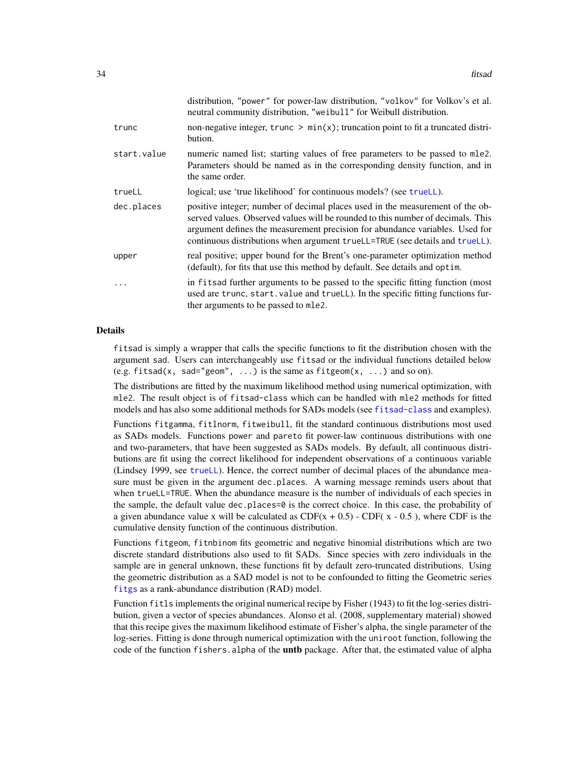<span id="page-33-0"></span>

|             | distribution, "power" for power-law distribution, "volkov" for Volkov's et al.<br>neutral community distribution, "we ibull" for Weibull distribution.                                                                                                                                                                           |
|-------------|----------------------------------------------------------------------------------------------------------------------------------------------------------------------------------------------------------------------------------------------------------------------------------------------------------------------------------|
| trunc       | non-negative integer, $trunc > min(x)$ ; truncation point to fit a truncated distri-<br>bution.                                                                                                                                                                                                                                  |
| start.value | numeric named list; starting values of free parameters to be passed to mle2.<br>Parameters should be named as in the corresponding density function, and in<br>the same order.                                                                                                                                                   |
| trueLL      | logical; use 'true likelihood' for continuous models? (see trueLL).                                                                                                                                                                                                                                                              |
| dec.places  | positive integer; number of decimal places used in the measurement of the ob-<br>served values. Observed values will be rounded to this number of decimals. This<br>argument defines the measurement precision for abundance variables. Used for<br>continuous distributions when argument trueLL=TRUE (see details and trueLL). |
| upper       | real positive; upper bound for the Brent's one-parameter optimization method<br>(default), for fits that use this method by default. See details and optim.                                                                                                                                                                      |
|             | in fits ad further arguments to be passed to the specific fitting function (most<br>used are trunc, start. value and trueLL). In the specific fitting functions fur-<br>ther arguments to be passed to mle2.                                                                                                                     |

#### Details

fitsad is simply a wrapper that calls the specific functions to fit the distribution chosen with the argument sad. Users can interchangeably use fitsad or the individual functions detailed below (e.g. fitsad(x, sad="geom", ...) is the same as fitgeom(x, ...) and so on).

The distributions are fitted by the maximum likelihood method using numerical optimization, with mle2. The result object is of fitsad-class which can be handled with mle2 methods for fitted models and has also some additional methods for SADs models (see [fitsad-class](#page-36-1) and examples).

Functions fitgamma, fitlnorm, fitweibull, fit the standard continuous distributions most used as SADs models. Functions power and pareto fit power-law continuous distributions with one and two-parameters, that have been suggested as SADs models. By default, all continuous distributions are fit using the correct likelihood for independent observations of a continuous variable (Lindsey 1999, see [trueLL](#page-57-1)). Hence, the correct number of decimal places of the abundance measure must be given in the argument dec.places. A warning message reminds users about that when trueLL=TRUE. When the abundance measure is the number of individuals of each species in the sample, the default value dec.places=0 is the correct choice. In this case, the probability of a given abundance value x will be calculated as  $CDF(x + 0.5)$  - CDF( $x - 0.5$ ), where CDF is the cumulative density function of the continuous distribution.

Functions fitgeom, fitnbinom fits geometric and negative binomial distributions which are two discrete standard distributions also used to fit SADs. Since species with zero individuals in the sample are in general unknown, these functions fit by default zero-truncated distributions. Using the geometric distribution as a SAD model is not to be confounded to fitting the Geometric series [fitgs](#page-27-2) as a rank-abundance distribution (RAD) model.

Function fitls implements the original numerical recipe by Fisher (1943) to fit the log-series distribution, given a vector of species abundances. Alonso et al. (2008, supplementary material) showed that this recipe gives the maximum likelihood estimate of Fisher's alpha, the single parameter of the log-series. Fitting is done through numerical optimization with the uniroot function, following the code of the function fishers. alpha of the **untb** package. After that, the estimated value of alpha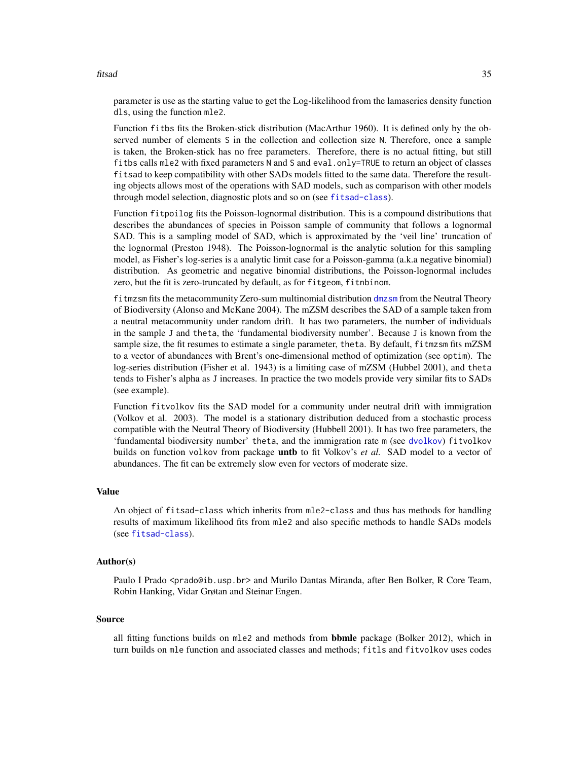<span id="page-34-0"></span>fitsad 35

parameter is use as the starting value to get the Log-likelihood from the lamaseries density function dls, using the function mle2.

Function fitbs fits the Broken-stick distribution (MacArthur 1960). It is defined only by the observed number of elements S in the collection and collection size N. Therefore, once a sample is taken, the Broken-stick has no free parameters. Therefore, there is no actual fitting, but still fitbs calls mle2 with fixed parameters N and S and eval.only=TRUE to return an object of classes fitsad to keep compatibility with other SADs models fitted to the same data. Therefore the resulting objects allows most of the operations with SAD models, such as comparison with other models through model selection, diagnostic plots and so on (see [fitsad-class](#page-36-1)).

Function fitpoilog fits the Poisson-lognormal distribution. This is a compound distributions that describes the abundances of species in Poisson sample of community that follows a lognormal SAD. This is a sampling model of SAD, which is approximated by the 'veil line' truncation of the lognormal (Preston 1948). The Poisson-lognormal is the analytic solution for this sampling model, as Fisher's log-series is a analytic limit case for a Poisson-gamma (a.k.a negative binomial) distribution. As geometric and negative binomial distributions, the Poisson-lognormal includes zero, but the fit is zero-truncated by default, as for fitgeom, fitnbinom.

fitmzsm fits the metacommunity Zero-sum multinomial distribution [dmzsm](#page-12-1) from the Neutral Theory of Biodiversity (Alonso and McKane 2004). The mZSM describes the SAD of a sample taken from a neutral metacommunity under random drift. It has two parameters, the number of individuals in the sample J and theta, the 'fundamental biodiversity number'. Because J is known from the sample size, the fit resumes to estimate a single parameter, theta. By default, fitmzsm fits mZSM to a vector of abundances with Brent's one-dimensional method of optimization (see optim). The log-series distribution (Fisher et al. 1943) is a limiting case of mZSM (Hubbel 2001), and theta tends to Fisher's alpha as J increases. In practice the two models provide very similar fits to SADs (see example).

Function fitvolkov fits the SAD model for a community under neutral drift with immigration (Volkov et al. 2003). The model is a stationary distribution deduced from a stochastic process compatible with the Neutral Theory of Biodiversity (Hubbell 2001). It has two free parameters, the 'fundamental biodiversity number' theta, and the immigration rate m (see [dvolkov](#page-23-1)) fitvolkov builds on function volkov from package **untb** to fit Volkov's *et al.* SAD model to a vector of abundances. The fit can be extremely slow even for vectors of moderate size.

# Value

An object of fitsad-class which inherits from mle2-class and thus has methods for handling results of maximum likelihood fits from mle2 and also specific methods to handle SADs models (see [fitsad-class](#page-36-1)).

#### Author(s)

Paulo I Prado <prado@ib.usp.br> and Murilo Dantas Miranda, after Ben Bolker, R Core Team, Robin Hanking, Vidar Grøtan and Steinar Engen.

#### Source

all fitting functions builds on mle2 and methods from **bbmle** package (Bolker 2012), which in turn builds on mle function and associated classes and methods; fitls and fitvolkov uses codes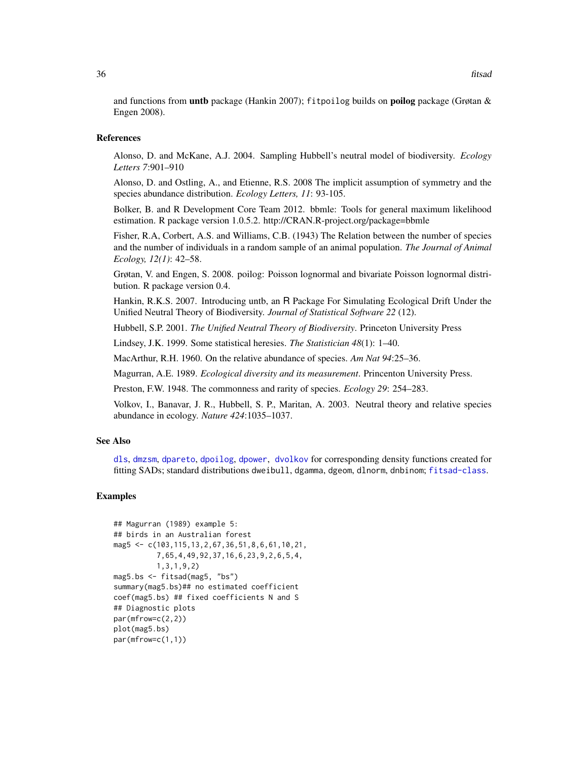<span id="page-35-0"></span>and functions from untb package (Hankin 2007); fitpoilog builds on poilog package (Grøtan & Engen 2008).

### References

Alonso, D. and McKane, A.J. 2004. Sampling Hubbell's neutral model of biodiversity. *Ecology Letters 7*:901–910

Alonso, D. and Ostling, A., and Etienne, R.S. 2008 The implicit assumption of symmetry and the species abundance distribution. *Ecology Letters, 11*: 93-105.

Bolker, B. and R Development Core Team 2012. bbmle: Tools for general maximum likelihood estimation. R package version 1.0.5.2. http://CRAN.R-project.org/package=bbmle

Fisher, R.A, Corbert, A.S. and Williams, C.B. (1943) The Relation between the number of species and the number of individuals in a random sample of an animal population. *The Journal of Animal Ecology, 12(1)*: 42–58.

Grøtan, V. and Engen, S. 2008. poilog: Poisson lognormal and bivariate Poisson lognormal distribution. R package version 0.4.

Hankin, R.K.S. 2007. Introducing untb, an R Package For Simulating Ecological Drift Under the Unified Neutral Theory of Biodiversity. *Journal of Statistical Software 22* (12).

Hubbell, S.P. 2001. *The Unified Neutral Theory of Biodiversity*. Princeton University Press

Lindsey, J.K. 1999. Some statistical heresies. *The Statistician 48*(1): 1–40.

MacArthur, R.H. 1960. On the relative abundance of species. *Am Nat 94*:25–36.

Magurran, A.E. 1989. *Ecological diversity and its measurement*. Princenton University Press.

Preston, F.W. 1948. The commonness and rarity of species. *Ecology 29*: 254–283.

Volkov, I., Banavar, J. R., Hubbell, S. P., Maritan, A. 2003. Neutral theory and relative species abundance in ecology. *Nature 424*:1035–1037.

#### See Also

[dls](#page-8-1), [dmzsm](#page-12-1), [dpareto](#page-14-1), [dpoilog](#page-17-1), [dpower](#page-20-1), [dvolkov](#page-23-1) for corresponding density functions created for fitting SADs; standard distributions dweibull, dgamma, dgeom, dlnorm, dnbinom; [fitsad-class](#page-36-1).

# Examples

```
## Magurran (1989) example 5:
## birds in an Australian forest
mag5 <- c(103,115,13,2,67,36,51,8,6,61,10,21,
          7,65,4,49,92,37,16,6,23,9,2,6,5,4,
          1,3,1,9,2)
mag5.bs <- fitsad(mag5, "bs")
summary(mag5.bs)## no estimated coefficient
coef(mag5.bs) ## fixed coefficients N and S
## Diagnostic plots
par(mfrow=c(2,2))
plot(mag5.bs)
par(mfrow=c(1,1))
```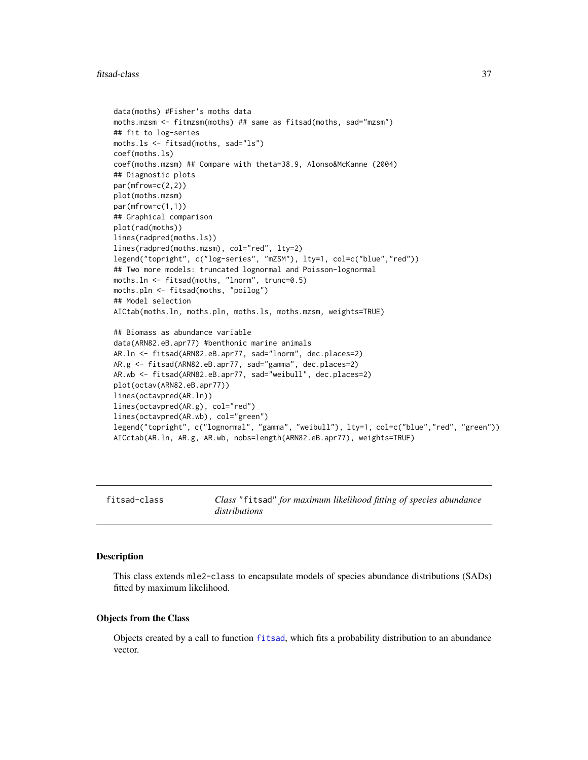#### <span id="page-36-0"></span>fitsad-class 37

```
data(moths) #Fisher's moths data
moths.mzsm <- fitmzsm(moths) ## same as fitsad(moths, sad="mzsm")
## fit to log-series
moths.ls <- fitsad(moths, sad="ls")
coef(moths.ls)
coef(moths.mzsm) ## Compare with theta=38.9, Alonso&McKanne (2004)
## Diagnostic plots
par(mfrow=c(2,2))
plot(moths.mzsm)
par(mfrow=c(1,1))
## Graphical comparison
plot(rad(moths))
lines(radpred(moths.ls))
lines(radpred(moths.mzsm), col="red", lty=2)
legend("topright", c("log-series", "mZSM"), lty=1, col=c("blue","red"))
## Two more models: truncated lognormal and Poisson-lognormal
moths.ln <- fitsad(moths, "lnorm", trunc=0.5)
moths.pln <- fitsad(moths, "poilog")
## Model selection
AICtab(moths.ln, moths.pln, moths.ls, moths.mzsm, weights=TRUE)
## Biomass as abundance variable
data(ARN82.eB.apr77) #benthonic marine animals
AR.ln <- fitsad(ARN82.eB.apr77, sad="lnorm", dec.places=2)
AR.g <- fitsad(ARN82.eB.apr77, sad="gamma", dec.places=2)
AR.wb <- fitsad(ARN82.eB.apr77, sad="weibull", dec.places=2)
plot(octav(ARN82.eB.apr77))
lines(octavpred(AR.ln))
lines(octavpred(AR.g), col="red")
lines(octavpred(AR.wb), col="green")
legend("topright", c("lognormal", "gamma", "weibull"), lty=1, col=c("blue","red", "green"))
AICctab(AR.ln, AR.g, AR.wb, nobs=length(ARN82.eB.apr77), weights=TRUE)
```
<span id="page-36-1"></span>fitsad-class *Class* "fitsad" *for maximum likelihood fitting of species abundance distributions*

#### Description

This class extends mle2-class to encapsulate models of species abundance distributions (SADs) fitted by maximum likelihood.

#### Objects from the Class

Objects created by a call to function [fitsad](#page-32-1), which fits a probability distribution to an abundance vector.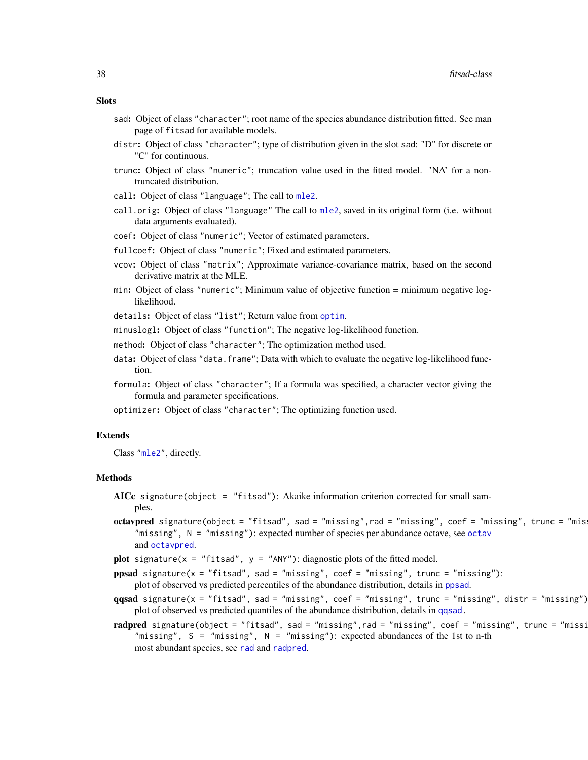#### <span id="page-37-0"></span>**Slots**

- sad: Object of class "character"; root name of the species abundance distribution fitted. See man page of fitsad for available models.
- distr: Object of class "character"; type of distribution given in the slot sad: "D" for discrete or "C" for continuous.
- trunc: Object of class "numeric"; truncation value used in the fitted model. 'NA' for a nontruncated distribution.
- call: Object of class "language"; The call to [mle2](#page-0-0).
- call.orig: Object of class "language" The call to [mle2](#page-0-0), saved in its original form (i.e. without data arguments evaluated).
- coef: Object of class "numeric"; Vector of estimated parameters.
- fullcoef: Object of class "numeric"; Fixed and estimated parameters.
- vcov: Object of class "matrix"; Approximate variance-covariance matrix, based on the second derivative matrix at the MLE.
- min: Object of class "numeric"; Minimum value of objective function = minimum negative loglikelihood.
- details: Object of class "list"; Return value from [optim](#page-0-0).
- minuslogl: Object of class "function"; The negative log-likelihood function.
- method: Object of class "character"; The optimization method used.
- data: Object of class "data. frame"; Data with which to evaluate the negative log-likelihood function.
- formula: Object of class "character"; If a formula was specified, a character vector giving the formula and parameter specifications.
- optimizer: Object of class "character"; The optimizing function used.

#### Extends

Class ["mle2"](#page-0-0), directly.

#### Methods

- AICc signature(object = "fitsad"): Akaike information criterion corrected for small samples.
- octavpred signature(object = "fitsad", sad = "missing",rad = "missing", coef = "missing", trunc = "mis "missing", N = "missing"): expected number of species per abundance octave, see [octav](#page-39-1) and [octavpred](#page-42-1).
- plot signature( $x =$  "fitsad",  $y =$  "ANY"): diagnostic plots of the fitted model.
- ppsad signature( $x = "fitsad", sad = "missing", coef = "missing", trunc = "missing":$ plot of observed vs predicted percentiles of the abundance distribution, details in [ppsad](#page-46-1).
- $qqsad$  signature(x = "fitsad", sad = "missing", coef = "missing", trunc = "missing", distr = "missing") plot of observed vs predicted quantiles of the abundance distribution, details in [qqsad.](#page-50-1)
- radpred signature(object = "fitsad", sad = "missing",rad = "missing", coef = "missing", trunc = "missi "missing",  $S =$  "missing",  $N =$  "missing"): expected abundances of the 1st to n-th most abundant species, see [rad](#page-52-1) and [radpred](#page-54-1).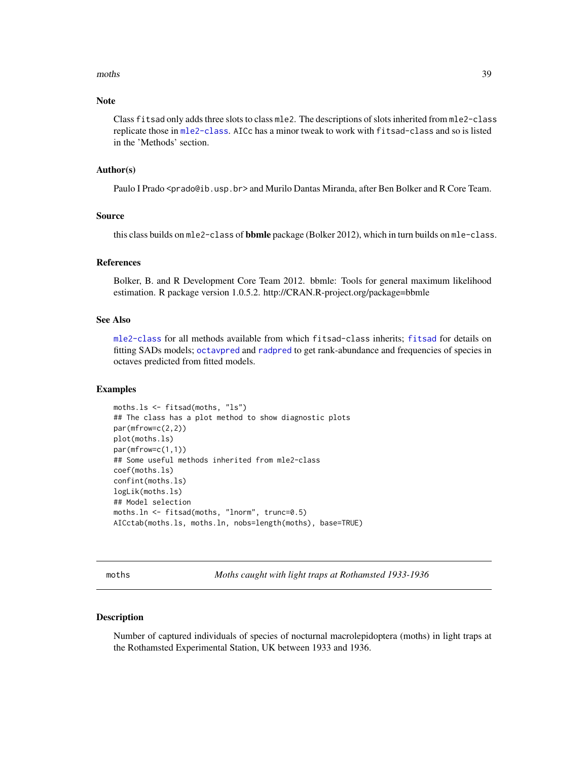#### <span id="page-38-0"></span>moths 39

# Note

Class fitsad only adds three slots to class mle2. The descriptions of slots inherited from mle2-class replicate those in [mle2-class](#page-0-0). AICc has a minor tweak to work with fitsad-class and so is listed in the 'Methods' section.

#### Author(s)

Paulo I Prado <prado@ib.usp.br> and Murilo Dantas Miranda, after Ben Bolker and R Core Team.

# Source

this class builds on mle2-class of bbmle package (Bolker 2012), which in turn builds on mle-class.

#### References

Bolker, B. and R Development Core Team 2012. bbmle: Tools for general maximum likelihood estimation. R package version 1.0.5.2. http://CRAN.R-project.org/package=bbmle

#### See Also

[mle2-class](#page-0-0) for all methods available from which fitsad-class inherits; [fitsad](#page-32-1) for details on fitting SADs models; [octavpred](#page-42-1) and [radpred](#page-54-1) to get rank-abundance and frequencies of species in octaves predicted from fitted models.

#### Examples

```
moths.ls <- fitsad(moths, "ls")
## The class has a plot method to show diagnostic plots
par(mfrow=c(2,2))
plot(moths.ls)
par(mfrow=c(1,1))
## Some useful methods inherited from mle2-class
coef(moths.ls)
confint(moths.ls)
logLik(moths.ls)
## Model selection
moths.ln <- fitsad(moths, "lnorm", trunc=0.5)
AICctab(moths.ls, moths.ln, nobs=length(moths), base=TRUE)
```
moths *Moths caught with light traps at Rothamsted 1933-1936*

#### Description

Number of captured individuals of species of nocturnal macrolepidoptera (moths) in light traps at the Rothamsted Experimental Station, UK between 1933 and 1936.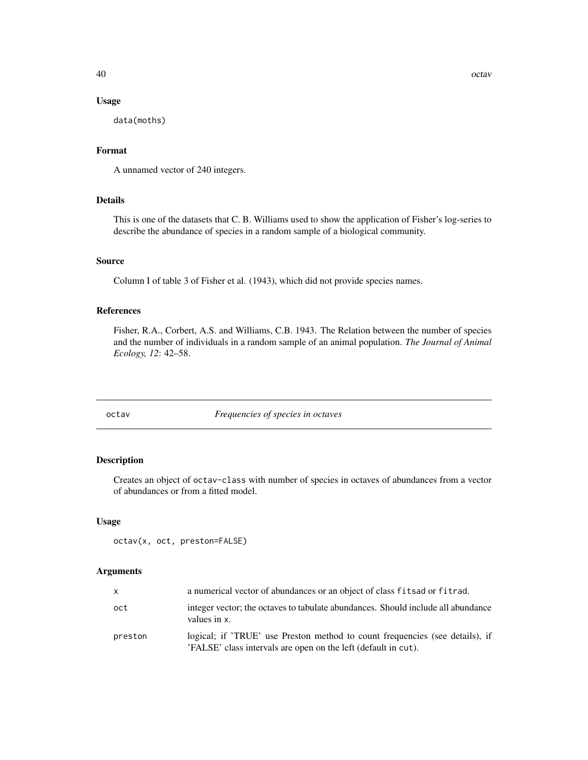# <span id="page-39-0"></span>Usage

data(moths)

# Format

A unnamed vector of 240 integers.

# Details

This is one of the datasets that C. B. Williams used to show the application of Fisher's log-series to describe the abundance of species in a random sample of a biological community.

#### Source

Column I of table 3 of Fisher et al. (1943), which did not provide species names.

# References

Fisher, R.A., Corbert, A.S. and Williams, C.B. 1943. The Relation between the number of species and the number of individuals in a random sample of an animal population. *The Journal of Animal Ecology, 12*: 42–58.

<span id="page-39-1"></span>octav *Frequencies of species in octaves*

# Description

Creates an object of octav-class with number of species in octaves of abundances from a vector of abundances or from a fitted model.

#### Usage

```
octav(x, oct, preston=FALSE)
```
# Arguments

| X       | a numerical vector of abundances or an object of class fits ad or fit rad.                                                                     |
|---------|------------------------------------------------------------------------------------------------------------------------------------------------|
| oct     | integer vector; the octaves to tabulate abundances. Should include all abundance<br>values in x.                                               |
| preston | logical; if 'TRUE' use Preston method to count frequencies (see details), if<br>'FALSE' class intervals are open on the left (default in cut). |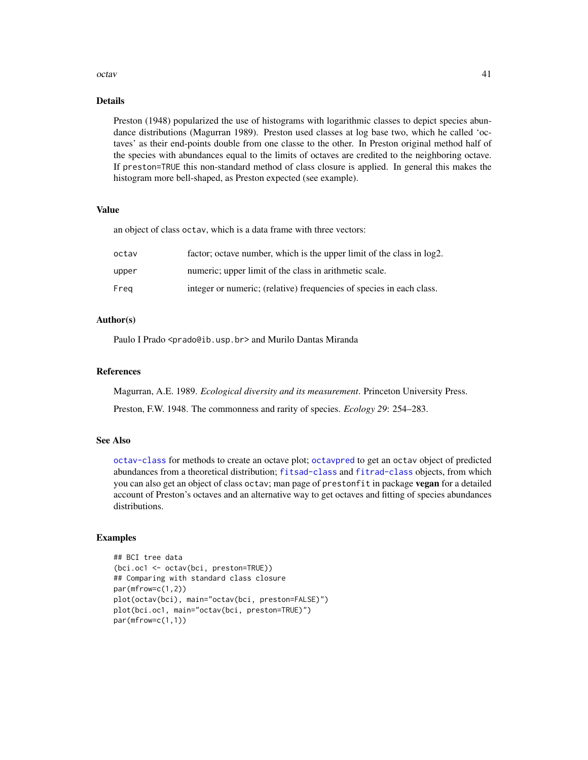#### <span id="page-40-0"></span>octav and the set of the set of the set of the set of the set of the set of the set of the set of the set of the set of the set of the set of the set of the set of the set of the set of the set of the set of the set of the

# Details

Preston (1948) popularized the use of histograms with logarithmic classes to depict species abundance distributions (Magurran 1989). Preston used classes at log base two, which he called 'octaves' as their end-points double from one classe to the other. In Preston original method half of the species with abundances equal to the limits of octaves are credited to the neighboring octave. If preston=TRUE this non-standard method of class closure is applied. In general this makes the histogram more bell-shaped, as Preston expected (see example).

# Value

an object of class octav, which is a data frame with three vectors:

| octav | factor; octave number, which is the upper limit of the class in log2. |
|-------|-----------------------------------------------------------------------|
| upper | numeric; upper limit of the class in arithmetic scale.                |
| Frea  | integer or numeric; (relative) frequencies of species in each class.  |

# Author(s)

Paulo I Prado <prado@ib.usp.br> and Murilo Dantas Miranda

# References

Magurran, A.E. 1989. *Ecological diversity and its measurement*. Princeton University Press.

Preston, F.W. 1948. The commonness and rarity of species. *Ecology 29*: 254–283.

# See Also

[octav-class](#page-41-1) for methods to create an octave plot; [octavpred](#page-42-1) to get an octav object of predicted abundances from a theoretical distribution; [fitsad-class](#page-36-1) and [fitrad-class](#page-29-1) objects, from which you can also get an object of class octav; man page of prestonfit in package vegan for a detailed account of Preston's octaves and an alternative way to get octaves and fitting of species abundances distributions.

# Examples

```
## BCI tree data
(bci.oc1 <- octav(bci, preston=TRUE))
## Comparing with standard class closure
par(mfrow=c(1,2))
plot(octav(bci), main="octav(bci, preston=FALSE)")
plot(bci.oc1, main="octav(bci, preston=TRUE)")
par(mfrow=c(1,1))
```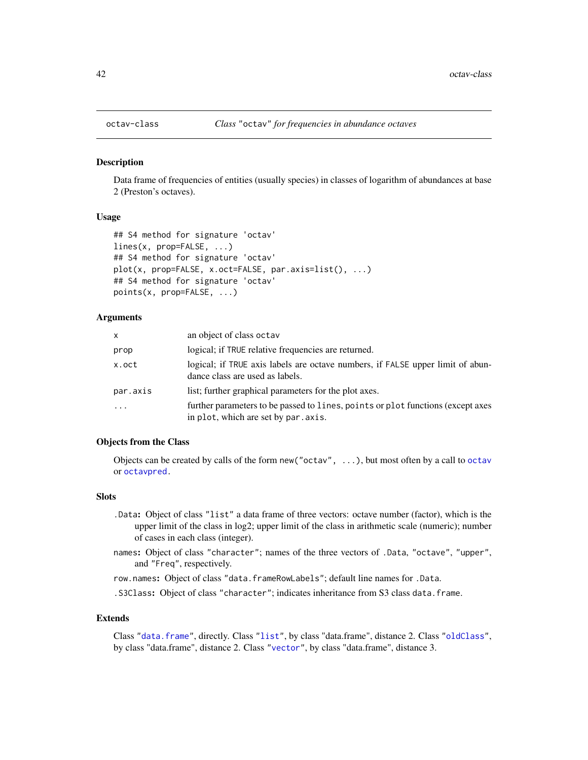<span id="page-41-1"></span><span id="page-41-0"></span>

#### Description

Data frame of frequencies of entities (usually species) in classes of logarithm of abundances at base 2 (Preston's octaves).

#### Usage

```
## S4 method for signature 'octav'
lines(x, prop=FALSE, ...)
## S4 method for signature 'octav'
plot(x, prop=FALSE, x.oct=FALSE, par.axis=list(), ...)
## S4 method for signature 'octav'
points(x, prop=FALSE, ...)
```
# Arguments

| X         | an object of class octav                                                                                                |
|-----------|-------------------------------------------------------------------------------------------------------------------------|
| prop      | logical; if TRUE relative frequencies are returned.                                                                     |
| x.oct     | logical; if TRUE axis labels are octave numbers, if FALSE upper limit of abun-<br>dance class are used as labels.       |
| par.axis  | list; further graphical parameters for the plot axes.                                                                   |
| $\ddotsc$ | further parameters to be passed to lines, points or plot functions (except axes<br>in plot, which are set by par. axis. |

#### Objects from the Class

Objects can be created by calls of the form new("octav", ...), but most often by a call to [octav](#page-39-1) or [octavpred.](#page-42-1)

#### **Slots**

- .Data: Object of class "list" a data frame of three vectors: octave number (factor), which is the upper limit of the class in log2; upper limit of the class in arithmetic scale (numeric); number of cases in each class (integer).
- names: Object of class "character"; names of the three vectors of .Data, "octave", "upper", and "Freq", respectively.

row.names: Object of class "data.frameRowLabels"; default line names for .Data.

.S3Class: Object of class "character"; indicates inheritance from S3 class data.frame.

#### Extends

Class ["data.frame"](#page-0-0), directly. Class ["list"](#page-0-0), by class "data.frame", distance 2. Class ["oldClass"](#page-0-0), by class "data.frame", distance 2. Class ["vector"](#page-0-0), by class "data.frame", distance 3.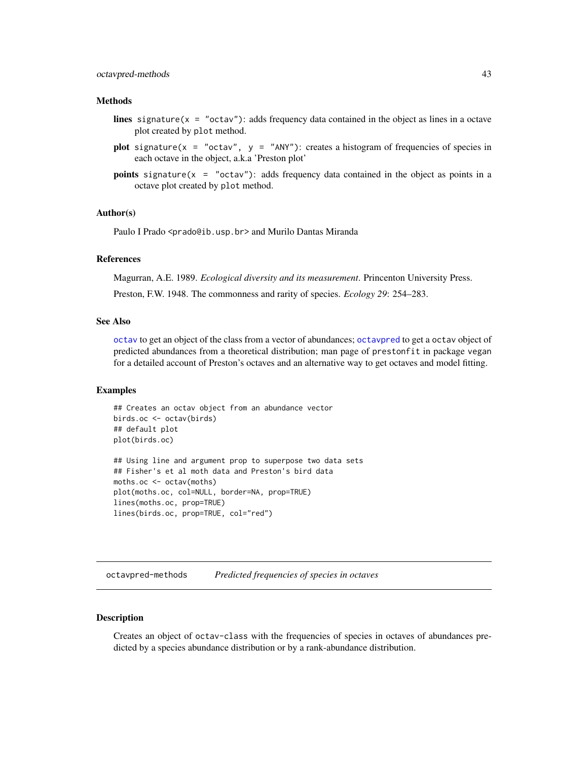# <span id="page-42-0"></span>octavpred-methods 43

#### Methods

- lines signature( $x = "octav")$ : adds frequency data contained in the object as lines in a octave plot created by plot method.
- plot signature(x = "octav", y = "ANY"): creates a histogram of frequencies of species in each octave in the object, a.k.a 'Preston plot'
- points signature(x = "octav"): adds frequency data contained in the object as points in a octave plot created by plot method.

#### Author(s)

Paulo I Prado <prado@ib.usp.br> and Murilo Dantas Miranda

# References

Magurran, A.E. 1989. *Ecological diversity and its measurement*. Princenton University Press.

Preston, F.W. 1948. The commonness and rarity of species. *Ecology 29*: 254–283.

#### See Also

[octav](#page-39-1) to get an object of the class from a vector of abundances; [octavpred](#page-42-1) to get a octav object of predicted abundances from a theoretical distribution; man page of prestonfit in package vegan for a detailed account of Preston's octaves and an alternative way to get octaves and model fitting.

#### Examples

```
## Creates an octav object from an abundance vector
birds.oc <- octav(birds)
## default plot
plot(birds.oc)
## Using line and argument prop to superpose two data sets
## Fisher's et al moth data and Preston's bird data
moths.oc <- octav(moths)
plot(moths.oc, col=NULL, border=NA, prop=TRUE)
lines(moths.oc, prop=TRUE)
lines(birds.oc, prop=TRUE, col="red")
```
octavpred-methods *Predicted frequencies of species in octaves*

# <span id="page-42-1"></span>Description

Creates an object of octav-class with the frequencies of species in octaves of abundances predicted by a species abundance distribution or by a rank-abundance distribution.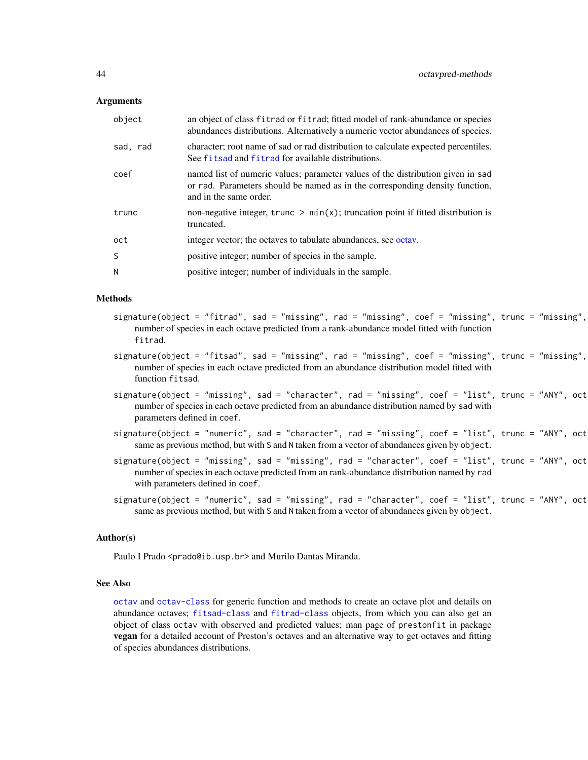#### <span id="page-43-0"></span>Arguments

| object   | an object of class fitrad or fitrad; fitted model of rank-abundance or species<br>abundances distributions. Alternatively a numeric vector abundances of species.                         |
|----------|-------------------------------------------------------------------------------------------------------------------------------------------------------------------------------------------|
| sad, rad | character; root name of sad or rad distribution to calculate expected percentiles.<br>See fits ad and fitrad for available distributions.                                                 |
| coef     | named list of numeric values; parameter values of the distribution given in sad<br>or rad. Parameters should be named as in the corresponding density function,<br>and in the same order. |
| trunc    | non-negative integer, trunc $> min(x)$ ; truncation point if fitted distribution is<br>truncated.                                                                                         |
| oct      | integer vector; the octaves to tabulate abundances, see octav.                                                                                                                            |
| S        | positive integer; number of species in the sample.                                                                                                                                        |
| N        | positive integer; number of individuals in the sample.                                                                                                                                    |

#### Methods

- $signature(object = "fitrad", sad = "missing", rad = "missing", code = "missing", coef = "missing", true = "missing",$ number of species in each octave predicted from a rank-abundance model fitted with function fitrad.
- $signature(object = "fitsad", sad = "missing", rad = "missing", code = "missing", coref = "missing", trunc = "missing",$ number of species in each octave predicted from an abundance distribution model fitted with function fitsad.
- $signature(object = "missing", sad = "character", rad = "missing", read = "missing", cost$ number of species in each octave predicted from an abundance distribution named by sad with parameters defined in coef.
- $signature(object = "numeric", sad = "character", rad = "matrix", read = "missing", coef = "list", trunc = "ANY", oct$ same as previous method, but with S and N taken from a vector of abundances given by object.
- $signature(object = "missing", sad = "missing", rad = "missing", rad = "character", coef = "list", trunc = "ANY", oct$ number of species in each octave predicted from an rank-abundance distribution named by rad with parameters defined in coef.
- $signature(object = "numeric", sad = "missing", rad = "character", coef = "list", trunc = "ANY", oct$ same as previous method, but with S and N taken from a vector of abundances given by object.

#### Author(s)

Paulo I Prado <prado@ib.usp.br> and Murilo Dantas Miranda.

#### See Also

[octav](#page-39-1) and [octav-class](#page-41-1) for generic function and methods to create an octave plot and details on abundance octaves; [fitsad-class](#page-36-1) and [fitrad-class](#page-29-1) objects, from which you can also get an object of class octav with observed and predicted values; man page of prestonfit in package vegan for a detailed account of Preston's octaves and an alternative way to get octaves and fitting of species abundances distributions.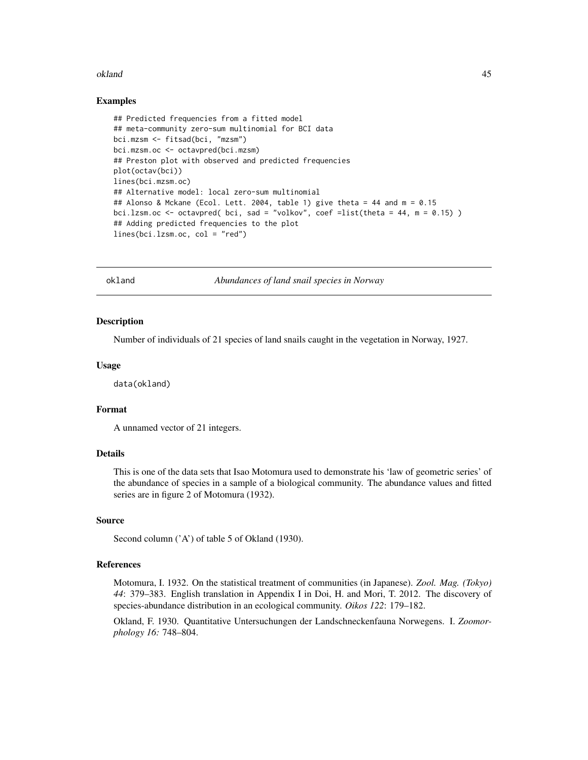#### <span id="page-44-0"></span>okland 45

#### Examples

```
## Predicted frequencies from a fitted model
## meta-community zero-sum multinomial for BCI data
bci.mzsm <- fitsad(bci, "mzsm")
bci.mzsm.oc <- octavpred(bci.mzsm)
## Preston plot with observed and predicted frequencies
plot(octav(bci))
lines(bci.mzsm.oc)
## Alternative model: local zero-sum multinomial
## Alonso & Mckane (Ecol. Lett. 2004, table 1) give theta = 44 and m = 0.15
bci.lzsm.oc <- octavpred( bci, sad = "volkov", coef =list(theta = 44, m = 0.15) )
## Adding predicted frequencies to the plot
lines(bci.lzsm.oc, col = "red")
```
okland *Abundances of land snail species in Norway*

#### Description

Number of individuals of 21 species of land snails caught in the vegetation in Norway, 1927.

#### Usage

data(okland)

#### Format

A unnamed vector of 21 integers.

# Details

This is one of the data sets that Isao Motomura used to demonstrate his 'law of geometric series' of the abundance of species in a sample of a biological community. The abundance values and fitted series are in figure 2 of Motomura (1932).

# Source

Second column ('A') of table 5 of Okland (1930).

# References

Motomura, I. 1932. On the statistical treatment of communities (in Japanese). *Zool. Mag. (Tokyo) 44*: 379–383. English translation in Appendix I in Doi, H. and Mori, T. 2012. The discovery of species-abundance distribution in an ecological community. *Oikos 122*: 179–182.

Okland, F. 1930. Quantitative Untersuchungen der Landschneckenfauna Norwegens. I. *Zoomorphology 16:* 748–804.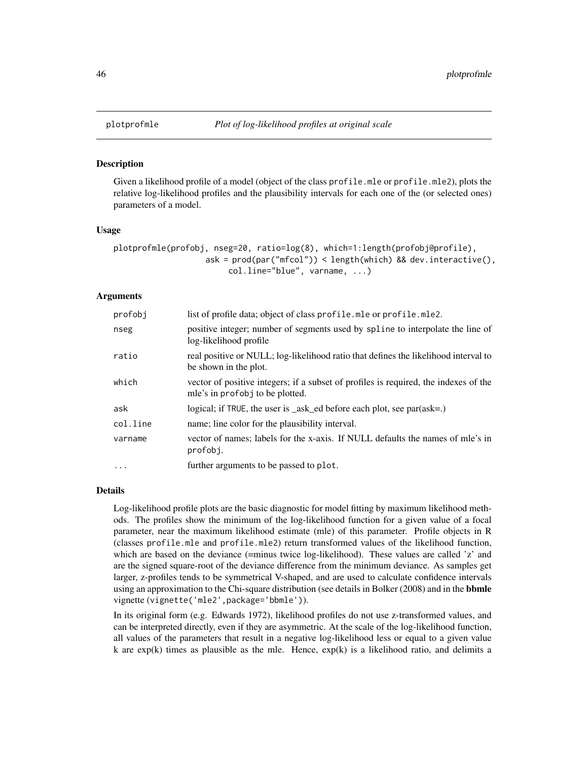#### Description

Given a likelihood profile of a model (object of the class profile.mle or profile.mle2), plots the relative log-likelihood profiles and the plausibility intervals for each one of the (or selected ones) parameters of a model.

#### Usage

```
plotprofmle(profobj, nseg=20, ratio=log(8), which=1:length(profobj@profile),
                   ask = prod(par("mfcol")) < length(which) && dev.interactive(),
                        col.line="blue", varname, ...)
```
# Arguments

| profobi   | list of profile data; object of class profile.mle or profile.mle2.                                                      |
|-----------|-------------------------------------------------------------------------------------------------------------------------|
| nseg      | positive integer; number of segments used by spline to interpolate the line of<br>log-likelihood profile                |
| ratio     | real positive or NULL; log-likelihood ratio that defines the likelihood interval to<br>be shown in the plot.            |
| which     | vector of positive integers; if a subset of profiles is required, the indexes of the<br>mle's in profobj to be plotted. |
| ask       | logical; if TRUE, the user is $\_\$ ask $\_\$ ed before each plot, see par $\left(\text{ask}=\right)$                   |
| col.line  | name; line color for the plausibility interval.                                                                         |
| varname   | vector of names; labels for the x-axis. If NULL defaults the names of mle's in<br>profobj.                              |
| $\ddotsc$ | further arguments to be passed to plot.                                                                                 |

#### Details

Log-likelihood profile plots are the basic diagnostic for model fitting by maximum likelihood methods. The profiles show the minimum of the log-likelihood function for a given value of a focal parameter, near the maximum likelihood estimate (mle) of this parameter. Profile objects in R (classes profile.mle and profile.mle2) return transformed values of the likelihood function, which are based on the deviance (=minus twice log-likelihood). These values are called 'z' and are the signed square-root of the deviance difference from the minimum deviance. As samples get larger, z-profiles tends to be symmetrical V-shaped, and are used to calculate confidence intervals using an approximation to the Chi-square distribution (see details in Bolker (2008) and in the **bbmle** vignette (vignette('mle2',package='bbmle')).

In its original form (e.g. Edwards 1972), likelihood profiles do not use z-transformed values, and can be interpreted directly, even if they are asymmetric. At the scale of the log-likelihood function, all values of the parameters that result in a negative log-likelihood less or equal to a given value k are  $exp(k)$  times as plausible as the mle. Hence,  $exp(k)$  is a likelihood ratio, and delimits a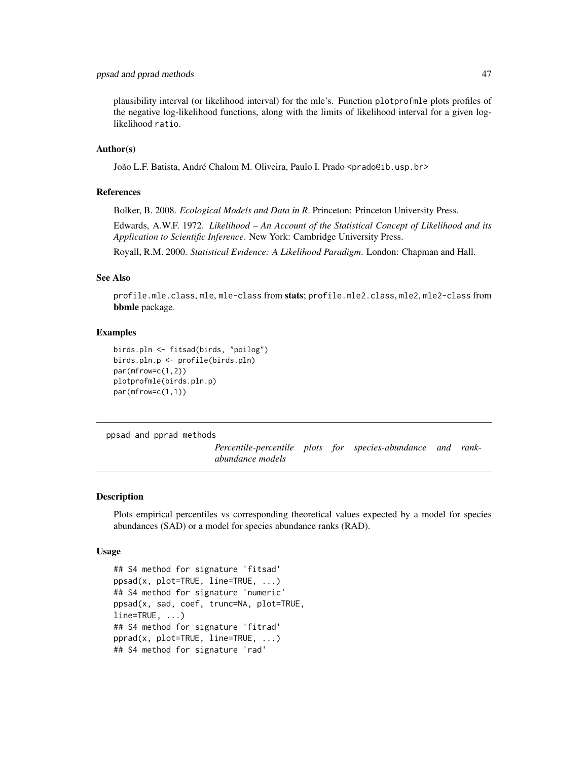# <span id="page-46-0"></span>ppsad and pprad methods 47

plausibility interval (or likelihood interval) for the mle's. Function plotprofmle plots profiles of the negative log-likelihood functions, along with the limits of likelihood interval for a given loglikelihood ratio.

# Author(s)

João L.F. Batista, André Chalom M. Oliveira, Paulo I. Prado <prado@ib.usp.br>

# References

Bolker, B. 2008. *Ecological Models and Data in R*. Princeton: Princeton University Press.

Edwards, A.W.F. 1972. *Likelihood – An Account of the Statistical Concept of Likelihood and its Application to Scientific Inference*. New York: Cambridge University Press.

Royall, R.M. 2000. *Statistical Evidence: A Likelihood Paradigm*. London: Chapman and Hall.

#### See Also

profile.mle.class, mle, mle-class from stats; profile.mle2.class, mle2, mle2-class from bbmle package.

# Examples

```
birds.pln <- fitsad(birds, "poilog")
birds.pln.p <- profile(birds.pln)
par(mfrow=c(1,2))
plotprofmle(birds.pln.p)
par(mfrow=c(1,1))
```
ppsad and pprad methods

*Percentile-percentile plots for species-abundance and rankabundance models*

# <span id="page-46-1"></span>Description

Plots empirical percentiles vs corresponding theoretical values expected by a model for species abundances (SAD) or a model for species abundance ranks (RAD).

#### Usage

```
## S4 method for signature 'fitsad'
ppsad(x, plot=TRUE, line=TRUE, ...)
## S4 method for signature 'numeric'
ppsad(x, sad, coef, trunc=NA, plot=TRUE,
line=TRUE, ...)
## S4 method for signature 'fitrad'
pprad(x, plot=TRUE, line=TRUE, ...)
## S4 method for signature 'rad'
```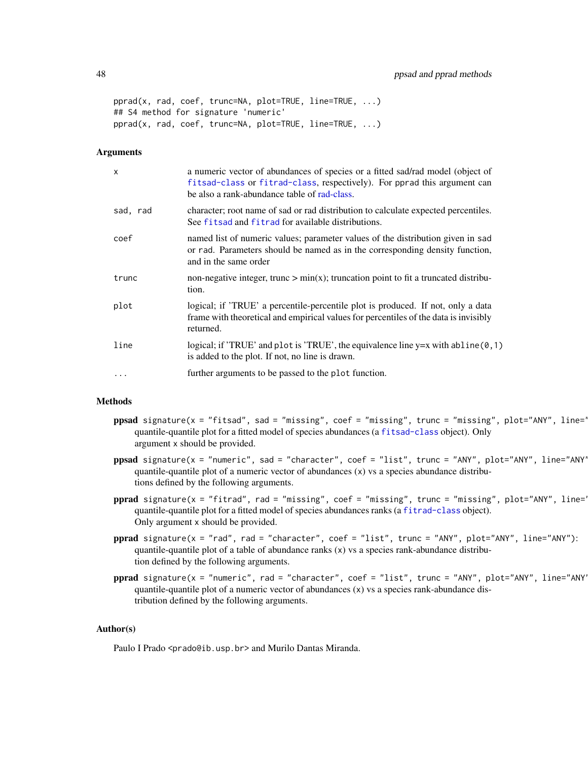```
pprad(x, rad, coef, trunc=NA, plot=TRUE, line=TRUE, ...)
## S4 method for signature 'numeric'
pprad(x, rad, coef, trunc=NA, plot=TRUE, line=TRUE, ...)
```
# Arguments

| $\times$ | a numeric vector of abundances of species or a fitted sad/rad model (object of<br>fitsad-class or fitrad-class, respectively). For pprad this argument can<br>be also a rank-abundance table of rad-class. |
|----------|------------------------------------------------------------------------------------------------------------------------------------------------------------------------------------------------------------|
| sad, rad | character; root name of sad or rad distribution to calculate expected percentiles.<br>See fits ad and fitrad for available distributions.                                                                  |
| coef     | named list of numeric values; parameter values of the distribution given in sad<br>or rad. Parameters should be named as in the corresponding density function,<br>and in the same order                   |
| trunc    | non-negative integer, trunc $> min(x)$ ; truncation point to fit a truncated distribu-<br>tion.                                                                                                            |
| plot     | logical; if 'TRUE' a percentile-percentile plot is produced. If not, only a data<br>frame with theoretical and empirical values for percentiles of the data is invisibly<br>returned.                      |
| line     | logical; if 'TRUE' and plot is 'TRUE', the equivalence line y=x with abline (0,1)<br>is added to the plot. If not, no line is drawn.                                                                       |
| .        | further arguments to be passed to the plot function.                                                                                                                                                       |

# Methods

- $ppsad$  signature(x = "fitsad", sad = "missing", coef = "missing", trunc = "missing", plot="ANY", line=' quantile-quantile plot for a fitted model of species abundances (a [fitsad-class](#page-36-1) object). Only argument x should be provided.
- ppsad signature(x = "numeric", sad = "character", coef = "list", trunc = "ANY", plot="ANY", line="ANY" quantile-quantile plot of a numeric vector of abundances  $(x)$  vs a species abundance distributions defined by the following arguments.
- $pprad$  signature(x = "fitrad", rad = "missing", coef = "missing", trunc = "missing", plot="ANY", line=' quantile-quantile plot for a fitted model of species abundances ranks (a [fitrad-class](#page-29-1) object). Only argument x should be provided.
- pprad signature(x = "rad", rad = "character", coef = "list", trunc = "ANY", plot="ANY", line="ANY"): quantile-quantile plot of a table of abundance ranks  $(x)$  vs a species rank-abundance distribution defined by the following arguments.
- pprad signature(x = "numeric", rad = "character", coef = "list", trunc = "ANY", plot="ANY", line="ANY" quantile-quantile plot of a numeric vector of abundances (x) vs a species rank-abundance distribution defined by the following arguments.

# Author(s)

Paulo I Prado <prado@ib.usp.br> and Murilo Dantas Miranda.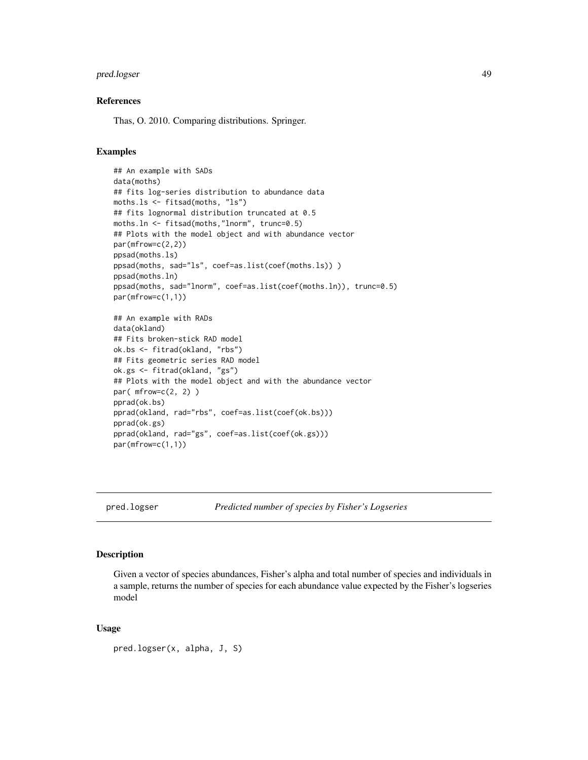# <span id="page-48-0"></span>pred.logser 49

#### References

Thas, O. 2010. Comparing distributions. Springer.

# Examples

```
## An example with SADs
data(moths)
## fits log-series distribution to abundance data
moths.ls <- fitsad(moths, "ls")
## fits lognormal distribution truncated at 0.5
moths.ln <- fitsad(moths,"lnorm", trunc=0.5)
## Plots with the model object and with abundance vector
par(mfrow=c(2,2))
ppsad(moths.ls)
ppsad(moths, sad="ls", coef=as.list(coef(moths.ls)) )
ppsad(moths.ln)
ppsad(moths, sad="lnorm", coef=as.list(coef(moths.ln)), trunc=0.5)
par(mfrow=c(1,1))
## An example with RADs
data(okland)
## Fits broken-stick RAD model
ok.bs <- fitrad(okland, "rbs")
## Fits geometric series RAD model
ok.gs <- fitrad(okland, "gs")
## Plots with the model object and with the abundance vector
par( mfrow=c(2, 2) )
pprad(ok.bs)
pprad(okland, rad="rbs", coef=as.list(coef(ok.bs)))
pprad(ok.gs)
pprad(okland, rad="gs", coef=as.list(coef(ok.gs)))
par(mfrow=c(1,1))
```
pred.logser *Predicted number of species by Fisher's Logseries*

# Description

Given a vector of species abundances, Fisher's alpha and total number of species and individuals in a sample, returns the number of species for each abundance value expected by the Fisher's logseries model

#### Usage

pred.logser(x, alpha, J, S)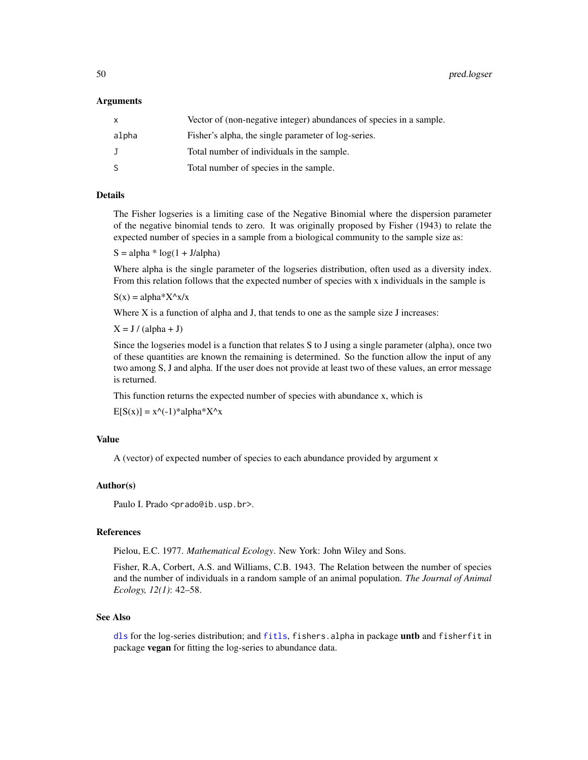<span id="page-49-0"></span>50 pred.logser

#### Arguments

| $\mathsf{x}$ | Vector of (non-negative integer) abundances of species in a sample. |
|--------------|---------------------------------------------------------------------|
| alpha        | Fisher's alpha, the single parameter of log-series.                 |
| $\cdot$      | Total number of individuals in the sample.                          |
| -S           | Total number of species in the sample.                              |

# Details

The Fisher logseries is a limiting case of the Negative Binomial where the dispersion parameter of the negative binomial tends to zero. It was originally proposed by Fisher (1943) to relate the expected number of species in a sample from a biological community to the sample size as:

 $S = alpha * log(1 + J/alpha)$ 

Where alpha is the single parameter of the logseries distribution, often used as a diversity index. From this relation follows that the expected number of species with x individuals in the sample is

 $S(x) = alpha*X^x/x$ 

Where X is a function of alpha and J, that tends to one as the sample size J increases:

 $X = J / (alpha + J)$ 

Since the logseries model is a function that relates S to J using a single parameter (alpha), once two of these quantities are known the remaining is determined. So the function allow the input of any two among S, J and alpha. If the user does not provide at least two of these values, an error message is returned.

This function returns the expected number of species with abundance x, which is

 $E[S(x)] = x^{\Lambda}(-1)^*$ alpha $X^{\Lambda}$ x

# Value

A (vector) of expected number of species to each abundance provided by argument x

# Author(s)

Paulo I. Prado <prado@ib.usp.br>.

# References

Pielou, E.C. 1977. *Mathematical Ecology*. New York: John Wiley and Sons.

Fisher, R.A, Corbert, A.S. and Williams, C.B. 1943. The Relation between the number of species and the number of individuals in a random sample of an animal population. *The Journal of Animal Ecology, 12(1)*: 42–58.

# See Also

[dls](#page-8-1) for the log-series distribution; and [fitls](#page-32-2), fishers.alpha in package untb and fisherfit in package vegan for fitting the log-series to abundance data.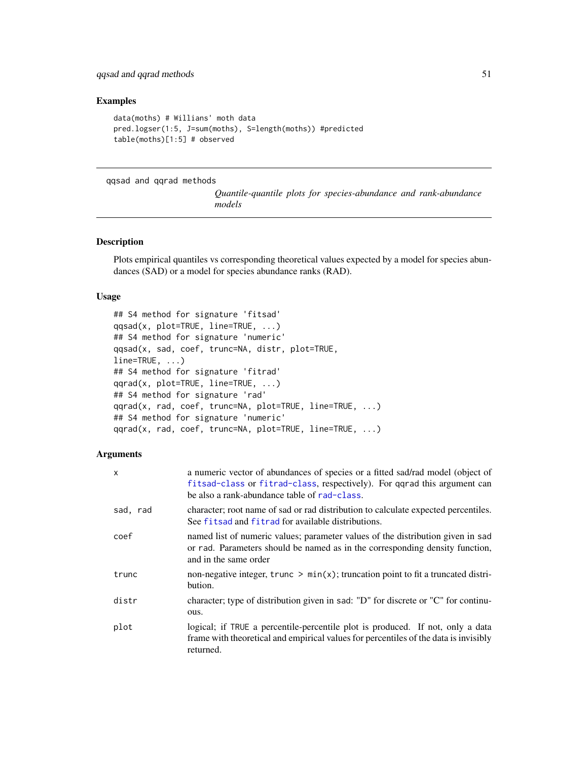# <span id="page-50-0"></span>qqsad and qqrad methods 51

#### Examples

```
data(moths) # Willians' moth data
pred.logser(1:5, J=sum(moths), S=length(moths)) #predicted
table(moths)[1:5] # observed
```
#### qqsad and qqrad methods

*Quantile-quantile plots for species-abundance and rank-abundance models*

#### <span id="page-50-1"></span>Description

Plots empirical quantiles vs corresponding theoretical values expected by a model for species abundances (SAD) or a model for species abundance ranks (RAD).

#### Usage

```
## S4 method for signature 'fitsad'
qqsad(x, plot=TRUE, line=TRUE, ...)
## S4 method for signature 'numeric'
qqsad(x, sad, coef, trunc=NA, distr, plot=TRUE,
line=TRUE, ...)
## S4 method for signature 'fitrad'
qqrad(x, plot=TRUE, line=TRUE, ...)
## S4 method for signature 'rad'
qqrad(x, rad, coef, trunc=NA, plot=TRUE, line=TRUE, ...)
## S4 method for signature 'numeric'
qqrad(x, rad, coef, trunc=NA, plot=TRUE, line=TRUE, ...)
```
# Arguments

| X        | a numeric vector of abundances of species or a fitted sad/rad model (object of<br>fitsad-class or fitrad-class, respectively). For qqrad this argument can<br>be also a rank-abundance table of rad-class. |
|----------|------------------------------------------------------------------------------------------------------------------------------------------------------------------------------------------------------------|
| sad, rad | character; root name of sad or rad distribution to calculate expected percentiles.<br>See fits ad and fitrad for available distributions.                                                                  |
| coef     | named list of numeric values; parameter values of the distribution given in sad<br>or rad. Parameters should be named as in the corresponding density function,<br>and in the same order                   |
| trunc    | non-negative integer, $trunc > min(x)$ ; truncation point to fit a truncated distri-<br>bution.                                                                                                            |
| distr    | character; type of distribution given in sad: "D" for discrete or "C" for continu-<br>ous.                                                                                                                 |
| plot     | logical; if TRUE a percentile-percentile plot is produced. If not, only a data<br>frame with theoretical and empirical values for percentiles of the data is invisibly<br>returned.                        |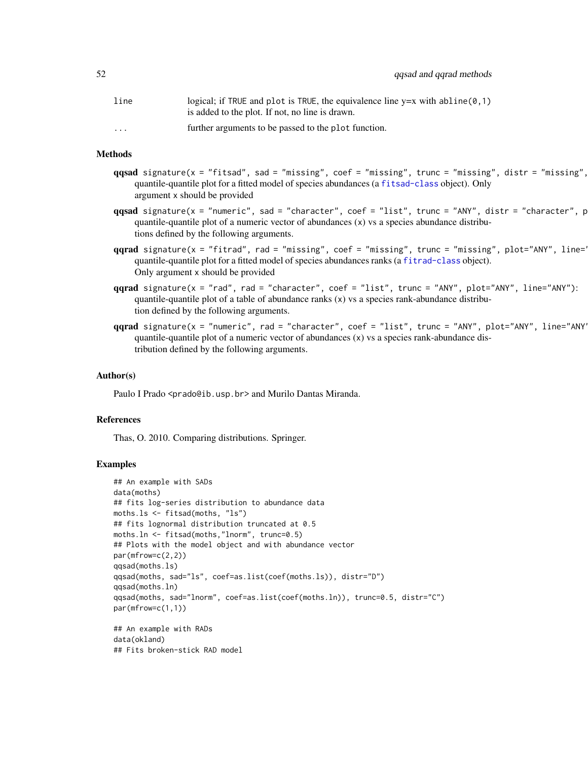| line                    | logical; if TRUE and plot is TRUE, the equivalence line $y=x$ with abline $(0,1)$<br>is added to the plot. If not, no line is drawn. |
|-------------------------|--------------------------------------------------------------------------------------------------------------------------------------|
| $\cdot$ $\cdot$ $\cdot$ | further arguments to be passed to the plot function.                                                                                 |

# Methods

- $qqsad$  signature(x = "fitsad", sad = "missing", coef = "missing", trunc = "missing", distr = "missing", quantile-quantile plot for a fitted model of species abundances (a [fitsad-class](#page-36-1) object). Only argument x should be provided
- $qqsad$  signature(x = "numeric", sad = "character", coef = "list", trunc = "ANY", distr = "character", p quantile-quantile plot of a numeric vector of abundances  $(x)$  vs a species abundance distributions defined by the following arguments.
- $qqrad$  signature(x = "fitrad", rad = "missing", coef = "missing", trunc = "missing", plot="ANY", line=' quantile-quantile plot for a fitted model of species abundances ranks (a [fitrad-class](#page-29-1) object). Only argument x should be provided
- qqrad signature(x = "rad", rad = "character", coef = "list", trunc = "ANY", plot="ANY", line="ANY"): quantile-quantile plot of a table of abundance ranks  $(x)$  vs a species rank-abundance distribution defined by the following arguments.
- qqrad signature(x = "numeric", rad = "character", coef = "list", trunc = "ANY", plot="ANY", line="ANY"): quantile-quantile plot of a numeric vector of abundances (x) vs a species rank-abundance distribution defined by the following arguments.

# Author(s)

Paulo I Prado <prado@ib.usp.br> and Murilo Dantas Miranda.

#### References

Thas, O. 2010. Comparing distributions. Springer.

#### Examples

```
## An example with SADs
data(moths)
## fits log-series distribution to abundance data
moths.ls <- fitsad(moths, "ls")
## fits lognormal distribution truncated at 0.5
moths.ln <- fitsad(moths,"lnorm", trunc=0.5)
## Plots with the model object and with abundance vector
par(mfrow=c(2,2))
qqsad(moths.ls)
qqsad(moths, sad="ls", coef=as.list(coef(moths.ls)), distr="D")
qqsad(moths.ln)
qqsad(moths, sad="lnorm", coef=as.list(coef(moths.ln)), trunc=0.5, distr="C")
par(mfrow=c(1,1))
## An example with RADs
data(okland)
## Fits broken-stick RAD model
```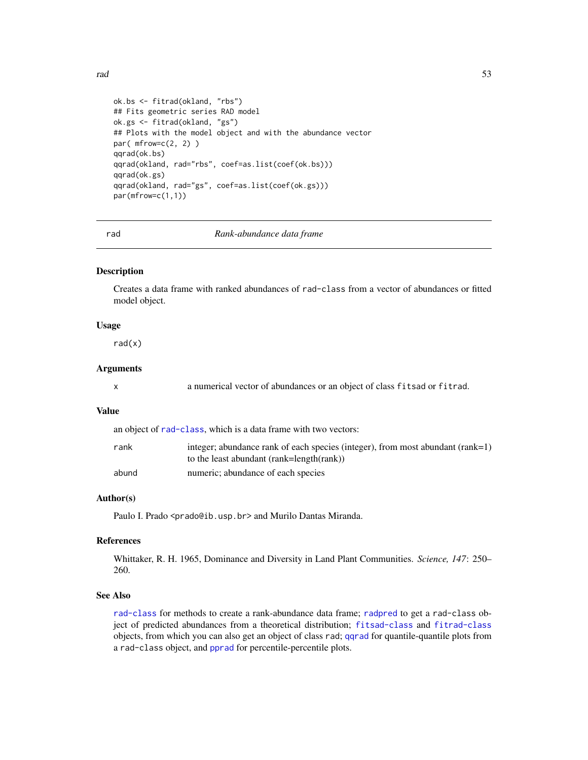```
ok.bs <- fitrad(okland, "rbs")
## Fits geometric series RAD model
ok.gs <- fitrad(okland, "gs")
## Plots with the model object and with the abundance vector
par( mfrow=c(2, 2) )
qqrad(ok.bs)
qqrad(okland, rad="rbs", coef=as.list(coef(ok.bs)))
qqrad(ok.gs)
qqrad(okland, rad="gs", coef=as.list(coef(ok.gs)))
par(mfrow=c(1,1))
```
<span id="page-52-1"></span>rad *Rank-abundance data frame*

#### Description

Creates a data frame with ranked abundances of rad-class from a vector of abundances or fitted model object.

#### Usage

 $rad(x)$ 

# Arguments

|  |  |  | a numerical vector of abundances or an object of class fitsad or fitrad. |  |  |  |  |  |
|--|--|--|--------------------------------------------------------------------------|--|--|--|--|--|
|--|--|--|--------------------------------------------------------------------------|--|--|--|--|--|

# Value

an object of [rad-class](#page-53-1), which is a data frame with two vectors:

| rank  | integer; abundance rank of each species (integer), from most abundant (rank=1) |
|-------|--------------------------------------------------------------------------------|
|       | to the least abundant (rank=length(rank))                                      |
| abund | numeric; abundance of each species                                             |

#### Author(s)

Paulo I. Prado <prado@ib.usp.br> and Murilo Dantas Miranda.

#### References

Whittaker, R. H. 1965, Dominance and Diversity in Land Plant Communities. *Science, 147*: 250– 260.

#### See Also

[rad-class](#page-53-1) for methods to create a rank-abundance data frame; [radpred](#page-54-1) to get a rad-class object of predicted abundances from a theoretical distribution; [fitsad-class](#page-36-1) and [fitrad-class](#page-29-1) objects, from which you can also get an object of class rad; [qqrad](#page-50-1) for quantile-quantile plots from a rad-class object, and [pprad](#page-46-1) for percentile-percentile plots.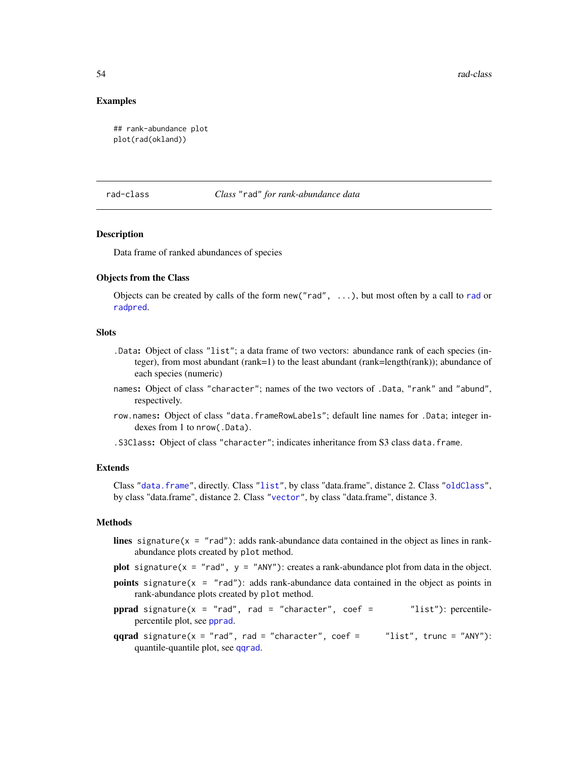# <span id="page-53-0"></span>Examples

```
## rank-abundance plot
plot(rad(okland))
```
#### <span id="page-53-1"></span>rad-class *Class* "rad" *for rank-abundance data*

#### Description

Data frame of ranked abundances of species

#### Objects from the Class

Objects can be created by calls of the form new ("[rad](#page-52-1)",  $\ldots$ ), but most often by a call to rad or [radpred](#page-54-1).

# Slots

- .Data: Object of class "list"; a data frame of two vectors: abundance rank of each species (integer), from most abundant (rank=1) to the least abundant (rank=length(rank)); abundance of each species (numeric)
- names: Object of class "character"; names of the two vectors of .Data, "rank" and "abund", respectively.
- row.names: Object of class "data.frameRowLabels"; default line names for .Data; integer indexes from 1 to nrow(.Data).

.S3Class: Object of class "character"; indicates inheritance from S3 class data.frame.

#### Extends

Class ["data.frame"](#page-0-0), directly. Class ["list"](#page-0-0), by class "data.frame", distance 2. Class ["oldClass"](#page-0-0), by class "data.frame", distance 2. Class ["vector"](#page-0-0), by class "data.frame", distance 3.

# Methods

- lines signature( $x = "rad"$ ): adds rank-abundance data contained in the object as lines in rankabundance plots created by plot method.
- plot signature( $x = "rad", y = "ANY")$ : creates a rank-abundance plot from data in the object.
- **points** signature( $x = "rad"$ ): adds rank-abundance data contained in the object as points in rank-abundance plots created by plot method.
- pprad signature( $x = "rad"$ , rad = "character", coef =  $"list")$ : percentilepercentile plot, see [pprad](#page-46-1).
- qqrad signature( $x = "rad", rad = "character", coef = "list", trunc = "ANY":$ quantile-quantile plot, see [qqrad](#page-50-1).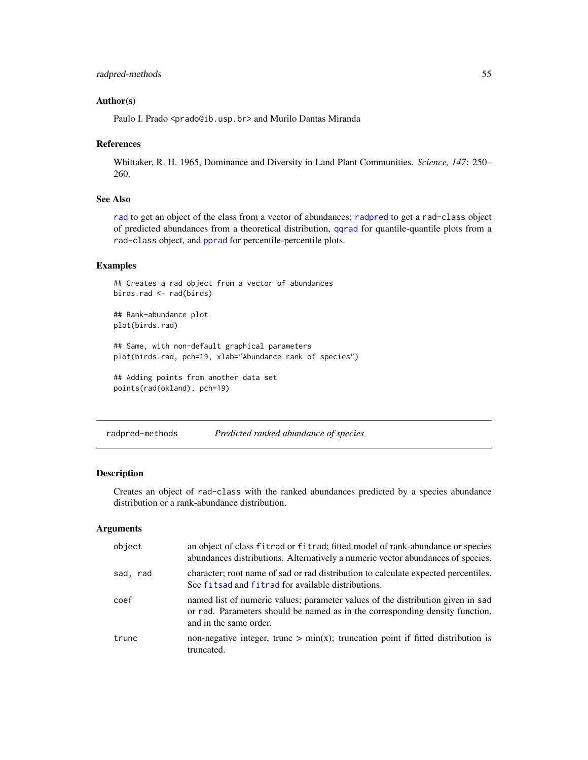#### <span id="page-54-0"></span>Author(s)

Paulo I. Prado <prado@ib.usp.br> and Murilo Dantas Miranda

#### References

Whittaker, R. H. 1965, Dominance and Diversity in Land Plant Communities. *Science, 147*: 250– 260.

# See Also

[rad](#page-52-1) to get an object of the class from a vector of abundances; [radpred](#page-54-1) to get a rad-class object of predicted abundances from a theoretical distribution, [qqrad](#page-50-1) for quantile-quantile plots from a rad-class object, and [pprad](#page-46-1) for percentile-percentile plots.

#### Examples

```
## Creates a rad object from a vector of abundances
birds.rad <- rad(birds)
## Rank-abundance plot
plot(birds.rad)
## Same, with non-default graphical parameters
plot(birds.rad, pch=19, xlab="Abundance rank of species")
## Adding points from another data set
points(rad(okland), pch=19)
```
radpred-methods *Predicted ranked abundance of species*

#### <span id="page-54-1"></span>Description

Creates an object of rad-class with the ranked abundances predicted by a species abundance distribution or a rank-abundance distribution.

#### Arguments

| object   | an object of class fitrad or fitrad; fitted model of rank-abundance or species<br>abundances distributions. Alternatively a numeric vector abundances of species.                         |
|----------|-------------------------------------------------------------------------------------------------------------------------------------------------------------------------------------------|
| sad, rad | character; root name of sad or rad distribution to calculate expected percentiles.<br>See fits ad and fitrad for available distributions.                                                 |
| coef     | named list of numeric values; parameter values of the distribution given in sad<br>or rad. Parameters should be named as in the corresponding density function,<br>and in the same order. |
| trunc    | non-negative integer, trunc $> min(x)$ ; truncation point if fitted distribution is<br>truncated.                                                                                         |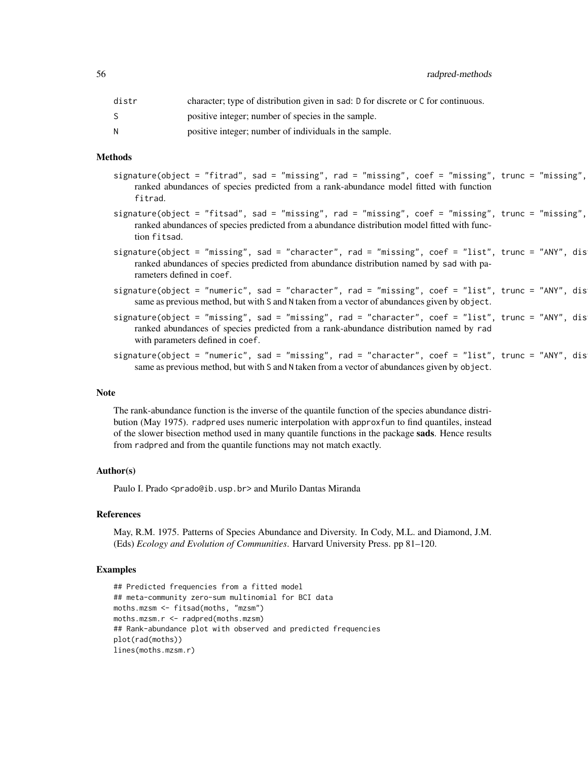56 radpred-methods

| distr | character; type of distribution given in sad: D for discrete or C for continuous. |
|-------|-----------------------------------------------------------------------------------|
|       | positive integer; number of species in the sample.                                |
| N     | positive integer; number of individuals in the sample.                            |

# Methods

| signature(object = "fitrad", sad = "missing", rad = "missing", coef = "missing", trunc = "missing", |  |  |  |  |  |  |
|-----------------------------------------------------------------------------------------------------|--|--|--|--|--|--|
| ranked abundances of species predicted from a rank-abundance model fitted with function             |  |  |  |  |  |  |
| fitrad.                                                                                             |  |  |  |  |  |  |

- $signature(object = "fitsad", sad = "missing", rad = "missing", code = "missing", coref = "missing", trunc = "missing",$ ranked abundances of species predicted from a abundance distribution model fitted with function fitsad.
- $signature(object = "missing", sad = "character", rad = "missing", code = "list", trunc = "ANN", dis$ ranked abundances of species predicted from abundance distribution named by sad with parameters defined in coef.
- $signature(object = "numeric", sad = "character", rad = "missing", coef = "list", trunc = "ANY", dis$ same as previous method, but with S and N taken from a vector of abundances given by object.
- $signature(object = "missing", sad = "missing", rad = "character", coef = "list", trunc = "ANY", dis$ ranked abundances of species predicted from a rank-abundance distribution named by rad with parameters defined in coef.
- $signature(object = "numeric", sad = "missing", rad = "character", coef = "list", trunc = "ANY", dis$ same as previous method, but with S and N taken from a vector of abundances given by object.

#### Note

The rank-abundance function is the inverse of the quantile function of the species abundance distribution (May 1975). radpred uses numeric interpolation with approxfun to find quantiles, instead of the slower bisection method used in many quantile functions in the package sads. Hence results from radpred and from the quantile functions may not match exactly.

#### Author(s)

Paulo I. Prado <prado@ib.usp.br> and Murilo Dantas Miranda

#### References

May, R.M. 1975. Patterns of Species Abundance and Diversity. In Cody, M.L. and Diamond, J.M. (Eds) *Ecology and Evolution of Communities*. Harvard University Press. pp 81–120.

# Examples

```
## Predicted frequencies from a fitted model
## meta-community zero-sum multinomial for BCI data
moths.mzsm <- fitsad(moths, "mzsm")
moths.mzsm.r <- radpred(moths.mzsm)
## Rank-abundance plot with observed and predicted frequencies
plot(rad(moths))
lines(moths.mzsm.r)
```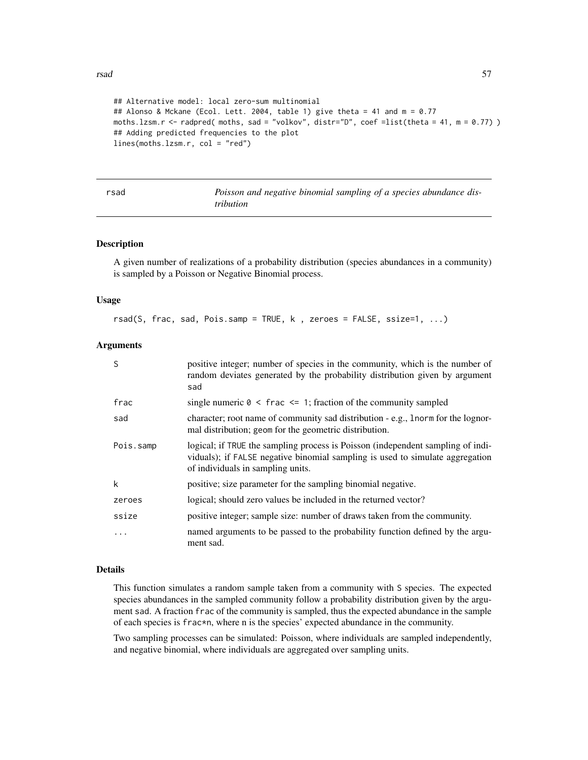```
## Alternative model: local zero-sum multinomial
## Alonso & Mckane (Ecol. Lett. 2004, table 1) give theta = 41 and m = 0.77
moths.lzsm.r <- radpred( moths, sad = "volkov", distr="D", coef =list(theta = 41, m = 0.77) )
## Adding predicted frequencies to the plot
lines(moths.lzsm.r, col = "red")
```
<span id="page-56-1"></span>

rsad *Poisson and negative binomial sampling of a species abundance distribution*

# Description

A given number of realizations of a probability distribution (species abundances in a community) is sampled by a Poisson or Negative Binomial process.

#### Usage

rsad(S, frac, sad, Pois.samp = TRUE, k , zeroes = FALSE, ssize=1, ...)

#### **Arguments**

| S         | positive integer; number of species in the community, which is the number of<br>random deviates generated by the probability distribution given by argument<br>sad                                    |
|-----------|-------------------------------------------------------------------------------------------------------------------------------------------------------------------------------------------------------|
| frac      | single numeric $0 \le$ frac $\le$ 1; fraction of the community sampled                                                                                                                                |
| sad       | character; root name of community sad distribution - e.g., 1 norm for the lognor-<br>mal distribution; geom for the geometric distribution.                                                           |
| Pois.samp | logical; if TRUE the sampling process is Poisson (independent sampling of indi-<br>viduals); if FALSE negative binomial sampling is used to simulate aggregation<br>of individuals in sampling units. |
| k         | positive; size parameter for the sampling binomial negative.                                                                                                                                          |
| zeroes    | logical; should zero values be included in the returned vector?                                                                                                                                       |
| ssize     | positive integer; sample size: number of draws taken from the community.                                                                                                                              |
| $\cdots$  | named arguments to be passed to the probability function defined by the argu-<br>ment sad.                                                                                                            |

#### Details

This function simulates a random sample taken from a community with S species. The expected species abundances in the sampled community follow a probability distribution given by the argument sad. A fraction frac of the community is sampled, thus the expected abundance in the sample of each species is frac\*n, where n is the species' expected abundance in the community.

Two sampling processes can be simulated: Poisson, where individuals are sampled independently, and negative binomial, where individuals are aggregated over sampling units.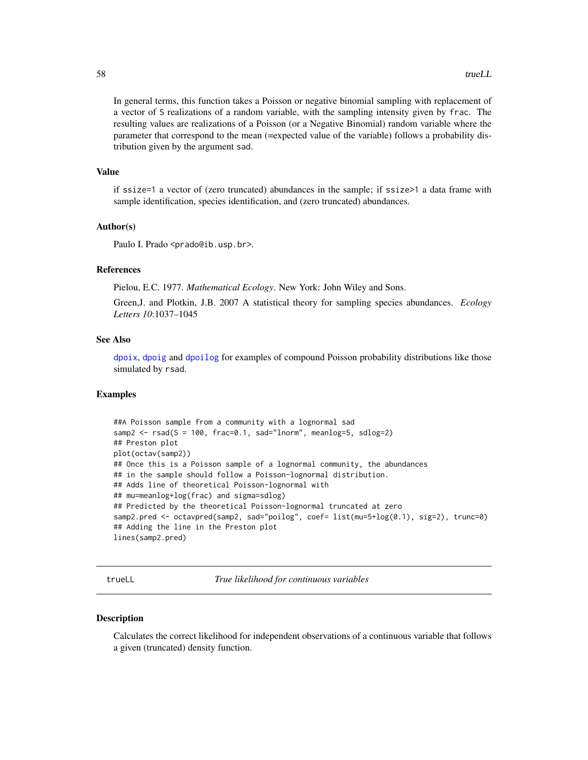<span id="page-57-0"></span>In general terms, this function takes a Poisson or negative binomial sampling with replacement of a vector of S realizations of a random variable, with the sampling intensity given by frac. The resulting values are realizations of a Poisson (or a Negative Binomial) random variable where the parameter that correspond to the mean (=expected value of the variable) follows a probability distribution given by the argument sad.

#### Value

if ssize=1 a vector of (zero truncated) abundances in the sample; if ssize>1 a data frame with sample identification, species identification, and (zero truncated) abundances.

# Author(s)

Paulo I. Prado <prado@ib.usp.br>.

# References

Pielou, E.C. 1977. *Mathematical Ecology*. New York: John Wiley and Sons.

Green,J. and Plotkin, J.B. 2007 A statistical theory for sampling species abundances. *Ecology Letters 10*:1037–1045

#### See Also

[dpoix](#page-19-1), [dpoig](#page-15-1) and [dpoilog](#page-17-1) for examples of compound Poisson probability distributions like those simulated by rsad.

#### Examples

```
##A Poisson sample from a community with a lognormal sad
samp2 \leq -rsad(S = 100, frac=0.1, sad='Inorm", meanlog=5, sdlog=2)## Preston plot
plot(octav(samp2))
## Once this is a Poisson sample of a lognormal community, the abundances
## in the sample should follow a Poisson-lognormal distribution.
## Adds line of theoretical Poisson-lognormal with
## mu=meanlog+log(frac) and sigma=sdlog)
## Predicted by the theoretical Poisson-lognormal truncated at zero
samp2.pred <- octavpred(samp2, sad="poilog", coef= list(mu=5+log(0.1), sig=2), trunc=0)
## Adding the line in the Preston plot
lines(samp2.pred)
```
<span id="page-57-1"></span>trueLL *True likelihood for continuous variables*

#### Description

Calculates the correct likelihood for independent observations of a continuous variable that follows a given (truncated) density function.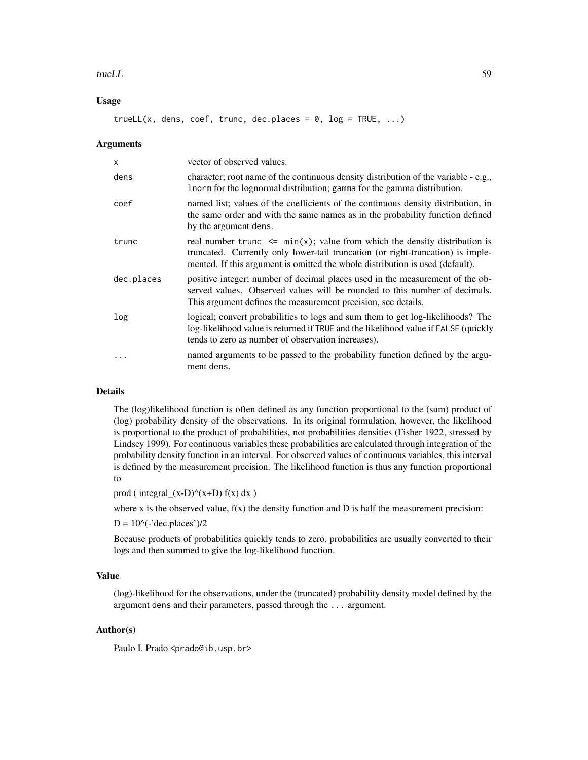#### trueLL 59

# Usage

trueLL(x, dens, coef, trunc, dec.places =  $0$ , log = TRUE, ...)

#### **Arguments**

| X          | vector of observed values.                                                                                                                                                                                                                        |
|------------|---------------------------------------------------------------------------------------------------------------------------------------------------------------------------------------------------------------------------------------------------|
| dens       | character; root name of the continuous density distribution of the variable - e.g.,<br>Inorm for the lognormal distribution; gamma for the gamma distribution.                                                                                    |
| coef       | named list; values of the coefficients of the continuous density distribution, in<br>the same order and with the same names as in the probability function defined<br>by the argument dens.                                                       |
| trunc      | real number trunc $\leq$ min(x); value from which the density distribution is<br>truncated. Currently only lower-tail truncation (or right-truncation) is imple-<br>mented. If this argument is omitted the whole distribution is used (default). |
| dec.places | positive integer; number of decimal places used in the measurement of the ob-<br>served values. Observed values will be rounded to this number of decimals.<br>This argument defines the measurement precision, see details.                      |
| log        | logical; convert probabilities to logs and sum them to get log-likelihoods? The<br>log-likelihood value is returned if TRUE and the likelihood value if FALSE (quickly<br>tends to zero as number of observation increases).                      |
|            | named arguments to be passed to the probability function defined by the argu-<br>ment dens.                                                                                                                                                       |

# Details

The (log)likelihood function is often defined as any function proportional to the (sum) product of (log) probability density of the observations. In its original formulation, however, the likelihood is proportional to the product of probabilities, not probabilities densities (Fisher 1922, stressed by Lindsey 1999). For continuous variables these probabilities are calculated through integration of the probability density function in an interval. For observed values of continuous variables, this interval is defined by the measurement precision. The likelihood function is thus any function proportional to

prod ( integral\_ $(x-D)^{\wedge}(x+D)$  f(x) dx )

where x is the observed value,  $f(x)$  the density function and D is half the measurement precision:

 $D = 10$ ^(-'dec.places')/2

Because products of probabilities quickly tends to zero, probabilities are usually converted to their logs and then summed to give the log-likelihood function.

# Value

(log)-likelihood for the observations, under the (truncated) probability density model defined by the argument dens and their parameters, passed through the ... argument.

#### Author(s)

Paulo I. Prado <prado@ib.usp.br>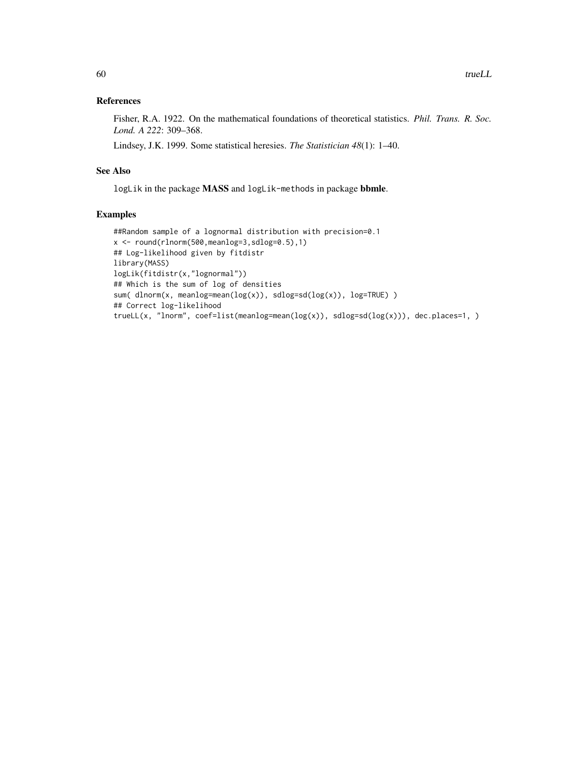# References

Fisher, R.A. 1922. On the mathematical foundations of theoretical statistics. *Phil. Trans. R. Soc. Lond. A 222*: 309–368.

Lindsey, J.K. 1999. Some statistical heresies. *The Statistician 48*(1): 1–40.

# See Also

logLik in the package MASS and logLik-methods in package bbmle.

# Examples

```
##Random sample of a lognormal distribution with precision=0.1
x <- round(rlnorm(500,meanlog=3,sdlog=0.5),1)
## Log-likelihood given by fitdistr
library(MASS)
logLik(fitdistr(x,"lognormal"))
## Which is the sum of log of densities
sum( dlnorm(x, meanlog=mean(log(x)), sdlog=sd(log(x)), log=TRUE) )
## Correct log-likelihood
trueLL(x, "lnorm", coef=list(meanlog=mean(log(x)), sdlog=sd(log(x))), dec.places=1, )
```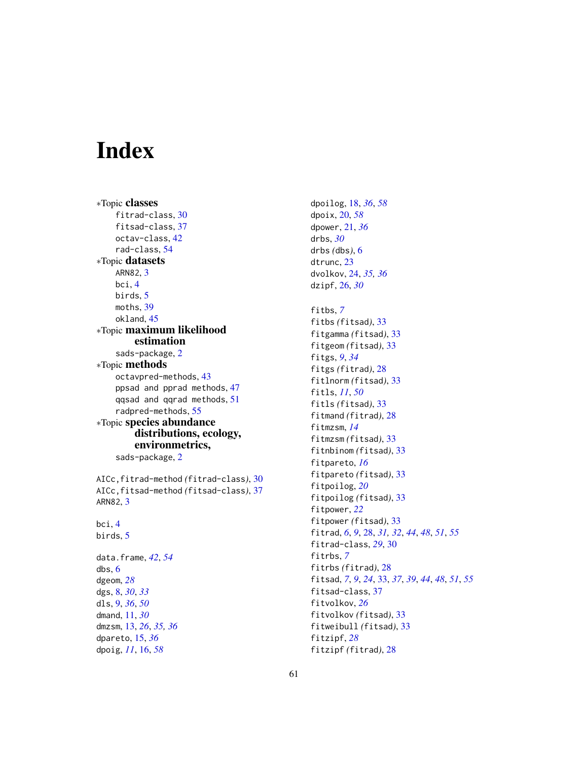# <span id="page-60-0"></span>Index

∗Topic classes fitrad-class, [30](#page-29-0) fitsad-class, [37](#page-36-0) octav-class, [42](#page-41-0) rad-class, [54](#page-53-0) ∗Topic datasets ARN82, [3](#page-2-0) bci, [4](#page-3-0) birds, [5](#page-4-0) moths, [39](#page-38-0) okland, [45](#page-44-0) ∗Topic maximum likelihood estimation sads-package, [2](#page-1-0) ∗Topic methods octavpred-methods, [43](#page-42-0) ppsad and pprad methods, [47](#page-46-0) qqsad and qqrad methods, [51](#page-50-0) radpred-methods, [55](#page-54-0) ∗Topic species abundance distributions, ecology, environmetrics, sads-package, [2](#page-1-0) AICc,fitrad-method *(*fitrad-class*)*, [30](#page-29-0) AICc,fitsad-method *(*fitsad-class*)*, [37](#page-36-0) ARN82, [3](#page-2-0) bci, [4](#page-3-0) birds, [5](#page-4-0) data.frame, *[42](#page-41-0)*, *[54](#page-53-0)* dbs, [6](#page-5-0) dgeom, *[28](#page-27-0)* dgs, [8,](#page-7-0) *[30](#page-29-0)*, *[33](#page-32-0)* dls, [9,](#page-8-0) *[36](#page-35-0)*, *[50](#page-49-0)* dmand, [11,](#page-10-0) *[30](#page-29-0)* dmzsm, [13,](#page-12-0) *[26](#page-25-0)*, *[35,](#page-34-0) [36](#page-35-0)* dpareto, [15,](#page-14-0) *[36](#page-35-0)* dpoig, *[11](#page-10-0)*, [16,](#page-15-0) *[58](#page-57-0)*

dpoilog, [18,](#page-17-0) *[36](#page-35-0)*, *[58](#page-57-0)* dpoix, [20,](#page-19-0) *[58](#page-57-0)* dpower, [21,](#page-20-0) *[36](#page-35-0)* drbs, *[30](#page-29-0)* drbs *(*dbs*)*, [6](#page-5-0) dtrunc, [23](#page-22-0) dvolkov, [24,](#page-23-0) *[35,](#page-34-0) [36](#page-35-0)* dzipf, [26,](#page-25-0) *[30](#page-29-0)* fitbs, *[7](#page-6-0)* fitbs *(*fitsad*)*, [33](#page-32-0) fitgamma *(*fitsad*)*, [33](#page-32-0) fitgeom *(*fitsad*)*, [33](#page-32-0) fitgs, *[9](#page-8-0)*, *[34](#page-33-0)* fitgs *(*fitrad*)*, [28](#page-27-0) fitlnorm *(*fitsad*)*, [33](#page-32-0) fitls, *[11](#page-10-0)*, *[50](#page-49-0)* fitls *(*fitsad*)*, [33](#page-32-0) fitmand *(*fitrad*)*, [28](#page-27-0) fitmzsm, *[14](#page-13-0)* fitmzsm *(*fitsad*)*, [33](#page-32-0) fitnbinom *(*fitsad*)*, [33](#page-32-0) fitpareto, *[16](#page-15-0)* fitpareto *(*fitsad*)*, [33](#page-32-0) fitpoilog, *[20](#page-19-0)* fitpoilog *(*fitsad*)*, [33](#page-32-0) fitpower, *[22](#page-21-0)* fitpower *(*fitsad*)*, [33](#page-32-0) fitrad, *[6](#page-5-0)*, *[9](#page-8-0)*, [28,](#page-27-0) *[31,](#page-30-0) [32](#page-31-0)*, *[44](#page-43-0)*, *[48](#page-47-0)*, *[51](#page-50-0)*, *[55](#page-54-0)* fitrad-class, *[29](#page-28-0)*, [30](#page-29-0) fitrbs, *[7](#page-6-0)* fitrbs *(*fitrad*)*, [28](#page-27-0) fitsad, *[7](#page-6-0)*, *[9](#page-8-0)*, *[24](#page-23-0)*, [33,](#page-32-0) *[37](#page-36-0)*, *[39](#page-38-0)*, *[44](#page-43-0)*, *[48](#page-47-0)*, *[51](#page-50-0)*, *[55](#page-54-0)* fitsad-class, [37](#page-36-0) fitvolkov, *[26](#page-25-0)* fitvolkov *(*fitsad*)*, [33](#page-32-0) fitweibull *(*fitsad*)*, [33](#page-32-0) fitzipf, *[28](#page-27-0)* fitzipf *(*fitrad*)*, [28](#page-27-0)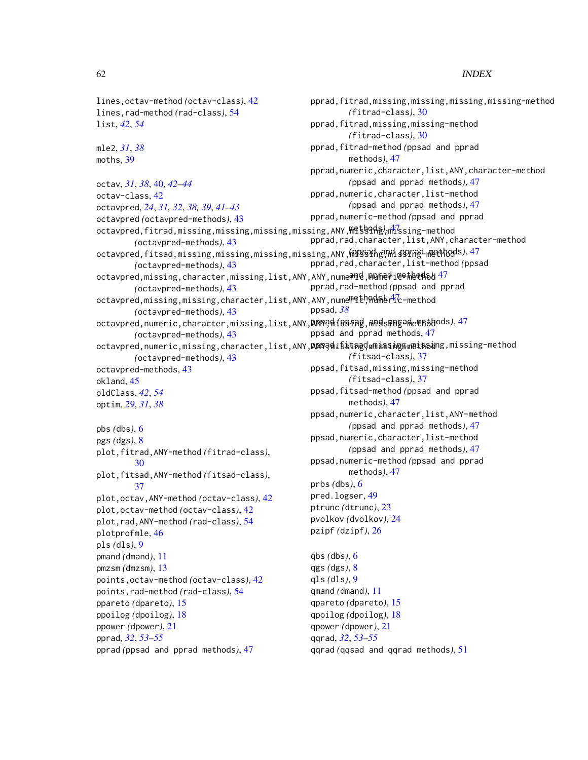pprad,fitrad,missing,missing,missing,missing-method

*(*fitrad-class*)*, [30](#page-29-0) pprad,fitrad,missing,missing-method *(*fitrad-class*)*, [30](#page-29-0) pprad,fitrad-method *(*ppsad and pprad

lines,octav-method *(*octav-class*)*, [42](#page-41-0) lines,rad-method *(*rad-class*)*, [54](#page-53-0) list, *[42](#page-41-0)*, *[54](#page-53-0)*

mle2, *[31](#page-30-0)*, *[38](#page-37-0)* moths, [39](#page-38-0)

octav, *[31](#page-30-0)*, *[38](#page-37-0)*, [40,](#page-39-0) *[42](#page-41-0)[–44](#page-43-0)* octav-class, [42](#page-41-0) octavpred, *[24](#page-23-0)*, *[31,](#page-30-0) [32](#page-31-0)*, *[38,](#page-37-0) [39](#page-38-0)*, *[41–](#page-40-0)[43](#page-42-0)* octavpred *(*octavpred-methods*)*, [43](#page-42-0) octavpred,fitrad,missing,missing,missing,missing,ANY,<del>Mi</del>ssong),mhissing-method *(*octavpred-methods*)*, [43](#page-42-0) octavpred,fitsad,missing,missing,missing,missing,ANY,**MPSsPh***e***!Mis9Pr**nethods),[47](#page-46-0) *(*octavpred-methods*)*, [43](#page-42-0) octavpred,missing,character,missing,list,ANY,ANY,nume**?le,PDGnedi@e#eq4s\**[47](#page-46-0) *(*octavpred-methods*)*, [43](#page-42-0) octavpred,missing,missing,character,list,ANY,ANY,nume<sup>me</sup>th,Admer<sup>4</sup>ic-method *(*octavpred-methods*)*, [43](#page-42-0) octavpred,numeric,character,missing,list,ANY,**ANY**9़न{1**08§Ag**,AndspPpgade@pathods),[47](#page-46-0) *(*octavpred-methods*)*, [43](#page-42-0) octavpred,numeric,missing,character,list,ANY,**ANY?hi**ssingdwmisssingswein&ing,missing-method *(*octavpred-methods*)*, [43](#page-42-0) octavpred-methods, [43](#page-42-0) okland, [45](#page-44-0) oldClass, *[42](#page-41-0)*, *[54](#page-53-0)* optim, *[29](#page-28-0)*, *[31](#page-30-0)*, *[38](#page-37-0)* pbs *(*dbs*)*, [6](#page-5-0) pgs *(*dgs*)*, [8](#page-7-0) plot,fitrad,ANY-method *(*fitrad-class*)*, [30](#page-29-0) plot,fitsad,ANY-method *(*fitsad-class*)*, [37](#page-36-0) plot,octav,ANY-method *(*octav-class*)*, [42](#page-41-0) plot,octav-method *(*octav-class*)*, [42](#page-41-0) plot,rad,ANY-method *(*rad-class*)*, [54](#page-53-0) plotprofmle, [46](#page-45-0) pls *(*dls*)*, [9](#page-8-0) pmand *(*dmand*)*, [11](#page-10-0) pmzsm *(*dmzsm*)*, [13](#page-12-0) points,octav-method *(*octav-class*)*, [42](#page-41-0) points,rad-method *(*rad-class*)*, [54](#page-53-0) ppareto *(*dpareto*)*, [15](#page-14-0) ppoilog *(*dpoilog*)*, [18](#page-17-0) ppower *(*dpower*)*, [21](#page-20-0) pprad, *[32](#page-31-0)*, *[53](#page-52-0)[–55](#page-54-0)* pprad *(*ppsad and pprad methods*)*, [47](#page-46-0) methods*)*, [47](#page-46-0) pprad,numeric,character,list,ANY,character-method *(*ppsad and pprad methods*)*, [47](#page-46-0) pprad,numeric,character,list-method *(*ppsad and pprad methods*)*, [47](#page-46-0) pprad,numeric-method *(*ppsad and pprad pprad,rad,character,list,ANY,character-method pprad,rad,character,list-method *(*ppsad pprad,rad-method *(*ppsad and pprad ppsad, *[38](#page-37-0)* ppsad and pprad methods, [47](#page-46-0) *(*fitsad-class*)*, [37](#page-36-0) ppsad,fitsad,missing,missing-method *(*fitsad-class*)*, [37](#page-36-0) ppsad,fitsad-method *(*ppsad and pprad methods*)*, [47](#page-46-0) ppsad,numeric,character,list,ANY-method *(*ppsad and pprad methods*)*, [47](#page-46-0) ppsad,numeric,character,list-method *(*ppsad and pprad methods*)*, [47](#page-46-0) ppsad,numeric-method *(*ppsad and pprad methods*)*, [47](#page-46-0) prbs *(*dbs*)*, [6](#page-5-0) pred.logser, [49](#page-48-0) ptrunc *(*dtrunc*)*, [23](#page-22-0) pvolkov *(*dvolkov*)*, [24](#page-23-0) pzipf *(*dzipf*)*, [26](#page-25-0) qbs *(*dbs*)*, [6](#page-5-0) qgs *(*dgs*)*, [8](#page-7-0) qls *(*dls*)*, [9](#page-8-0) qmand *(*dmand*)*, [11](#page-10-0) qpareto *(*dpareto*)*, [15](#page-14-0) qpoilog *(*dpoilog*)*, [18](#page-17-0) qpower *(*dpower*)*, [21](#page-20-0) qqrad, *[32](#page-31-0)*, *[53](#page-52-0)[–55](#page-54-0)* qqrad *(*qqsad and qqrad methods*)*, [51](#page-50-0)